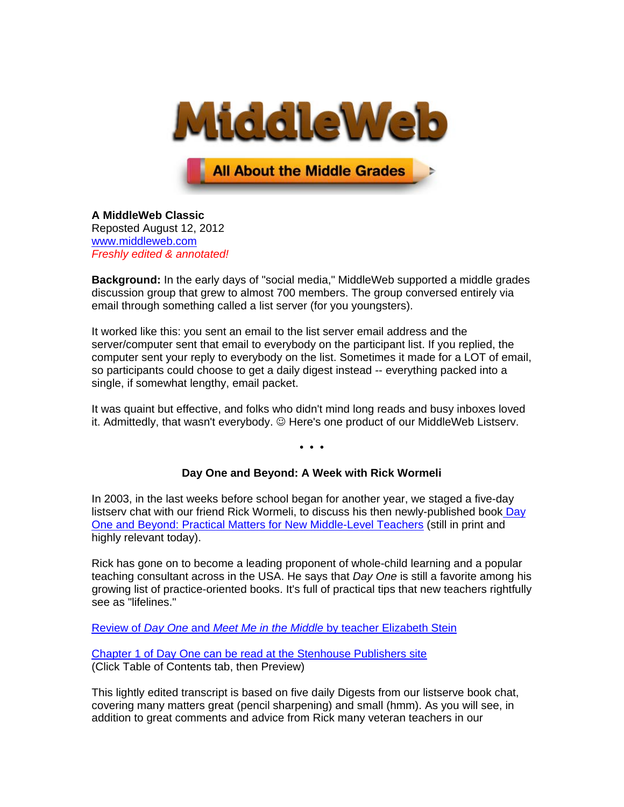

**All About the Middle Grades** 

**A MiddleWeb Classic** Reposted August 12, 2012 [www.middleweb.com](http://www.middleweb.com/) *Freshly edited & annotated!*

**Background:** In the early days of "social media," MiddleWeb supported a middle grades discussion group that grew to almost 700 members. The group conversed entirely via email through something called a list server (for you youngsters).

It worked like this: you sent an email to the list server email address and the server/computer sent that email to everybody on the participant list. If you replied, the computer sent your reply to everybody on the list. Sometimes it made for a LOT of email, so participants could choose to get a daily digest instead -- everything packed into a single, if somewhat lengthy, email packet.

It was quaint but effective, and folks who didn't mind long reads and busy inboxes loved it. Admittedly, that wasn't everybody. © Here's one product of our MiddleWeb Listsery.

• • •

# **Day One and Beyond: A Week with Rick Wormeli**

In 2003, in the last weeks before school began for another year, we staged a five-day listserv chat with our friend Rick Wormeli, to discuss his then newly-published book Day [One and Beyond: Practical Matters](http://www.stenhouse.com/shop/pc/viewprd.asp?idProduct=355) for New Middle-Level Teachers (still in print and highly relevant today).

Rick has gone on to become a leading proponent of whole-child learning and a popular teaching consultant across in the USA. He says that *Day One* is still a favorite among his growing list of practice-oriented books. It's full of practical tips that new teachers rightfully see as "lifelines."

Review of *Day One* and *Meet Me in the Middle* [by teacher Elizabeth Stein](http://teacherleaders.typepad.com/tln_teacher_voices/2011/01/two-lifelines-for-a-veteran-teacher-new-to-the-middle-grades.html)

[Chapter 1 of Day One can be read at the Stenhouse Publishers site](http://www.stenhouse.com/shop/pc/viewprd.asp?idProduct=355&r=n253w&REFERER=) (Click Table of Contents tab, then Preview)

This lightly edited transcript is based on five daily Digests from our listserve book chat, covering many matters great (pencil sharpening) and small (hmm). As you will see, in addition to great comments and advice from Rick many veteran teachers in our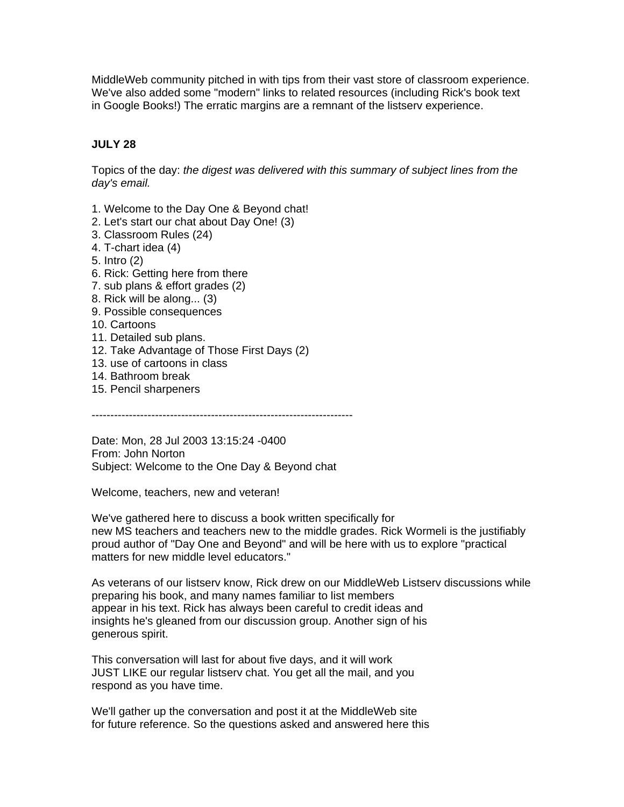MiddleWeb community pitched in with tips from their vast store of classroom experience. We've also added some "modern" links to related resources (including Rick's book text in Google Books!) The erratic margins are a remnant of the listserv experience.

# **JULY 28**

Topics of the day: *the digest was delivered with this summary of subject lines from the day's email.*

- 1. Welcome to the Day One & Beyond chat!
- 2. Let's start our chat about Day One! (3)
- 3. Classroom Rules (24)
- 4. T-chart idea (4)
- 5. Intro (2)
- 6. Rick: Getting here from there
- 7. sub plans & effort grades (2)
- 8. Rick will be along... (3)
- 9. Possible consequences
- 10. Cartoons
- 11. Detailed sub plans.
- 12. Take Advantage of Those First Days (2)
- 13. use of cartoons in class
- 14. Bathroom break
- 15. Pencil sharpeners

----------------------------------------------------------------------

Date: Mon, 28 Jul 2003 13:15:24 -0400 From: John Norton Subject: Welcome to the One Day & Beyond chat

Welcome, teachers, new and veteran!

We've gathered here to discuss a book written specifically for new MS teachers and teachers new to the middle grades. Rick Wormeli is the justifiably proud author of "Day One and Beyond" and will be here with us to explore "practical matters for new middle level educators."

As veterans of our listserv know, Rick drew on our MiddleWeb Listserv discussions while preparing his book, and many names familiar to list members appear in his text. Rick has always been careful to credit ideas and insights he's gleaned from our discussion group. Another sign of his generous spirit.

This conversation will last for about five days, and it will work JUST LIKE our regular listserv chat. You get all the mail, and you respond as you have time.

We'll gather up the conversation and post it at the MiddleWeb site for future reference. So the questions asked and answered here this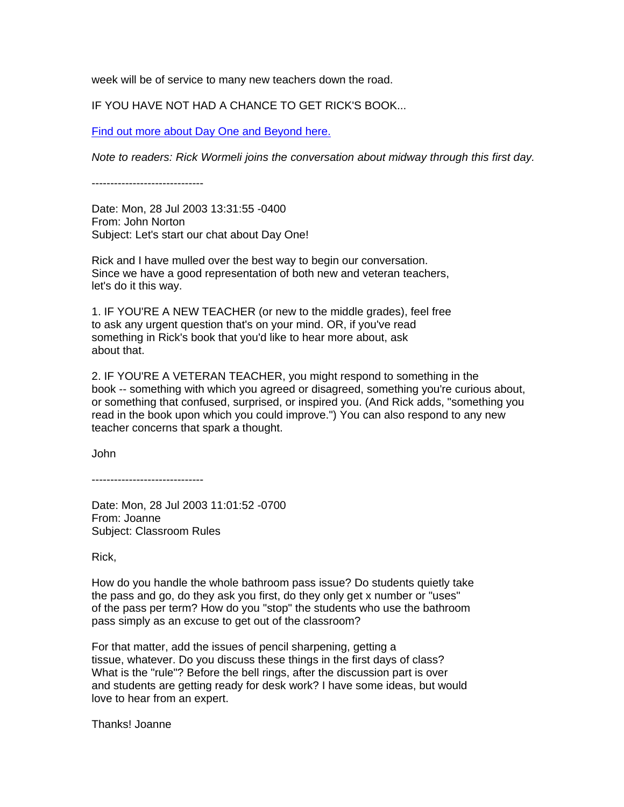week will be of service to many new teachers down the road.

IF YOU HAVE NOT HAD A CHANCE TO GET RICK'S BOOK...

[Find out more about Day One and Beyond here.](http://www.stenhouse.com/productcart/pc/viewPrd.asp?idproduct=0355&r=mw050728)

*Note to readers: Rick Wormeli joins the conversation about midway through this first day.*

------------------------------

Date: Mon, 28 Jul 2003 13:31:55 -0400 From: John Norton Subject: Let's start our chat about Day One!

Rick and I have mulled over the best way to begin our conversation. Since we have a good representation of both new and veteran teachers, let's do it this way.

1. IF YOU'RE A NEW TEACHER (or new to the middle grades), feel free to ask any urgent question that's on your mind. OR, if you've read something in Rick's book that you'd like to hear more about, ask about that.

2. IF YOU'RE A VETERAN TEACHER, you might respond to something in the book -- something with which you agreed or disagreed, something you're curious about, or something that confused, surprised, or inspired you. (And Rick adds, "something you read in the book upon which you could improve.") You can also respond to any new teacher concerns that spark a thought.

John

------------------------------

Date: Mon, 28 Jul 2003 11:01:52 -0700 From: Joanne Subject: Classroom Rules

Rick,

How do you handle the whole bathroom pass issue? Do students quietly take the pass and go, do they ask you first, do they only get x number or "uses" of the pass per term? How do you "stop" the students who use the bathroom pass simply as an excuse to get out of the classroom?

For that matter, add the issues of pencil sharpening, getting a tissue, whatever. Do you discuss these things in the first days of class? What is the "rule"? Before the bell rings, after the discussion part is over and students are getting ready for desk work? I have some ideas, but would love to hear from an expert.

Thanks! Joanne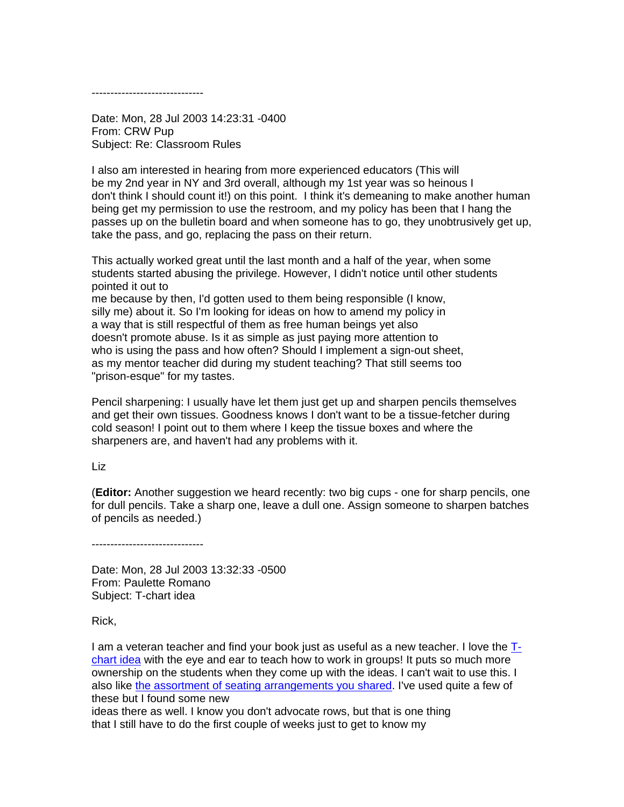------------------------------

Date: Mon, 28 Jul 2003 14:23:31 -0400 From: CRW Pup Subject: Re: Classroom Rules

I also am interested in hearing from more experienced educators (This will be my 2nd year in NY and 3rd overall, although my 1st year was so heinous I don't think I should count it!) on this point. I think it's demeaning to make another human being get my permission to use the restroom, and my policy has been that I hang the passes up on the bulletin board and when someone has to go, they unobtrusively get up, take the pass, and go, replacing the pass on their return.

This actually worked great until the last month and a half of the year, when some students started abusing the privilege. However, I didn't notice until other students pointed it out to me because by then, I'd gotten used to them being responsible (I know,

silly me) about it. So I'm looking for ideas on how to amend my policy in a way that is still respectful of them as free human beings yet also doesn't promote abuse. Is it as simple as just paying more attention to who is using the pass and how often? Should I implement a sign-out sheet, as my mentor teacher did during my student teaching? That still seems too "prison-esque" for my tastes.

Pencil sharpening: I usually have let them just get up and sharpen pencils themselves and get their own tissues. Goodness knows I don't want to be a tissue-fetcher during cold season! I point out to them where I keep the tissue boxes and where the sharpeners are, and haven't had any problems with it.

Liz

(**Editor:** Another suggestion we heard recently: two big cups - one for sharp pencils, one for dull pencils. Take a sharp one, leave a dull one. Assign someone to sharpen batches of pencils as needed.)

------------------------------

Date: Mon, 28 Jul 2003 13:32:33 -0500 From: Paulette Romano Subject: T-chart idea

Rick,

I am a veteran teacher and find your book just as useful as a new teacher. I love the [T](http://books.google.com/books?id=RxNGBq3uuccC&pg=PT49&lpg=PT49&dq=wormeli+t-chart&source=bl&ots=vEThV_B0wQ&sig=X3dhsxWrf8bNFae3Ro1qYu99_1U&hl=en&sa=X&ei=1MYnULa_BKrF6gHyhYHoAQ&ved=0CFAQ6AEwAA#v=onepage&q=wormeli%20t-chart&f=false)[chart idea](http://books.google.com/books?id=RxNGBq3uuccC&pg=PT49&lpg=PT49&dq=wormeli+t-chart&source=bl&ots=vEThV_B0wQ&sig=X3dhsxWrf8bNFae3Ro1qYu99_1U&hl=en&sa=X&ei=1MYnULa_BKrF6gHyhYHoAQ&ved=0CFAQ6AEwAA#v=onepage&q=wormeli%20t-chart&f=false) with the eye and ear to teach how to work in groups! It puts so much more ownership on the students when they come up with the ideas. I can't wait to use this. I also like [the assortment of seating arrangements you shared.](http://books.google.com/books?id=RxNGBq3uuccC&pg=PT64&lpg=PT64&dq=wormeli+seating+arrangements&source=bl&ots=vEThV_F4xM&sig=-gbQ_NxXNdL-yZ6lwA2bxFBCl4U&hl=en&sa=X&ei=CdgnUPnrOYm36wGoo4CQBA&ved=0CDMQ6AEwAA#v=onepage&q=wormeli%20seating%20arrangements&f=false) I've used quite a few of these but I found some new ideas there as well. I know you don't advocate rows, but that is one thing that I still have to do the first couple of weeks just to get to know my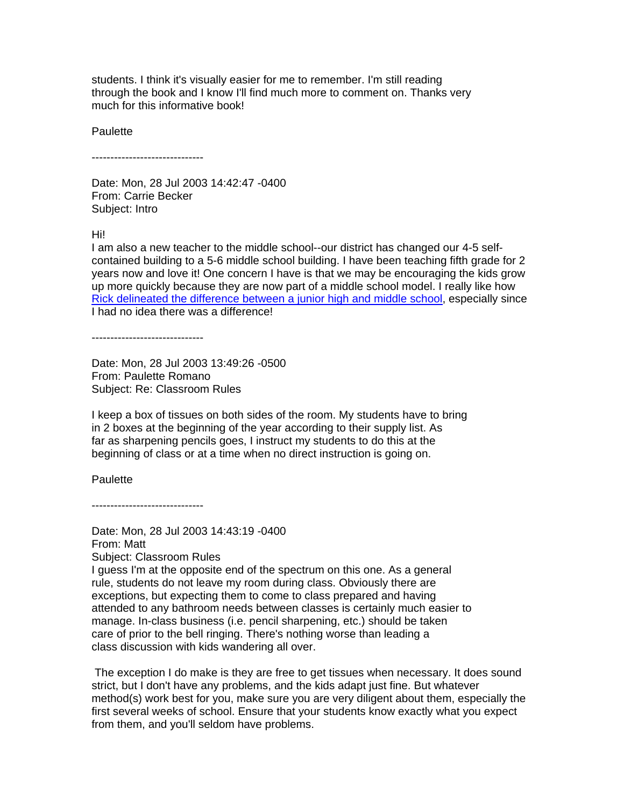students. I think it's visually easier for me to remember. I'm still reading through the book and I know I'll find much more to comment on. Thanks very much for this informative book!

**Paulette** 

------------------------------

Date: Mon, 28 Jul 2003 14:42:47 -0400 From: Carrie Becker Subject: Intro

Hi!

I am also a new teacher to the middle school--our district has changed our 4-5 selfcontained building to a 5-6 middle school building. I have been teaching fifth grade for 2 years now and love it! One concern I have is that we may be encouraging the kids grow up more quickly because they are now part of a middle school model. I really like how [Rick delineated the difference between a junior high and middle school,](http://books.google.com/books?id=RxNGBq3uuccC&pg=PT19&lpg=PT19&dq=wormeli+junior+high+vs+middle+school&source=bl&ots=vEThV_F6pV&sig=3Gb2X7RiRMZmelZbCQ8AGohpPZI&hl=en&sa=X&ei=i9gnUP-4Hees6QHTr4CADg&ved=0CDgQ6AEwAA#v=onepage&q=wormeli%20junior%20high%20vs%20middle%20school&f=false) especially since I had no idea there was a difference!

------------------------------

Date: Mon, 28 Jul 2003 13:49:26 -0500 From: Paulette Romano Subject: Re: Classroom Rules

I keep a box of tissues on both sides of the room. My students have to bring in 2 boxes at the beginning of the year according to their supply list. As far as sharpening pencils goes, I instruct my students to do this at the beginning of class or at a time when no direct instruction is going on.

**Paulette** 

------------------------------

Date: Mon, 28 Jul 2003 14:43:19 -0400 From: Matt Subject: Classroom Rules I guess I'm at the opposite end of the spectrum on this one. As a general rule, students do not leave my room during class. Obviously there are exceptions, but expecting them to come to class prepared and having attended to any bathroom needs between classes is certainly much easier to manage. In-class business (i.e. pencil sharpening, etc.) should be taken care of prior to the bell ringing. There's nothing worse than leading a class discussion with kids wandering all over.

The exception I do make is they are free to get tissues when necessary. It does sound strict, but I don't have any problems, and the kids adapt just fine. But whatever method(s) work best for you, make sure you are very diligent about them, especially the first several weeks of school. Ensure that your students know exactly what you expect from them, and you'll seldom have problems.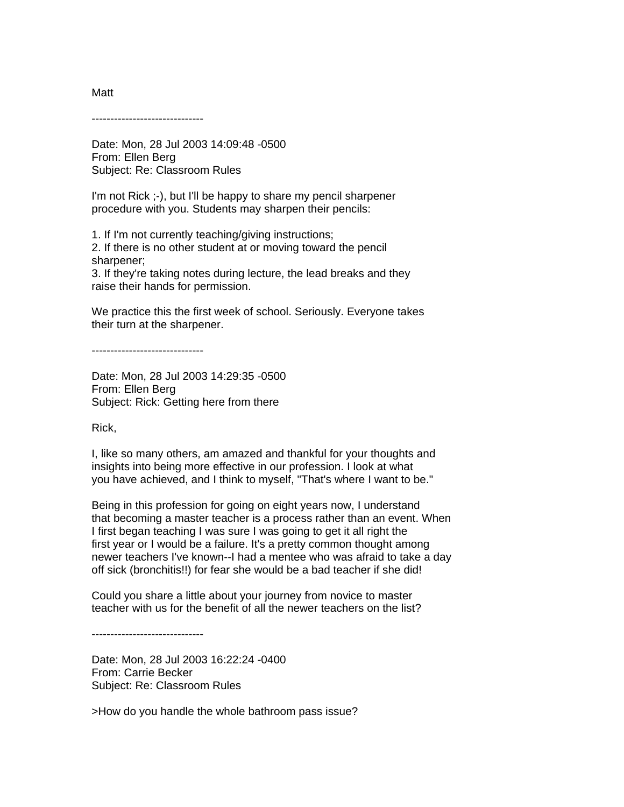------------------------------

Date: Mon, 28 Jul 2003 14:09:48 -0500 From: Ellen Berg Subject: Re: Classroom Rules

I'm not Rick ;-), but I'll be happy to share my pencil sharpener procedure with you. Students may sharpen their pencils:

1. If I'm not currently teaching/giving instructions; 2. If there is no other student at or moving toward the pencil sharpener;

3. If they're taking notes during lecture, the lead breaks and they raise their hands for permission.

We practice this the first week of school. Seriously. Everyone takes their turn at the sharpener.

------------------------------

Date: Mon, 28 Jul 2003 14:29:35 -0500 From: Ellen Berg Subject: Rick: Getting here from there

Rick,

I, like so many others, am amazed and thankful for your thoughts and insights into being more effective in our profession. I look at what you have achieved, and I think to myself, "That's where I want to be."

Being in this profession for going on eight years now, I understand that becoming a master teacher is a process rather than an event. When I first began teaching I was sure I was going to get it all right the first year or I would be a failure. It's a pretty common thought among newer teachers I've known--I had a mentee who was afraid to take a day off sick (bronchitis!!) for fear she would be a bad teacher if she did!

Could you share a little about your journey from novice to master teacher with us for the benefit of all the newer teachers on the list?

------------------------------

Date: Mon, 28 Jul 2003 16:22:24 -0400 From: Carrie Becker Subject: Re: Classroom Rules

>How do you handle the whole bathroom pass issue?

Matt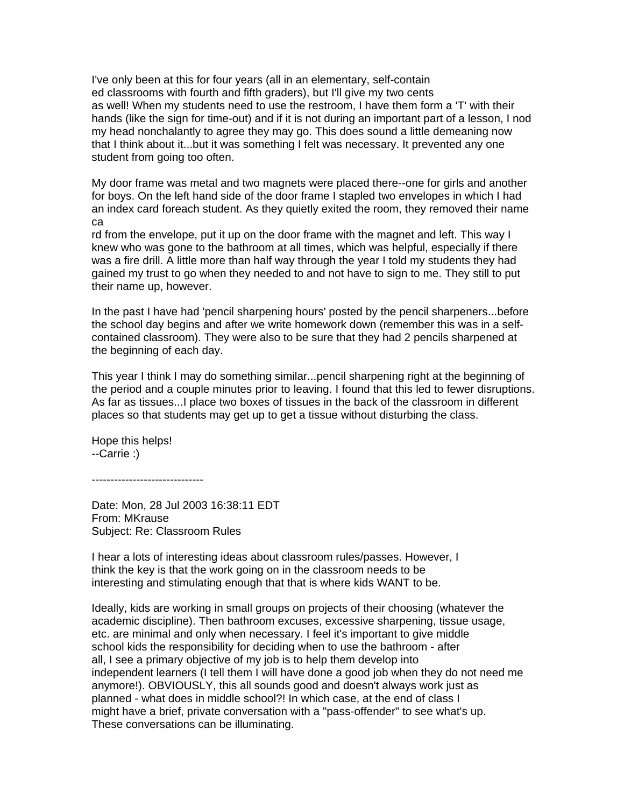I've only been at this for four years (all in an elementary, self-contain ed classrooms with fourth and fifth graders), but I'll give my two cents as well! When my students need to use the restroom, I have them form a 'T' with their hands (like the sign for time-out) and if it is not during an important part of a lesson, I nod my head nonchalantly to agree they may go. This does sound a little demeaning now that I think about it...but it was something I felt was necessary. It prevented any one student from going too often.

My door frame was metal and two magnets were placed there--one for girls and another for boys. On the left hand side of the door frame I stapled two envelopes in which I had an index card foreach student. As they quietly exited the room, they removed their name ca

rd from the envelope, put it up on the door frame with the magnet and left. This way I knew who was gone to the bathroom at all times, which was helpful, especially if there was a fire drill. A little more than half way through the year I told my students they had gained my trust to go when they needed to and not have to sign to me. They still to put their name up, however.

In the past I have had 'pencil sharpening hours' posted by the pencil sharpeners...before the school day begins and after we write homework down (remember this was in a selfcontained classroom). They were also to be sure that they had 2 pencils sharpened at the beginning of each day.

This year I think I may do something similar...pencil sharpening right at the beginning of the period and a couple minutes prior to leaving. I found that this led to fewer disruptions. As far as tissues...I place two boxes of tissues in the back of the classroom in different places so that students may get up to get a tissue without disturbing the class.

Hope this helps! --Carrie :)

------------------------------

Date: Mon, 28 Jul 2003 16:38:11 EDT From: MKrause Subject: Re: Classroom Rules

I hear a lots of interesting ideas about classroom rules/passes. However, I think the key is that the work going on in the classroom needs to be interesting and stimulating enough that that is where kids WANT to be.

Ideally, kids are working in small groups on projects of their choosing (whatever the academic discipline). Then bathroom excuses, excessive sharpening, tissue usage, etc. are minimal and only when necessary. I feel it's important to give middle school kids the responsibility for deciding when to use the bathroom - after all, I see a primary objective of my job is to help them develop into independent learners (I tell them I will have done a good job when they do not need me anymore!). OBVIOUSLY, this all sounds good and doesn't always work just as planned - what does in middle school?! In which case, at the end of class I might have a brief, private conversation with a "pass-offender" to see what's up. These conversations can be illuminating.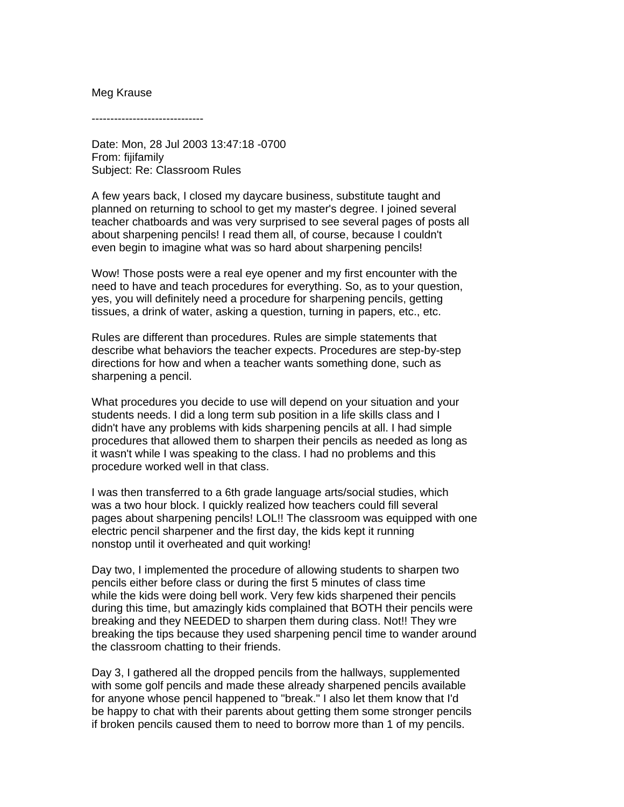# Meg Krause

------------------------------

Date: Mon, 28 Jul 2003 13:47:18 -0700 From: fijifamily Subject: Re: Classroom Rules

A few years back, I closed my daycare business, substitute taught and planned on returning to school to get my master's degree. I joined several teacher chatboards and was very surprised to see several pages of posts all about sharpening pencils! I read them all, of course, because I couldn't even begin to imagine what was so hard about sharpening pencils!

Wow! Those posts were a real eye opener and my first encounter with the need to have and teach procedures for everything. So, as to your question, yes, you will definitely need a procedure for sharpening pencils, getting tissues, a drink of water, asking a question, turning in papers, etc., etc.

Rules are different than procedures. Rules are simple statements that describe what behaviors the teacher expects. Procedures are step-by-step directions for how and when a teacher wants something done, such as sharpening a pencil.

What procedures you decide to use will depend on your situation and your students needs. I did a long term sub position in a life skills class and I didn't have any problems with kids sharpening pencils at all. I had simple procedures that allowed them to sharpen their pencils as needed as long as it wasn't while I was speaking to the class. I had no problems and this procedure worked well in that class.

I was then transferred to a 6th grade language arts/social studies, which was a two hour block. I quickly realized how teachers could fill several pages about sharpening pencils! LOL!! The classroom was equipped with one electric pencil sharpener and the first day, the kids kept it running nonstop until it overheated and quit working!

Day two, I implemented the procedure of allowing students to sharpen two pencils either before class or during the first 5 minutes of class time while the kids were doing bell work. Very few kids sharpened their pencils during this time, but amazingly kids complained that BOTH their pencils were breaking and they NEEDED to sharpen them during class. Not!! They wre breaking the tips because they used sharpening pencil time to wander around the classroom chatting to their friends.

Day 3, I gathered all the dropped pencils from the hallways, supplemented with some golf pencils and made these already sharpened pencils available for anyone whose pencil happened to "break." I also let them know that I'd be happy to chat with their parents about getting them some stronger pencils if broken pencils caused them to need to borrow more than 1 of my pencils.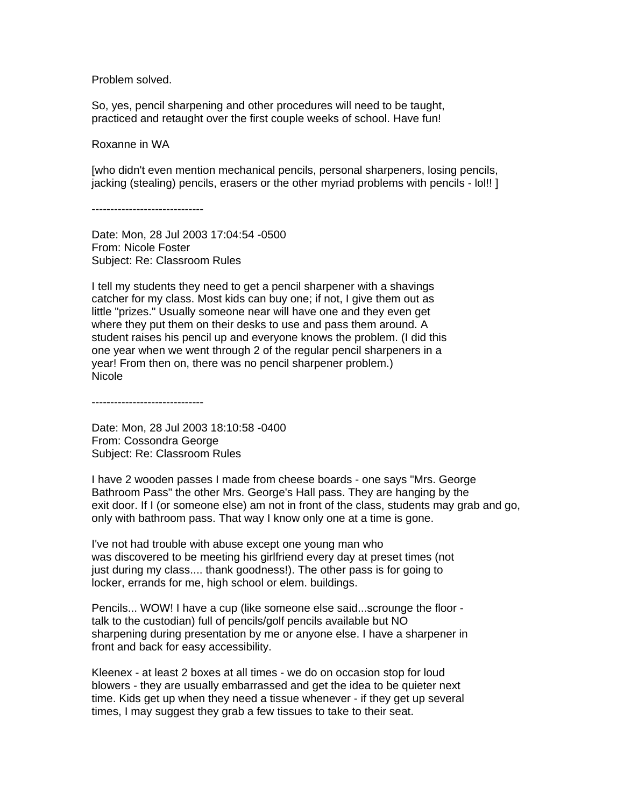Problem solved.

So, yes, pencil sharpening and other procedures will need to be taught, practiced and retaught over the first couple weeks of school. Have fun!

Roxanne in WA

[who didn't even mention mechanical pencils, personal sharpeners, losing pencils, jacking (stealing) pencils, erasers or the other myriad problems with pencils - lol!! ]

------------------------------

Date: Mon, 28 Jul 2003 17:04:54 -0500 From: Nicole Foster Subject: Re: Classroom Rules

I tell my students they need to get a pencil sharpener with a shavings catcher for my class. Most kids can buy one; if not, I give them out as little "prizes." Usually someone near will have one and they even get where they put them on their desks to use and pass them around. A student raises his pencil up and everyone knows the problem. (I did this one year when we went through 2 of the regular pencil sharpeners in a year! From then on, there was no pencil sharpener problem.) Nicole

------------------------------

Date: Mon, 28 Jul 2003 18:10:58 -0400 From: Cossondra George Subject: Re: Classroom Rules

I have 2 wooden passes I made from cheese boards - one says "Mrs. George Bathroom Pass" the other Mrs. George's Hall pass. They are hanging by the exit door. If I (or someone else) am not in front of the class, students may grab and go, only with bathroom pass. That way I know only one at a time is gone.

I've not had trouble with abuse except one young man who was discovered to be meeting his girlfriend every day at preset times (not just during my class.... thank goodness!). The other pass is for going to locker, errands for me, high school or elem. buildings.

Pencils... WOW! I have a cup (like someone else said...scrounge the floor talk to the custodian) full of pencils/golf pencils available but NO sharpening during presentation by me or anyone else. I have a sharpener in front and back for easy accessibility.

Kleenex - at least 2 boxes at all times - we do on occasion stop for loud blowers - they are usually embarrassed and get the idea to be quieter next time. Kids get up when they need a tissue whenever - if they get up several times, I may suggest they grab a few tissues to take to their seat.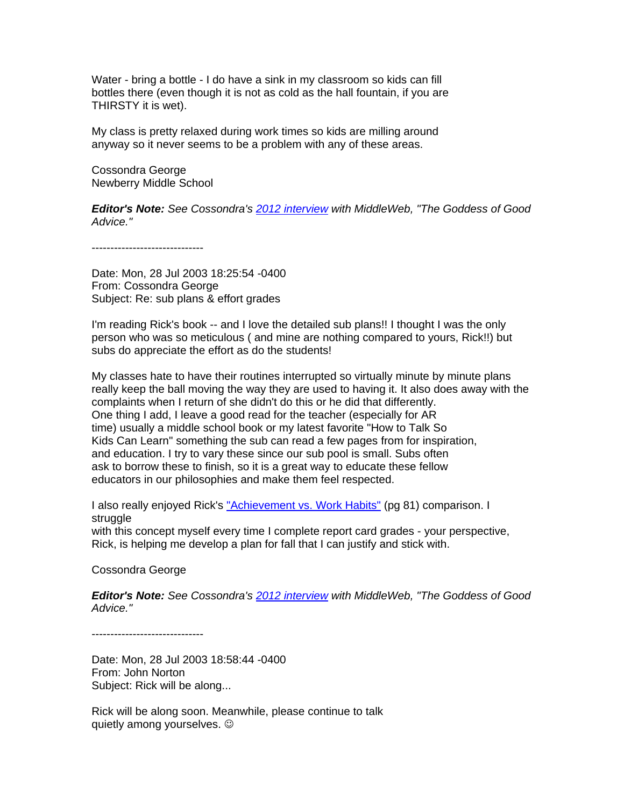Water - bring a bottle - I do have a sink in my classroom so kids can fill bottles there (even though it is not as cold as the hall fountain, if you are THIRSTY it is wet).

My class is pretty relaxed during work times so kids are milling around anyway so it never seems to be a problem with any of these areas.

Cossondra George Newberry Middle School

*Editor's Note: See Cossondra's [2012 interview](http://www.middleweb.com/1282/the-goddess-of-good-advice) with MiddleWeb, "The Goddess of Good Advice."*

------------------------------

Date: Mon, 28 Jul 2003 18:25:54 -0400 From: Cossondra George Subject: Re: sub plans & effort grades

I'm reading Rick's book -- and I love the detailed sub plans!! I thought I was the only person who was so meticulous ( and mine are nothing compared to yours, Rick!!) but subs do appreciate the effort as do the students!

My classes hate to have their routines interrupted so virtually minute by minute plans really keep the ball moving the way they are used to having it. It also does away with the complaints when I return of she didn't do this or he did that differently. One thing I add, I leave a good read for the teacher (especially for AR time) usually a middle school book or my latest favorite "How to Talk So Kids Can Learn" something the sub can read a few pages from for inspiration, and education. I try to vary these since our sub pool is small. Subs often ask to borrow these to finish, so it is a great way to educate these fellow educators in our philosophies and make them feel respected.

I also really enjoyed Rick's ["Achievement vs. Work Habits"](http://books.google.com/books?id=RxNGBq3uuccC&pg=PT91&lpg=PT91&dq=wormeli+achievement+vs+work+habits&source=bl&ots=vEThV_F9qN&sig=nh6PgxNDEbFRmnEcXILmYf1DbYU&hl=en&sa=X&ei=udknULDDDaWK6QHPgIHwCQ&ved=0CDcQ6AEwAQ#v=onepage&q=wormeli%20achievement%20vs%20work%20habits&f=false) (pg 81) comparison. I struggle

with this concept myself every time I complete report card grades - your perspective, Rick, is helping me develop a plan for fall that I can justify and stick with.

Cossondra George

*Editor's Note: See Cossondra's [2012 interview](http://www.middleweb.com/1282/the-goddess-of-good-advice) with MiddleWeb, "The Goddess of Good Advice."*

------------------------------

Date: Mon, 28 Jul 2003 18:58:44 -0400 From: John Norton Subject: Rick will be along...

Rick will be along soon. Meanwhile, please continue to talk quietly among yourselves.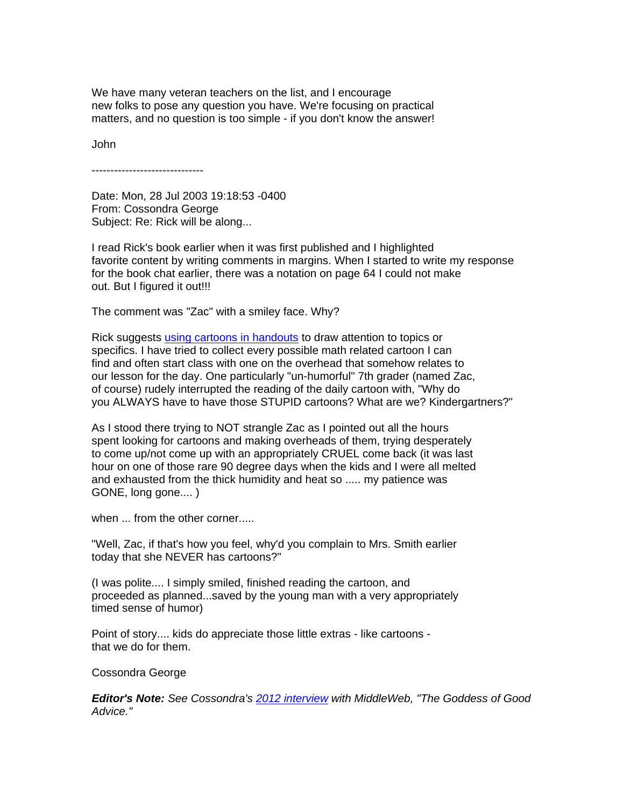We have many veteran teachers on the list, and I encourage new folks to pose any question you have. We're focusing on practical matters, and no question is too simple - if you don't know the answer!

John

------------------------------

Date: Mon, 28 Jul 2003 19:18:53 -0400 From: Cossondra George Subject: Re: Rick will be along...

I read Rick's book earlier when it was first published and I highlighted favorite content by writing comments in margins. When I started to write my response for the book chat earlier, there was a notation on page 64 I could not make out. But I figured it out!!!

The comment was "Zac" with a smiley face. Why?

Rick suggests [using cartoons in handouts](http://books.google.com/books?id=RxNGBq3uuccC&pg=PT73&lpg=PT73&dq=wormeli+using+cartoons+64&source=bl&ots=vEThV_G1xP&sig=GE4Oi5fzCOjSYOL6FCs9C6xNTs0&hl=en&sa=X&ei=ydonUKmIL7SM6QHr-oDADw&ved=0CDIQ6AEwAA#v=onepage&q=wormeli%20using%20cartoons%2064&f=false) to draw attention to topics or specifics. I have tried to collect every possible math related cartoon I can find and often start class with one on the overhead that somehow relates to our lesson for the day. One particularly "un-humorful" 7th grader (named Zac, of course) rudely interrupted the reading of the daily cartoon with, "Why do you ALWAYS have to have those STUPID cartoons? What are we? Kindergartners?"

As I stood there trying to NOT strangle Zac as I pointed out all the hours spent looking for cartoons and making overheads of them, trying desperately to come up/not come up with an appropriately CRUEL come back (it was last hour on one of those rare 90 degree days when the kids and I were all melted and exhausted from the thick humidity and heat so ..... my patience was GONE, long gone.... )

when ... from the other corner.....

"Well, Zac, if that's how you feel, why'd you complain to Mrs. Smith earlier today that she NEVER has cartoons?"

(I was polite.... I simply smiled, finished reading the cartoon, and proceeded as planned...saved by the young man with a very appropriately timed sense of humor)

Point of story.... kids do appreciate those little extras - like cartoons that we do for them.

Cossondra George

*Editor's Note: See Cossondra's [2012 interview](http://www.middleweb.com/1282/the-goddess-of-good-advice) with MiddleWeb, "The Goddess of Good Advice."*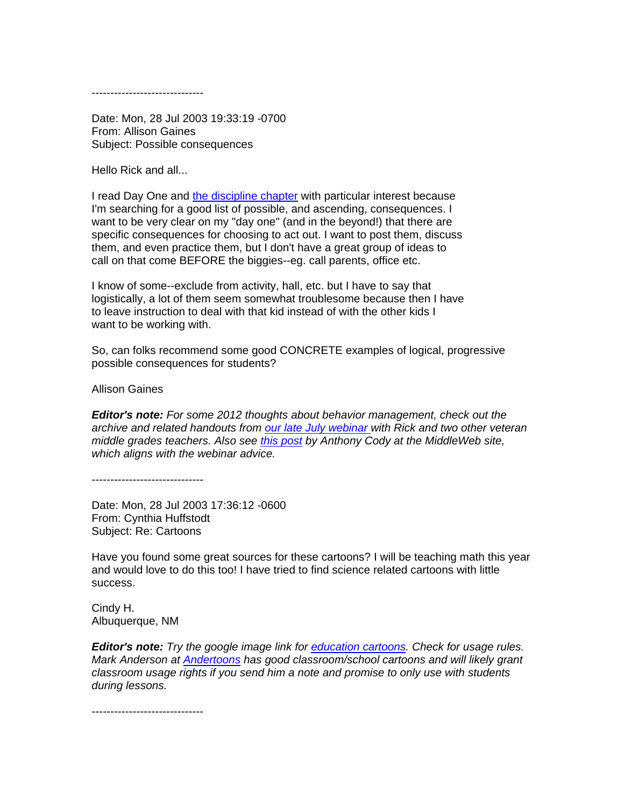------------------------------

Date: Mon, 28 Jul 2003 19:33:19 -0700 From: Allison Gaines Subject: Possible consequences

Hello Rick and all...

I read Day One and [the discipline chapter](http://books.google.com/books?id=RxNGBq3uuccC&pg=PT73&lpg=PT73&dq=wormeli+using+cartoons+64&source=bl&ots=vEThV_G1xP&sig=GE4Oi5fzCOjSYOL6FCs9C6xNTs0&hl=en&sa=X&ei=ydonUKmIL7SM6QHr-oDADw&ved=0CDIQ6AEwAA#v=onepage&q=wormeli%20using%20cartoons%2064&f=false) with particular interest because I'm searching for a good list of possible, and ascending, consequences. I want to be very clear on my "day one" (and in the beyond!) that there are specific consequences for choosing to act out. I want to post them, discuss them, and even practice them, but I don't have a great group of ideas to call on that come BEFORE the biggies--eg. call parents, office etc.

I know of some--exclude from activity, hall, etc. but I have to say that logistically, a lot of them seem somewhat troublesome because then I have to leave instruction to deal with that kid instead of with the other kids I want to be working with.

So, can folks recommend some good CONCRETE examples of logical, progressive possible consequences for students?

Allison Gaines

*Editor's note: For some 2012 thoughts about behavior management, check out the archive and related handouts from [our late July webinar w](http://www.middleweb.com/1200/free-new-teacher-webinar)ith Rick and two other veteran middle grades teachers. Also see [this post](http://www.middleweb.com/2012/teachers-engage-students-behave) by Anthony Cody at the MiddleWeb site, which aligns with the webinar advice.*

------------------------------

Date: Mon, 28 Jul 2003 17:36:12 -0600 From: Cynthia Huffstodt Subject: Re: Cartoons

Have you found some great sources for these cartoons? I will be teaching math this year and would love to do this too! I have tried to find science related cartoons with little success.

Cindy H. Albuquerque, NM

*Editor's note: Try the google image link for [education cartoons.](https://www.google.com/search?q=education+cartoons&hl=en&client=firefox-a&hs=yiH&rls=org.mozilla:en-US:official&prmd=imvns&tbm=isch&tbo=u&source=univ&sa=X&ei=idsnUJK7OPDH6AHWuIGIBw&ved=0CGwQsAQ&biw=1333&bih=753) Check for usage rules. Mark Anderson at [Andertoons](http://www.andertoons.com/free-cartoons/) has good classroom/school cartoons and will likely grant classroom usage rights if you send him a note and promise to only use with students during lessons.*

------------------------------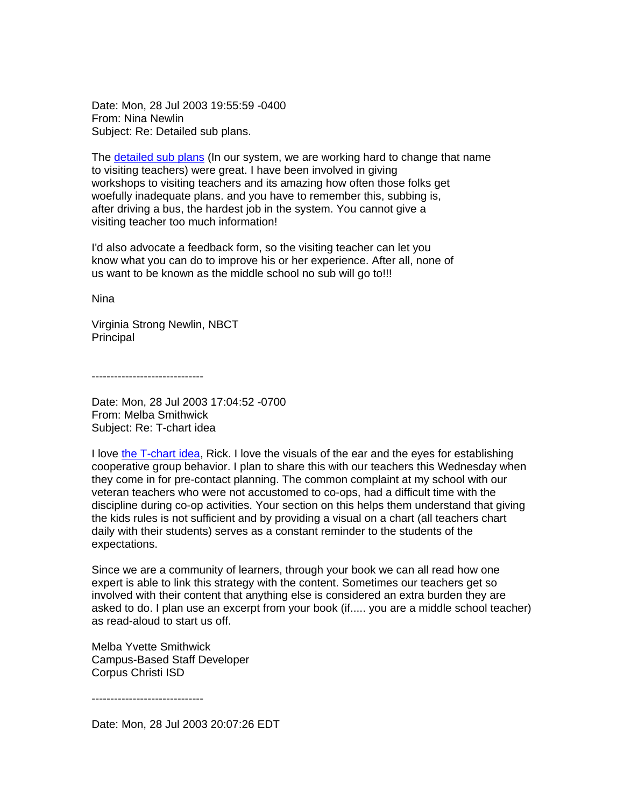Date: Mon, 28 Jul 2003 19:55:59 -0400 From: Nina Newlin Subject: Re: Detailed sub plans.

The [detailed sub](http://books.google.com/books?id=RxNGBq3uuccC&pg=PT159&lpg=PT159&dq=wormeli+sub+plans&source=bl&ots=vEThV_G7rN&sig=C7a_aeCbjVt5xJlWhLRfI-4vVOo&hl=en&sa=X&ei=4twnUMTOMab20gHstYHICw&ved=0CEkQ6AEwBA#v=onepage&q=wormeli%20sub%20plans&f=false) plans (In our system, we are working hard to change that name to visiting teachers) were great. I have been involved in giving workshops to visiting teachers and its amazing how often those folks get woefully inadequate plans. and you have to remember this, subbing is, after driving a bus, the hardest job in the system. You cannot give a visiting teacher too much information!

I'd also advocate a feedback form, so the visiting teacher can let you know what you can do to improve his or her experience. After all, none of us want to be known as the middle school no sub will go to!!!

Nina

Virginia Strong Newlin, NBCT Principal

------------------------------

Date: Mon, 28 Jul 2003 17:04:52 -0700 From: Melba Smithwick Subject: Re: T-chart idea

I love [the T-chart idea,](http://books.google.com/books?id=RxNGBq3uuccC&pg=PT49&lpg=PT49&dq=wormeli+t-chart&source=bl&ots=vEThV_B0wQ&sig=X3dhsxWrf8bNFae3Ro1qYu99_1U&hl=en&sa=X&ei=1MYnULa_BKrF6gHyhYHoAQ&ved=0CFAQ6AEwAA#v=onepage&q=wormeli%20t-chart&f=false) Rick. I love the visuals of the ear and the eyes for establishing cooperative group behavior. I plan to share this with our teachers this Wednesday when they come in for pre-contact planning. The common complaint at my school with our veteran teachers who were not accustomed to co-ops, had a difficult time with the discipline during co-op activities. Your section on this helps them understand that giving the kids rules is not sufficient and by providing a visual on a chart (all teachers chart daily with their students) serves as a constant reminder to the students of the expectations.

Since we are a community of learners, through your book we can all read how one expert is able to link this strategy with the content. Sometimes our teachers get so involved with their content that anything else is considered an extra burden they are asked to do. I plan use an excerpt from your book (if..... you are a middle school teacher) as read-aloud to start us off.

Melba Yvette Smithwick Campus-Based Staff Developer Corpus Christi ISD

------------------------------

Date: Mon, 28 Jul 2003 20:07:26 EDT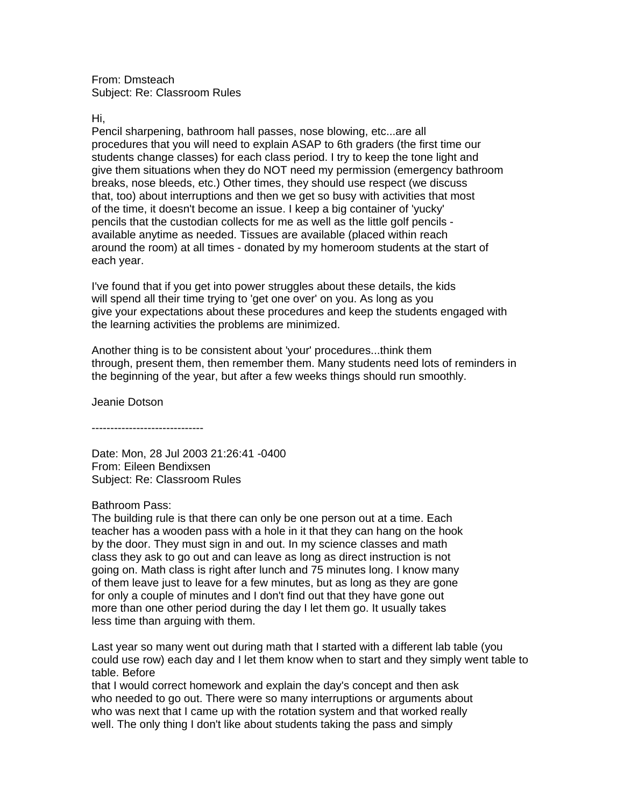From: Dmsteach Subject: Re: Classroom Rules

Hi,

Pencil sharpening, bathroom hall passes, nose blowing, etc...are all procedures that you will need to explain ASAP to 6th graders (the first time our students change classes) for each class period. I try to keep the tone light and give them situations when they do NOT need my permission (emergency bathroom breaks, nose bleeds, etc.) Other times, they should use respect (we discuss that, too) about interruptions and then we get so busy with activities that most of the time, it doesn't become an issue. I keep a big container of 'yucky' pencils that the custodian collects for me as well as the little golf pencils available anytime as needed. Tissues are available (placed within reach around the room) at all times - donated by my homeroom students at the start of each year.

I've found that if you get into power struggles about these details, the kids will spend all their time trying to 'get one over' on you. As long as you give your expectations about these procedures and keep the students engaged with the learning activities the problems are minimized.

Another thing is to be consistent about 'your' procedures...think them through, present them, then remember them. Many students need lots of reminders in the beginning of the year, but after a few weeks things should run smoothly.

Jeanie Dotson

------------------------------

Date: Mon, 28 Jul 2003 21:26:41 -0400 From: Eileen Bendixsen Subject: Re: Classroom Rules

# Bathroom Pass:

The building rule is that there can only be one person out at a time. Each teacher has a wooden pass with a hole in it that they can hang on the hook by the door. They must sign in and out. In my science classes and math class they ask to go out and can leave as long as direct instruction is not going on. Math class is right after lunch and 75 minutes long. I know many of them leave just to leave for a few minutes, but as long as they are gone for only a couple of minutes and I don't find out that they have gone out more than one other period during the day I let them go. It usually takes less time than arguing with them.

Last year so many went out during math that I started with a different lab table (you could use row) each day and I let them know when to start and they simply went table to table. Before

that I would correct homework and explain the day's concept and then ask who needed to go out. There were so many interruptions or arguments about who was next that I came up with the rotation system and that worked really well. The only thing I don't like about students taking the pass and simply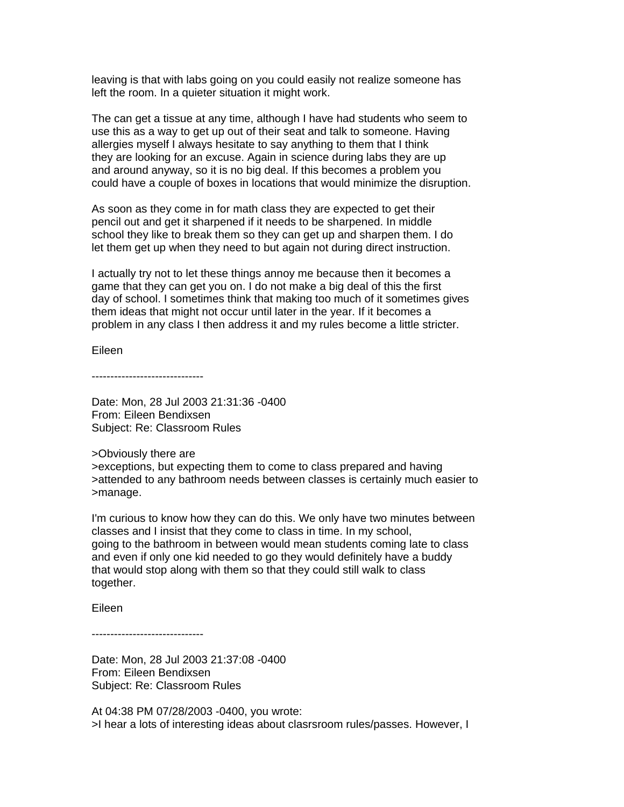leaving is that with labs going on you could easily not realize someone has left the room. In a quieter situation it might work.

The can get a tissue at any time, although I have had students who seem to use this as a way to get up out of their seat and talk to someone. Having allergies myself I always hesitate to say anything to them that I think they are looking for an excuse. Again in science during labs they are up and around anyway, so it is no big deal. If this becomes a problem you could have a couple of boxes in locations that would minimize the disruption.

As soon as they come in for math class they are expected to get their pencil out and get it sharpened if it needs to be sharpened. In middle school they like to break them so they can get up and sharpen them. I do let them get up when they need to but again not during direct instruction.

I actually try not to let these things annoy me because then it becomes a game that they can get you on. I do not make a big deal of this the first day of school. I sometimes think that making too much of it sometimes gives them ideas that might not occur until later in the year. If it becomes a problem in any class I then address it and my rules become a little stricter.

Eileen

------------------------------

Date: Mon, 28 Jul 2003 21:31:36 -0400 From: Eileen Bendixsen Subject: Re: Classroom Rules

>Obviously there are >exceptions, but expecting them to come to class prepared and having >attended to any bathroom needs between classes is certainly much easier to >manage.

I'm curious to know how they can do this. We only have two minutes between classes and I insist that they come to class in time. In my school, going to the bathroom in between would mean students coming late to class and even if only one kid needed to go they would definitely have a buddy that would stop along with them so that they could still walk to class together.

Eileen

------------------------------

Date: Mon, 28 Jul 2003 21:37:08 -0400 From: Eileen Bendixsen Subject: Re: Classroom Rules

At 04:38 PM 07/28/2003 -0400, you wrote: >I hear a lots of interesting ideas about clasrsroom rules/passes. However, I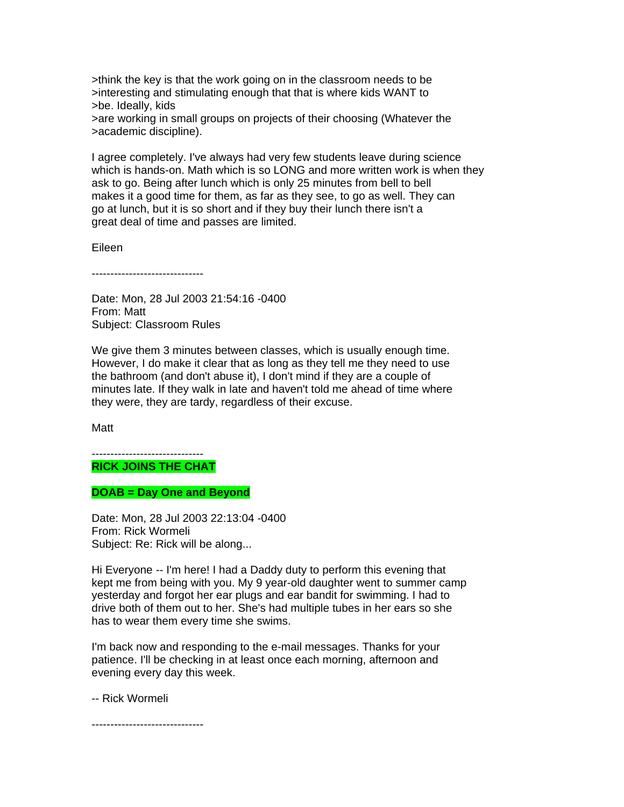>think the key is that the work going on in the classroom needs to be >interesting and stimulating enough that that is where kids WANT to >be. Ideally, kids

>are working in small groups on projects of their choosing (Whatever the >academic discipline).

I agree completely. I've always had very few students leave during science which is hands-on. Math which is so LONG and more written work is when they ask to go. Being after lunch which is only 25 minutes from bell to bell makes it a good time for them, as far as they see, to go as well. They can go at lunch, but it is so short and if they buy their lunch there isn't a great deal of time and passes are limited.

Eileen

------------------------------

Date: Mon, 28 Jul 2003 21:54:16 -0400 From: Matt Subject: Classroom Rules

We give them 3 minutes between classes, which is usually enough time. However, I do make it clear that as long as they tell me they need to use the bathroom (and don't abuse it), I don't mind if they are a couple of minutes late. If they walk in late and haven't told me ahead of time where they were, they are tardy, regardless of their excuse.

Matt

#### ------------------------------ **RICK JOINS THE CHAT**

**DOAB = Day One and Beyond**

Date: Mon, 28 Jul 2003 22:13:04 -0400 From: Rick Wormeli Subject: Re: Rick will be along...

Hi Everyone -- I'm here! I had a Daddy duty to perform this evening that kept me from being with you. My 9 year-old daughter went to summer camp yesterday and forgot her ear plugs and ear bandit for swimming. I had to drive both of them out to her. She's had multiple tubes in her ears so she has to wear them every time she swims.

I'm back now and responding to the e-mail messages. Thanks for your patience. I'll be checking in at least once each morning, afternoon and evening every day this week.

-- Rick Wormeli

------------------------------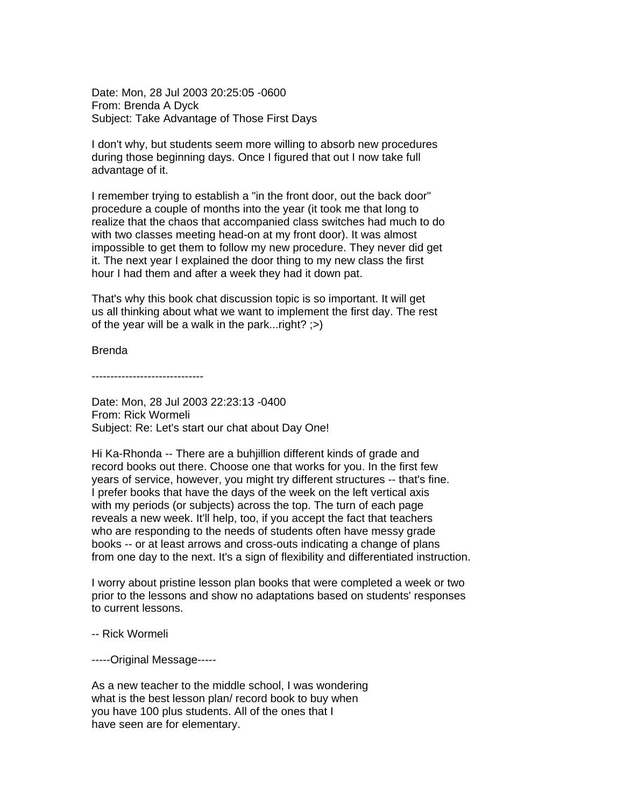Date: Mon, 28 Jul 2003 20:25:05 -0600 From: Brenda A Dyck Subject: Take Advantage of Those First Days

I don't why, but students seem more willing to absorb new procedures during those beginning days. Once I figured that out I now take full advantage of it.

I remember trying to establish a "in the front door, out the back door" procedure a couple of months into the year (it took me that long to realize that the chaos that accompanied class switches had much to do with two classes meeting head-on at my front door). It was almost impossible to get them to follow my new procedure. They never did get it. The next year I explained the door thing to my new class the first hour I had them and after a week they had it down pat.

That's why this book chat discussion topic is so important. It will get us all thinking about what we want to implement the first day. The rest of the year will be a walk in the park...right? ;>)

Brenda

------------------------------

Date: Mon, 28 Jul 2003 22:23:13 -0400 From: Rick Wormeli Subject: Re: Let's start our chat about Day One!

Hi Ka-Rhonda -- There are a buhjillion different kinds of grade and record books out there. Choose one that works for you. In the first few years of service, however, you might try different structures -- that's fine. I prefer books that have the days of the week on the left vertical axis with my periods (or subjects) across the top. The turn of each page reveals a new week. It'll help, too, if you accept the fact that teachers who are responding to the needs of students often have messy grade books -- or at least arrows and cross-outs indicating a change of plans from one day to the next. It's a sign of flexibility and differentiated instruction.

I worry about pristine lesson plan books that were completed a week or two prior to the lessons and show no adaptations based on students' responses to current lessons.

-- Rick Wormeli

-----Original Message-----

As a new teacher to the middle school, I was wondering what is the best lesson plan/ record book to buy when you have 100 plus students. All of the ones that I have seen are for elementary.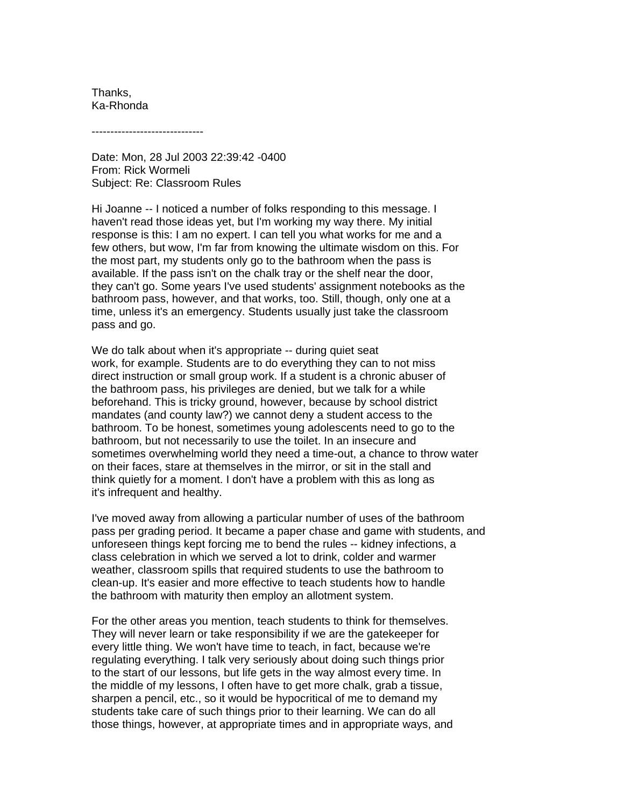Thanks, Ka-Rhonda

------------------------------

Date: Mon, 28 Jul 2003 22:39:42 -0400 From: Rick Wormeli Subject: Re: Classroom Rules

Hi Joanne -- I noticed a number of folks responding to this message. I haven't read those ideas yet, but I'm working my way there. My initial response is this: I am no expert. I can tell you what works for me and a few others, but wow, I'm far from knowing the ultimate wisdom on this. For the most part, my students only go to the bathroom when the pass is available. If the pass isn't on the chalk tray or the shelf near the door, they can't go. Some years I've used students' assignment notebooks as the bathroom pass, however, and that works, too. Still, though, only one at a time, unless it's an emergency. Students usually just take the classroom pass and go.

We do talk about when it's appropriate -- during quiet seat work, for example. Students are to do everything they can to not miss direct instruction or small group work. If a student is a chronic abuser of the bathroom pass, his privileges are denied, but we talk for a while beforehand. This is tricky ground, however, because by school district mandates (and county law?) we cannot deny a student access to the bathroom. To be honest, sometimes young adolescents need to go to the bathroom, but not necessarily to use the toilet. In an insecure and sometimes overwhelming world they need a time-out, a chance to throw water on their faces, stare at themselves in the mirror, or sit in the stall and think quietly for a moment. I don't have a problem with this as long as it's infrequent and healthy.

I've moved away from allowing a particular number of uses of the bathroom pass per grading period. It became a paper chase and game with students, and unforeseen things kept forcing me to bend the rules -- kidney infections, a class celebration in which we served a lot to drink, colder and warmer weather, classroom spills that required students to use the bathroom to clean-up. It's easier and more effective to teach students how to handle the bathroom with maturity then employ an allotment system.

For the other areas you mention, teach students to think for themselves. They will never learn or take responsibility if we are the gatekeeper for every little thing. We won't have time to teach, in fact, because we're regulating everything. I talk very seriously about doing such things prior to the start of our lessons, but life gets in the way almost every time. In the middle of my lessons, I often have to get more chalk, grab a tissue, sharpen a pencil, etc., so it would be hypocritical of me to demand my students take care of such things prior to their learning. We can do all those things, however, at appropriate times and in appropriate ways, and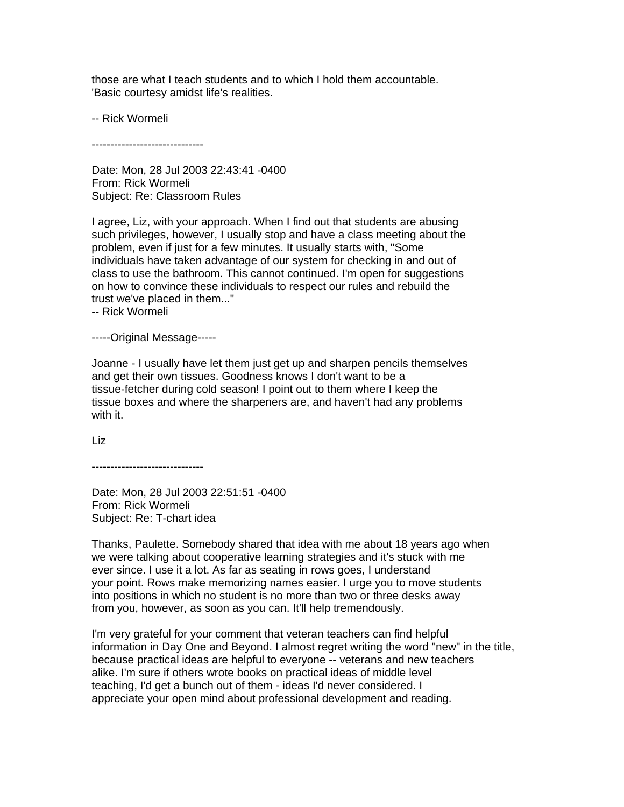those are what I teach students and to which I hold them accountable. 'Basic courtesy amidst life's realities.

-- Rick Wormeli

------------------------------

Date: Mon, 28 Jul 2003 22:43:41 -0400 From: Rick Wormeli Subject: Re: Classroom Rules

I agree, Liz, with your approach. When I find out that students are abusing such privileges, however, I usually stop and have a class meeting about the problem, even if just for a few minutes. It usually starts with, "Some individuals have taken advantage of our system for checking in and out of class to use the bathroom. This cannot continued. I'm open for suggestions on how to convince these individuals to respect our rules and rebuild the trust we've placed in them..."

-- Rick Wormeli

-----Original Message-----

Joanne - I usually have let them just get up and sharpen pencils themselves and get their own tissues. Goodness knows I don't want to be a tissue-fetcher during cold season! I point out to them where I keep the tissue boxes and where the sharpeners are, and haven't had any problems with it.

Liz

------------------------------

Date: Mon, 28 Jul 2003 22:51:51 -0400 From: Rick Wormeli Subject: Re: T-chart idea

Thanks, Paulette. Somebody shared that idea with me about 18 years ago when we were talking about cooperative learning strategies and it's stuck with me ever since. I use it a lot. As far as seating in rows goes, I understand your point. Rows make memorizing names easier. I urge you to move students into positions in which no student is no more than two or three desks away from you, however, as soon as you can. It'll help tremendously.

I'm very grateful for your comment that veteran teachers can find helpful information in Day One and Beyond. I almost regret writing the word "new" in the title, because practical ideas are helpful to everyone -- veterans and new teachers alike. I'm sure if others wrote books on practical ideas of middle level teaching, I'd get a bunch out of them - ideas I'd never considered. I appreciate your open mind about professional development and reading.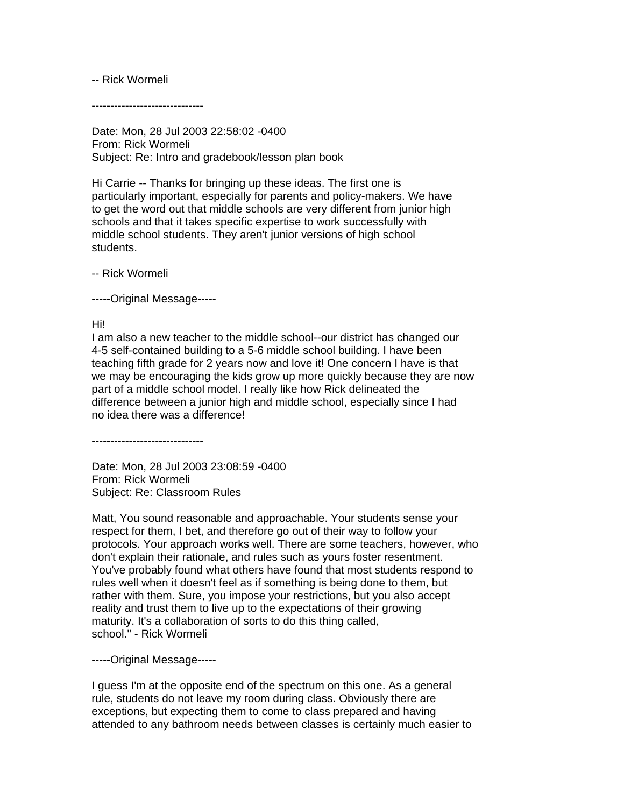### -- Rick Wormeli

------------------------------

Date: Mon, 28 Jul 2003 22:58:02 -0400 From: Rick Wormeli Subject: Re: Intro and gradebook/lesson plan book

Hi Carrie -- Thanks for bringing up these ideas. The first one is particularly important, especially for parents and policy-makers. We have to get the word out that middle schools are very different from junior high schools and that it takes specific expertise to work successfully with middle school students. They aren't junior versions of high school students.

-- Rick Wormeli

-----Original Message-----

Hi!

I am also a new teacher to the middle school--our district has changed our 4-5 self-contained building to a 5-6 middle school building. I have been teaching fifth grade for 2 years now and love it! One concern I have is that we may be encouraging the kids grow up more quickly because they are now part of a middle school model. I really like how Rick delineated the difference between a junior high and middle school, especially since I had no idea there was a difference!

------------------------------

Date: Mon, 28 Jul 2003 23:08:59 -0400 From: Rick Wormeli Subject: Re: Classroom Rules

Matt, You sound reasonable and approachable. Your students sense your respect for them, I bet, and therefore go out of their way to follow your protocols. Your approach works well. There are some teachers, however, who don't explain their rationale, and rules such as yours foster resentment. You've probably found what others have found that most students respond to rules well when it doesn't feel as if something is being done to them, but rather with them. Sure, you impose your restrictions, but you also accept reality and trust them to live up to the expectations of their growing maturity. It's a collaboration of sorts to do this thing called, school." - Rick Wormeli

-----Original Message-----

I guess I'm at the opposite end of the spectrum on this one. As a general rule, students do not leave my room during class. Obviously there are exceptions, but expecting them to come to class prepared and having attended to any bathroom needs between classes is certainly much easier to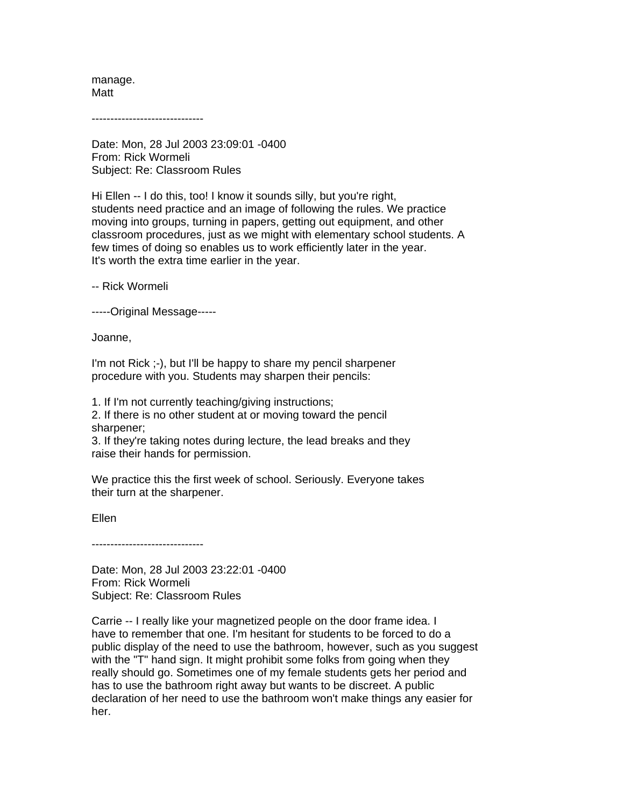manage. Matt

------------------------------

Date: Mon, 28 Jul 2003 23:09:01 -0400 From: Rick Wormeli Subject: Re: Classroom Rules

Hi Ellen -- I do this, too! I know it sounds silly, but you're right, students need practice and an image of following the rules. We practice moving into groups, turning in papers, getting out equipment, and other classroom procedures, just as we might with elementary school students. A few times of doing so enables us to work efficiently later in the year. It's worth the extra time earlier in the year.

-- Rick Wormeli

-----Original Message-----

Joanne,

I'm not Rick ;-), but I'll be happy to share my pencil sharpener procedure with you. Students may sharpen their pencils:

1. If I'm not currently teaching/giving instructions;

2. If there is no other student at or moving toward the pencil sharpener;

3. If they're taking notes during lecture, the lead breaks and they raise their hands for permission.

We practice this the first week of school. Seriously. Everyone takes their turn at the sharpener.

Ellen

------------------------------

Date: Mon, 28 Jul 2003 23:22:01 -0400 From: Rick Wormeli Subject: Re: Classroom Rules

Carrie -- I really like your magnetized people on the door frame idea. I have to remember that one. I'm hesitant for students to be forced to do a public display of the need to use the bathroom, however, such as you suggest with the "T" hand sign. It might prohibit some folks from going when they really should go. Sometimes one of my female students gets her period and has to use the bathroom right away but wants to be discreet. A public declaration of her need to use the bathroom won't make things any easier for her.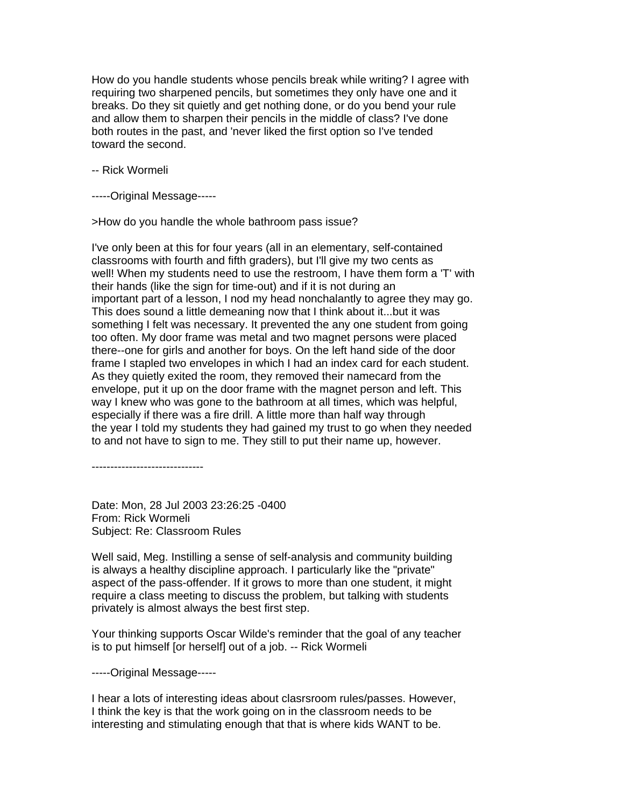How do you handle students whose pencils break while writing? I agree with requiring two sharpened pencils, but sometimes they only have one and it breaks. Do they sit quietly and get nothing done, or do you bend your rule and allow them to sharpen their pencils in the middle of class? I've done both routes in the past, and 'never liked the first option so I've tended toward the second.

-- Rick Wormeli

-----Original Message-----

>How do you handle the whole bathroom pass issue?

I've only been at this for four years (all in an elementary, self-contained classrooms with fourth and fifth graders), but I'll give my two cents as well! When my students need to use the restroom, I have them form a 'T' with their hands (like the sign for time-out) and if it is not during an important part of a lesson, I nod my head nonchalantly to agree they may go. This does sound a little demeaning now that I think about it...but it was something I felt was necessary. It prevented the any one student from going too often. My door frame was metal and two magnet persons were placed there--one for girls and another for boys. On the left hand side of the door frame I stapled two envelopes in which I had an index card for each student. As they quietly exited the room, they removed their namecard from the envelope, put it up on the door frame with the magnet person and left. This way I knew who was gone to the bathroom at all times, which was helpful, especially if there was a fire drill. A little more than half way through the year I told my students they had gained my trust to go when they needed to and not have to sign to me. They still to put their name up, however.

------------------------------

Date: Mon, 28 Jul 2003 23:26:25 -0400 From: Rick Wormeli Subject: Re: Classroom Rules

Well said, Meg. Instilling a sense of self-analysis and community building is always a healthy discipline approach. I particularly like the "private" aspect of the pass-offender. If it grows to more than one student, it might require a class meeting to discuss the problem, but talking with students privately is almost always the best first step.

Your thinking supports Oscar Wilde's reminder that the goal of any teacher is to put himself [or herself] out of a job. -- Rick Wormeli

-----Original Message-----

I hear a lots of interesting ideas about clasrsroom rules/passes. However, I think the key is that the work going on in the classroom needs to be interesting and stimulating enough that that is where kids WANT to be.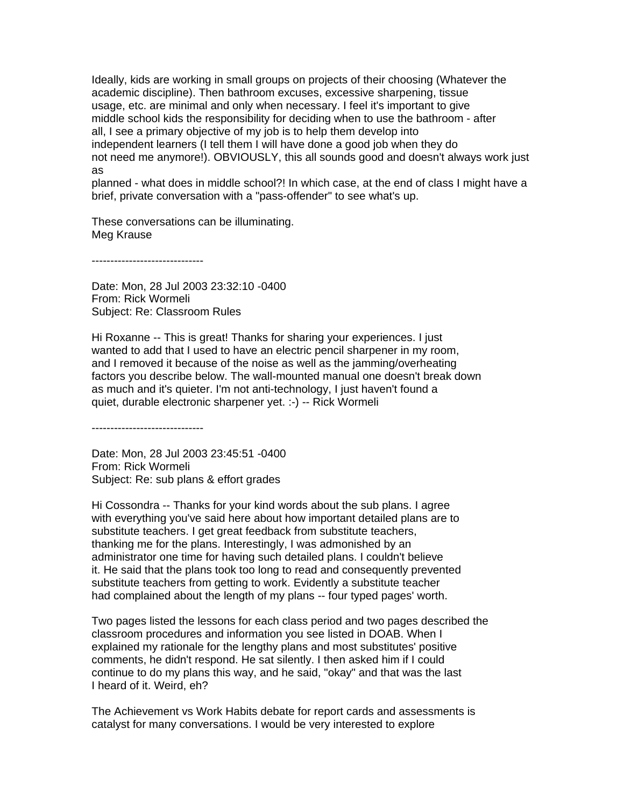Ideally, kids are working in small groups on projects of their choosing (Whatever the academic discipline). Then bathroom excuses, excessive sharpening, tissue usage, etc. are minimal and only when necessary. I feel it's important to give middle school kids the responsibility for deciding when to use the bathroom - after all, I see a primary objective of my job is to help them develop into independent learners (I tell them I will have done a good job when they do not need me anymore!). OBVIOUSLY, this all sounds good and doesn't always work just as

planned - what does in middle school?! In which case, at the end of class I might have a brief, private conversation with a "pass-offender" to see what's up.

These conversations can be illuminating. Meg Krause

------------------------------

Date: Mon, 28 Jul 2003 23:32:10 -0400 From: Rick Wormeli Subject: Re: Classroom Rules

Hi Roxanne -- This is great! Thanks for sharing your experiences. I just wanted to add that I used to have an electric pencil sharpener in my room, and I removed it because of the noise as well as the jamming/overheating factors you describe below. The wall-mounted manual one doesn't break down as much and it's quieter. I'm not anti-technology, I just haven't found a quiet, durable electronic sharpener yet. :-) -- Rick Wormeli

------------------------------

Date: Mon, 28 Jul 2003 23:45:51 -0400 From: Rick Wormeli Subject: Re: sub plans & effort grades

Hi Cossondra -- Thanks for your kind words about the sub plans. I agree with everything you've said here about how important detailed plans are to substitute teachers. I get great feedback from substitute teachers, thanking me for the plans. Interestingly, I was admonished by an administrator one time for having such detailed plans. I couldn't believe it. He said that the plans took too long to read and consequently prevented substitute teachers from getting to work. Evidently a substitute teacher had complained about the length of my plans -- four typed pages' worth.

Two pages listed the lessons for each class period and two pages described the classroom procedures and information you see listed in DOAB. When I explained my rationale for the lengthy plans and most substitutes' positive comments, he didn't respond. He sat silently. I then asked him if I could continue to do my plans this way, and he said, "okay" and that was the last I heard of it. Weird, eh?

The Achievement vs Work Habits debate for report cards and assessments is catalyst for many conversations. I would be very interested to explore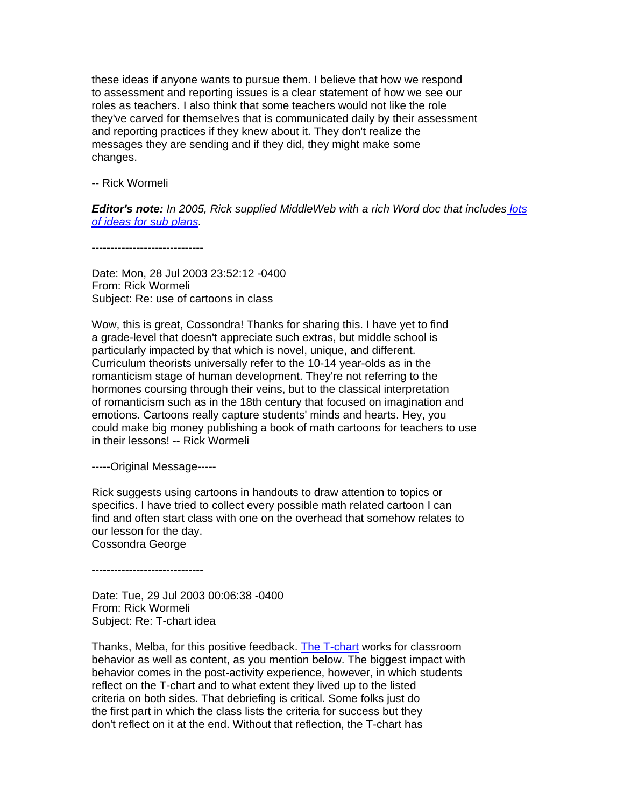these ideas if anyone wants to pursue them. I believe that how we respond to assessment and reporting issues is a clear statement of how we see our roles as teachers. I also think that some teachers would not like the role they've carved for themselves that is communicated daily by their assessment and reporting practices if they knew about it. They don't realize the messages they are sending and if they did, they might make some changes.

-- Rick Wormeli

*Editor's note: In 2005, Rick supplied MiddleWeb with a rich Word doc that includes [lots](http://www.middleweb.com/wp-content/uploads/2012/08/Wormeli_subplanideas.doc)  [of ideas for sub plans.](http://www.middleweb.com/wp-content/uploads/2012/08/Wormeli_subplanideas.doc)*

------------------------------

Date: Mon, 28 Jul 2003 23:52:12 -0400 From: Rick Wormeli Subject: Re: use of cartoons in class

Wow, this is great, Cossondra! Thanks for sharing this. I have yet to find a grade-level that doesn't appreciate such extras, but middle school is particularly impacted by that which is novel, unique, and different. Curriculum theorists universally refer to the 10-14 year-olds as in the romanticism stage of human development. They're not referring to the hormones coursing through their veins, but to the classical interpretation of romanticism such as in the 18th century that focused on imagination and emotions. Cartoons really capture students' minds and hearts. Hey, you could make big money publishing a book of math cartoons for teachers to use in their lessons! -- Rick Wormeli

-----Original Message-----

Rick suggests using cartoons in handouts to draw attention to topics or specifics. I have tried to collect every possible math related cartoon I can find and often start class with one on the overhead that somehow relates to our lesson for the day. Cossondra George

------------------------------

Date: Tue, 29 Jul 2003 00:06:38 -0400 From: Rick Wormeli Subject: Re: T-chart idea

Thanks, Melba, for this positive feedback. [The T-chart](http://books.google.com/books?id=RxNGBq3uuccC&pg=PT112&lpg=PT112&dq=wormeli+t-chart&source=bl&ots=vEThV-x8uU&sig=FBOJ--sIjWuvdcjCcNCtGdjEL7g&hl=en&sa=X&ei=VOEnUOGqCIXG6AGQxoCICA&ved=0CEUQ6AEwAw#v=onepage&q=wormeli%20t-chart&f=false) works for classroom behavior as well as content, as you mention below. The biggest impact with behavior comes in the post-activity experience, however, in which students reflect on the T-chart and to what extent they lived up to the listed criteria on both sides. That debriefing is critical. Some folks just do the first part in which the class lists the criteria for success but they don't reflect on it at the end. Without that reflection, the T-chart has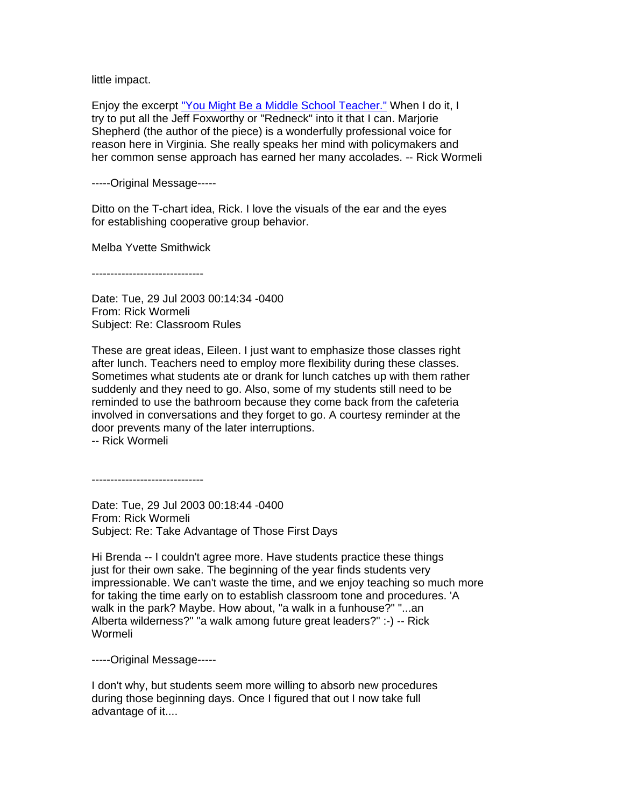little impact.

Enjoy the excerpt ["You Might Be a Middle School Teacher."](http://www.iowachoral.org/rs/jhms/kit/mightbe.pdf) When I do it, I try to put all the Jeff Foxworthy or "Redneck" into it that I can. Marjorie Shepherd (the author of the piece) is a wonderfully professional voice for reason here in Virginia. She really speaks her mind with policymakers and her common sense approach has earned her many accolades. -- Rick Wormeli

-----Original Message-----

Ditto on the T-chart idea, Rick. I love the visuals of the ear and the eyes for establishing cooperative group behavior.

Melba Yvette Smithwick

------------------------------

Date: Tue, 29 Jul 2003 00:14:34 -0400 From: Rick Wormeli Subject: Re: Classroom Rules

These are great ideas, Eileen. I just want to emphasize those classes right after lunch. Teachers need to employ more flexibility during these classes. Sometimes what students ate or drank for lunch catches up with them rather suddenly and they need to go. Also, some of my students still need to be reminded to use the bathroom because they come back from the cafeteria involved in conversations and they forget to go. A courtesy reminder at the door prevents many of the later interruptions.

-- Rick Wormeli

------------------------------

Date: Tue, 29 Jul 2003 00:18:44 -0400 From: Rick Wormeli Subject: Re: Take Advantage of Those First Days

Hi Brenda -- I couldn't agree more. Have students practice these things just for their own sake. The beginning of the year finds students very impressionable. We can't waste the time, and we enjoy teaching so much more for taking the time early on to establish classroom tone and procedures. 'A walk in the park? Maybe. How about, "a walk in a funhouse?" "...an Alberta wilderness?" "a walk among future great leaders?" :-) -- Rick Wormeli

-----Original Message-----

I don't why, but students seem more willing to absorb new procedures during those beginning days. Once I figured that out I now take full advantage of it....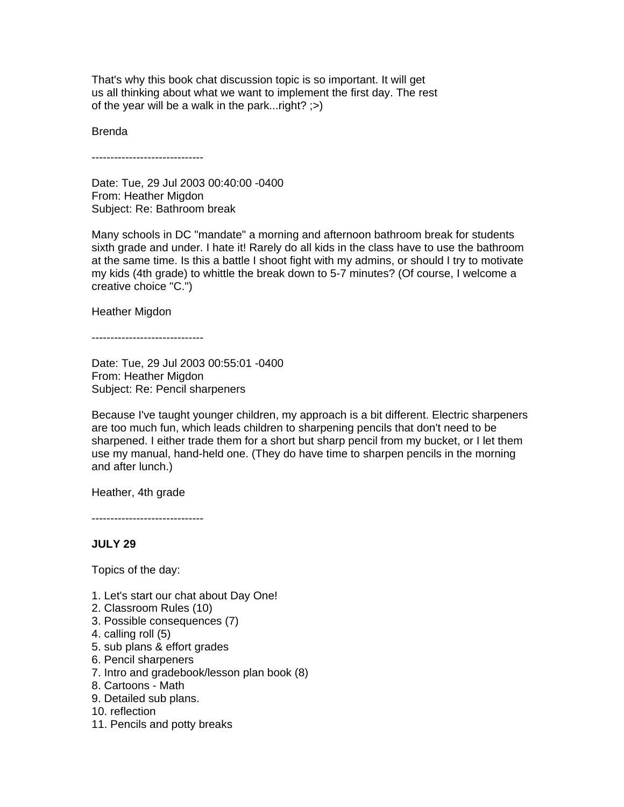That's why this book chat discussion topic is so important. It will get us all thinking about what we want to implement the first day. The rest of the year will be a walk in the park... $right?$ ;

Brenda

------------------------------

Date: Tue, 29 Jul 2003 00:40:00 -0400 From: Heather Migdon Subject: Re: Bathroom break

Many schools in DC "mandate" a morning and afternoon bathroom break for students sixth grade and under. I hate it! Rarely do all kids in the class have to use the bathroom at the same time. Is this a battle I shoot fight with my admins, or should I try to motivate my kids (4th grade) to whittle the break down to 5-7 minutes? (Of course, I welcome a creative choice "C.")

Heather Migdon

------------------------------

Date: Tue, 29 Jul 2003 00:55:01 -0400 From: Heather Migdon Subject: Re: Pencil sharpeners

Because I've taught younger children, my approach is a bit different. Electric sharpeners are too much fun, which leads children to sharpening pencils that don't need to be sharpened. I either trade them for a short but sharp pencil from my bucket, or I let them use my manual, hand-held one. (They do have time to sharpen pencils in the morning and after lunch.)

Heather, 4th grade

------------------------------

# **JULY 29**

Topics of the day:

- 1. Let's start our chat about Day One!
- 2. Classroom Rules (10)
- 3. Possible consequences (7)
- 4. calling roll (5)
- 5. sub plans & effort grades
- 6. Pencil sharpeners
- 7. Intro and gradebook/lesson plan book (8)
- 8. Cartoons Math
- 9. Detailed sub plans.
- 10. reflection
- 11. Pencils and potty breaks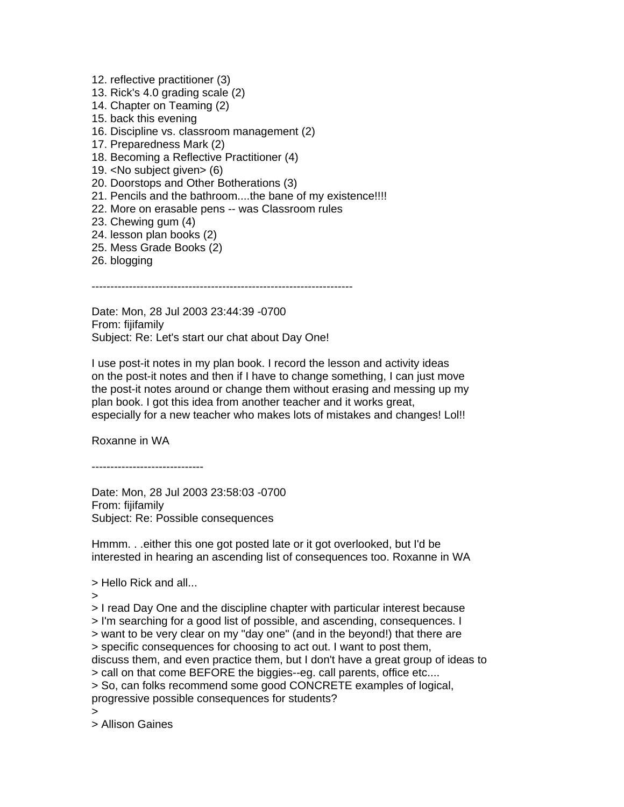- 12. reflective practitioner (3)
- 13. Rick's 4.0 grading scale (2)
- 14. Chapter on Teaming (2)
- 15. back this evening
- 16. Discipline vs. classroom management (2)
- 17. Preparedness Mark (2)
- 18. Becoming a Reflective Practitioner (4)
- 19. <No subject given> (6)
- 20. Doorstops and Other Botherations (3)
- 21. Pencils and the bathroom....the bane of my existence!!!!
- 22. More on erasable pens -- was Classroom rules
- 23. Chewing gum (4)
- 24. lesson plan books (2)
- 25. Mess Grade Books (2)
- 26. blogging

----------------------------------------------------------------------

Date: Mon, 28 Jul 2003 23:44:39 -0700 From: fijifamily Subject: Re: Let's start our chat about Day One!

I use post-it notes in my plan book. I record the lesson and activity ideas on the post-it notes and then if I have to change something, I can just move the post-it notes around or change them without erasing and messing up my plan book. I got this idea from another teacher and it works great, especially for a new teacher who makes lots of mistakes and changes! Lol!!

Roxanne in WA

------------------------------

Date: Mon, 28 Jul 2003 23:58:03 -0700 From: fijifamily Subject: Re: Possible consequences

Hmmm. . .either this one got posted late or it got overlooked, but I'd be interested in hearing an ascending list of consequences too. Roxanne in WA

> Hello Rick and all...

>

> I read Day One and the discipline chapter with particular interest because

> I'm searching for a good list of possible, and ascending, consequences. I

> want to be very clear on my "day one" (and in the beyond!) that there are

> specific consequences for choosing to act out. I want to post them,

discuss them, and even practice them, but I don't have a great group of ideas to

> call on that come BEFORE the biggies--eg. call parents, office etc....

> So, can folks recommend some good CONCRETE examples of logical, progressive possible consequences for students?

>

> Allison Gaines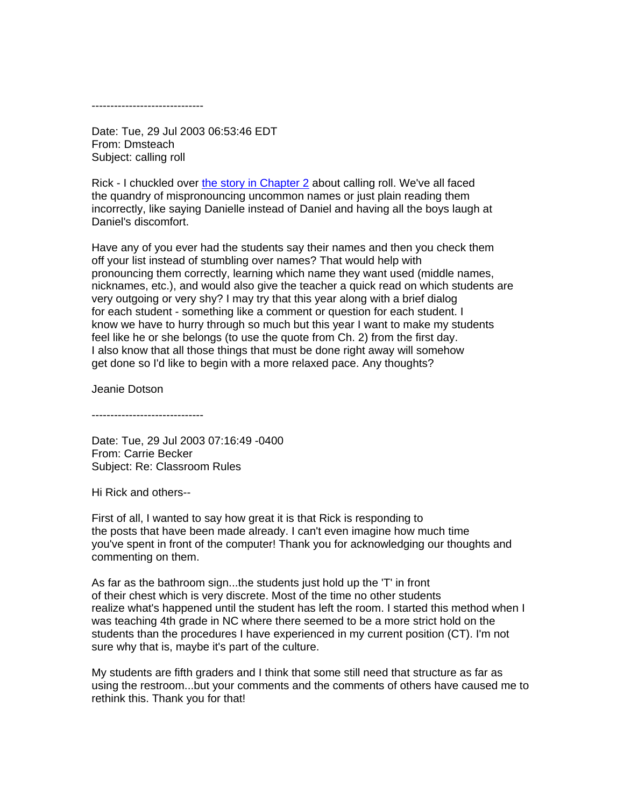------------------------------

Date: Tue, 29 Jul 2003 06:53:46 EDT From: Dmsteach Subject: calling roll

Rick - I chuckled over [the story in Chapter 2](http://www.stenhouse.com/assets/pdfs/dayonech2.pdf) about calling roll. We've all faced the quandry of mispronouncing uncommon names or just plain reading them incorrectly, like saying Danielle instead of Daniel and having all the boys laugh at Daniel's discomfort.

Have any of you ever had the students say their names and then you check them off your list instead of stumbling over names? That would help with pronouncing them correctly, learning which name they want used (middle names, nicknames, etc.), and would also give the teacher a quick read on which students are very outgoing or very shy? I may try that this year along with a brief dialog for each student - something like a comment or question for each student. I know we have to hurry through so much but this year I want to make my students feel like he or she belongs (to use the quote from Ch. 2) from the first day. I also know that all those things that must be done right away will somehow get done so I'd like to begin with a more relaxed pace. Any thoughts?

Jeanie Dotson

------------------------------

Date: Tue, 29 Jul 2003 07:16:49 -0400 From: Carrie Becker Subject: Re: Classroom Rules

Hi Rick and others--

First of all, I wanted to say how great it is that Rick is responding to the posts that have been made already. I can't even imagine how much time you've spent in front of the computer! Thank you for acknowledging our thoughts and commenting on them.

As far as the bathroom sign...the students just hold up the 'T' in front of their chest which is very discrete. Most of the time no other students realize what's happened until the student has left the room. I started this method when I was teaching 4th grade in NC where there seemed to be a more strict hold on the students than the procedures I have experienced in my current position (CT). I'm not sure why that is, maybe it's part of the culture.

My students are fifth graders and I think that some still need that structure as far as using the restroom...but your comments and the comments of others have caused me to rethink this. Thank you for that!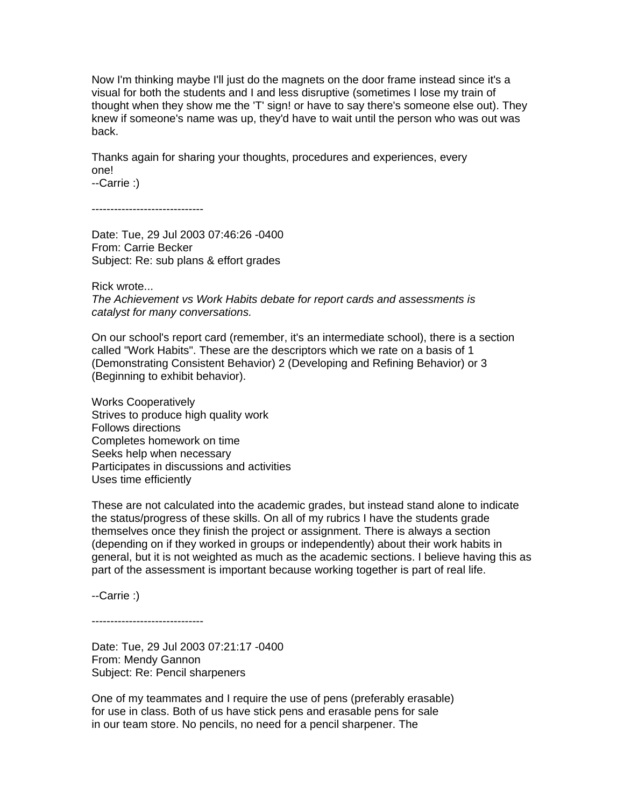Now I'm thinking maybe I'll just do the magnets on the door frame instead since it's a visual for both the students and I and less disruptive (sometimes I lose my train of thought when they show me the 'T' sign! or have to say there's someone else out). They knew if someone's name was up, they'd have to wait until the person who was out was back.

Thanks again for sharing your thoughts, procedures and experiences, every one!

--Carrie :)

------------------------------

Date: Tue, 29 Jul 2003 07:46:26 -0400 From: Carrie Becker Subject: Re: sub plans & effort grades

Rick wrote...

*The Achievement vs Work Habits debate for report cards and assessments is catalyst for many conversations.* 

On our school's report card (remember, it's an intermediate school), there is a section called "Work Habits". These are the descriptors which we rate on a basis of 1 (Demonstrating Consistent Behavior) 2 (Developing and Refining Behavior) or 3 (Beginning to exhibit behavior).

Works Cooperatively Strives to produce high quality work Follows directions Completes homework on time Seeks help when necessary Participates in discussions and activities Uses time efficiently

These are not calculated into the academic grades, but instead stand alone to indicate the status/progress of these skills. On all of my rubrics I have the students grade themselves once they finish the project or assignment. There is always a section (depending on if they worked in groups or independently) about their work habits in general, but it is not weighted as much as the academic sections. I believe having this as part of the assessment is important because working together is part of real life.

--Carrie :)

------------------------------

Date: Tue, 29 Jul 2003 07:21:17 -0400 From: Mendy Gannon Subject: Re: Pencil sharpeners

One of my teammates and I require the use of pens (preferably erasable) for use in class. Both of us have stick pens and erasable pens for sale in our team store. No pencils, no need for a pencil sharpener. The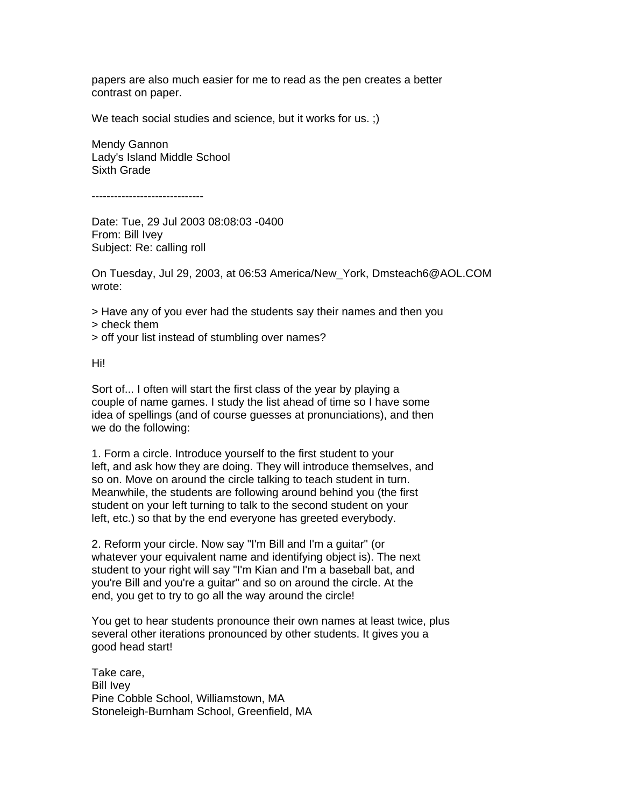papers are also much easier for me to read as the pen creates a better contrast on paper.

We teach social studies and science, but it works for us. ;)

Mendy Gannon Lady's Island Middle School Sixth Grade

------------------------------

Date: Tue, 29 Jul 2003 08:08:03 -0400 From: Bill Ivey Subject: Re: calling roll

On Tuesday, Jul 29, 2003, at 06:53 America/New\_York, Dmsteach6@AOL.COM wrote:

> Have any of you ever had the students say their names and then you > check them

> off your list instead of stumbling over names?

Hi!

Sort of... I often will start the first class of the year by playing a couple of name games. I study the list ahead of time so I have some idea of spellings (and of course guesses at pronunciations), and then we do the following:

1. Form a circle. Introduce yourself to the first student to your left, and ask how they are doing. They will introduce themselves, and so on. Move on around the circle talking to teach student in turn. Meanwhile, the students are following around behind you (the first student on your left turning to talk to the second student on your left, etc.) so that by the end everyone has greeted everybody.

2. Reform your circle. Now say "I'm Bill and I'm a guitar" (or whatever your equivalent name and identifying object is). The next student to your right will say "I'm Kian and I'm a baseball bat, and you're Bill and you're a guitar" and so on around the circle. At the end, you get to try to go all the way around the circle!

You get to hear students pronounce their own names at least twice, plus several other iterations pronounced by other students. It gives you a good head start!

Take care, Bill Ivey Pine Cobble School, Williamstown, MA Stoneleigh-Burnham School, Greenfield, MA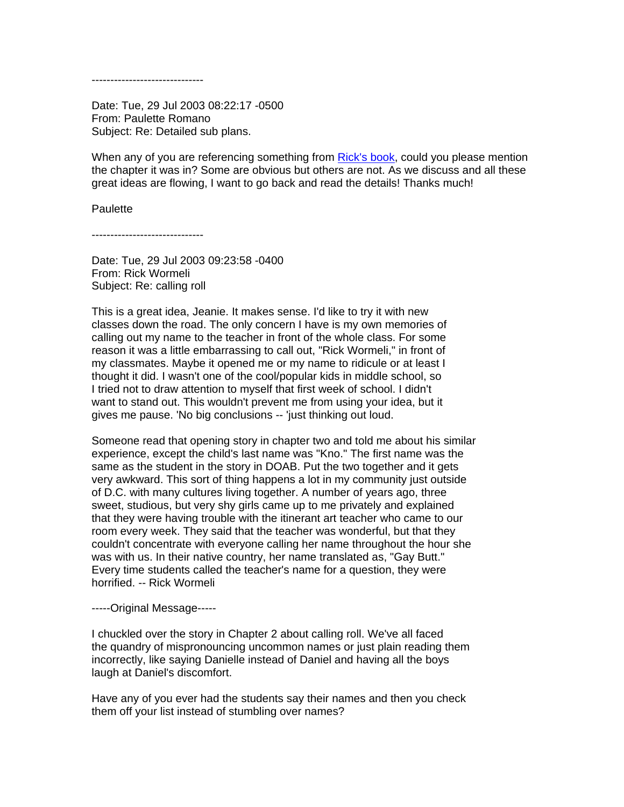------------------------------

Date: Tue, 29 Jul 2003 08:22:17 -0500 From: Paulette Romano Subject: Re: Detailed sub plans.

When any of you are referencing something from [Rick's book,](http://www.amazon.com/Day-One-Beyond-Rick-Wormeli/dp/1571103554) could you please mention the chapter it was in? Some are obvious but others are not. As we discuss and all these great ideas are flowing, I want to go back and read the details! Thanks much!

#### **Paulette**

------------------------------

Date: Tue, 29 Jul 2003 09:23:58 -0400 From: Rick Wormeli Subject: Re: calling roll

This is a great idea, Jeanie. It makes sense. I'd like to try it with new classes down the road. The only concern I have is my own memories of calling out my name to the teacher in front of the whole class. For some reason it was a little embarrassing to call out, "Rick Wormeli," in front of my classmates. Maybe it opened me or my name to ridicule or at least I thought it did. I wasn't one of the cool/popular kids in middle school, so I tried not to draw attention to myself that first week of school. I didn't want to stand out. This wouldn't prevent me from using your idea, but it gives me pause. 'No big conclusions -- 'just thinking out loud.

Someone read that opening story in chapter two and told me about his similar experience, except the child's last name was "Kno." The first name was the same as the student in the story in DOAB. Put the two together and it gets very awkward. This sort of thing happens a lot in my community just outside of D.C. with many cultures living together. A number of years ago, three sweet, studious, but very shy girls came up to me privately and explained that they were having trouble with the itinerant art teacher who came to our room every week. They said that the teacher was wonderful, but that they couldn't concentrate with everyone calling her name throughout the hour she was with us. In their native country, her name translated as, "Gay Butt." Every time students called the teacher's name for a question, they were horrified. -- Rick Wormeli

-----Original Message-----

I chuckled over the story in Chapter 2 about calling roll. We've all faced the quandry of mispronouncing uncommon names or just plain reading them incorrectly, like saying Danielle instead of Daniel and having all the boys laugh at Daniel's discomfort.

Have any of you ever had the students say their names and then you check them off your list instead of stumbling over names?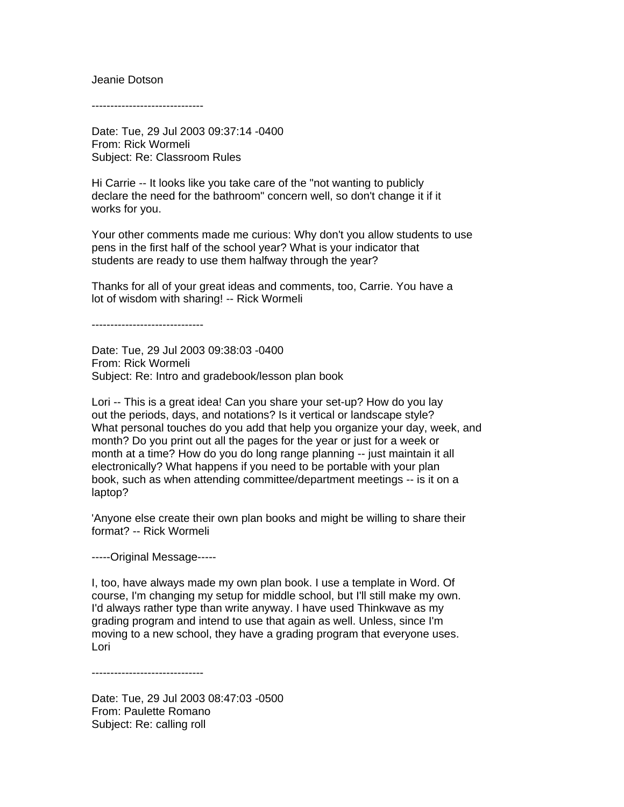#### Jeanie Dotson

------------------------------

Date: Tue, 29 Jul 2003 09:37:14 -0400 From: Rick Wormeli Subject: Re: Classroom Rules

Hi Carrie -- It looks like you take care of the "not wanting to publicly declare the need for the bathroom" concern well, so don't change it if it works for you.

Your other comments made me curious: Why don't you allow students to use pens in the first half of the school year? What is your indicator that students are ready to use them halfway through the year?

Thanks for all of your great ideas and comments, too, Carrie. You have a lot of wisdom with sharing! -- Rick Wormeli

------------------------------

Date: Tue, 29 Jul 2003 09:38:03 -0400 From: Rick Wormeli Subject: Re: Intro and gradebook/lesson plan book

Lori -- This is a great idea! Can you share your set-up? How do you lay out the periods, days, and notations? Is it vertical or landscape style? What personal touches do you add that help you organize your day, week, and month? Do you print out all the pages for the year or just for a week or month at a time? How do you do long range planning -- just maintain it all electronically? What happens if you need to be portable with your plan book, such as when attending committee/department meetings -- is it on a laptop?

'Anyone else create their own plan books and might be willing to share their format? -- Rick Wormeli

-----Original Message-----

I, too, have always made my own plan book. I use a template in Word. Of course, I'm changing my setup for middle school, but I'll still make my own. I'd always rather type than write anyway. I have used Thinkwave as my grading program and intend to use that again as well. Unless, since I'm moving to a new school, they have a grading program that everyone uses. Lori

------------------------------

Date: Tue, 29 Jul 2003 08:47:03 -0500 From: Paulette Romano Subject: Re: calling roll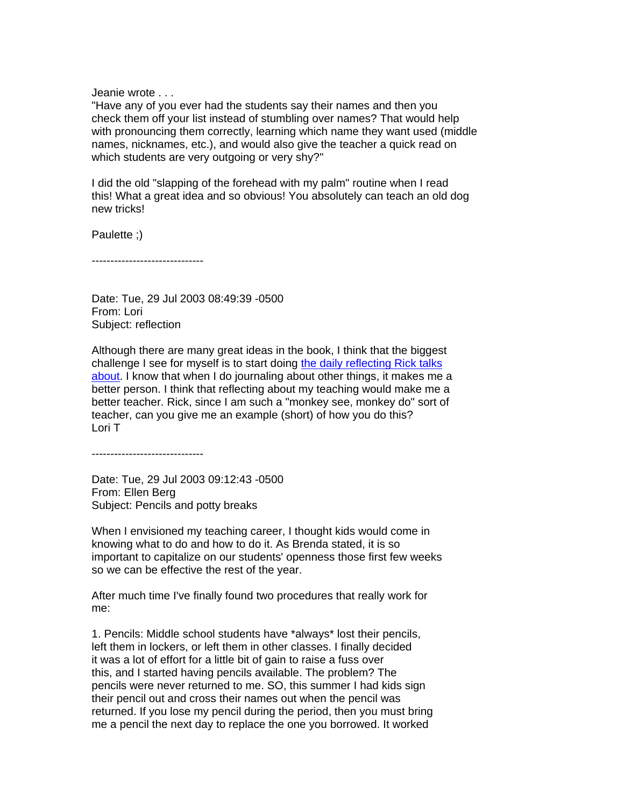Jeanie wrote . . .

"Have any of you ever had the students say their names and then you check them off your list instead of stumbling over names? That would help with pronouncing them correctly, learning which name they want used (middle names, nicknames, etc.), and would also give the teacher a quick read on which students are very outgoing or very shy?"

I did the old "slapping of the forehead with my palm" routine when I read this! What a great idea and so obvious! You absolutely can teach an old dog new tricks!

Paulette ;)

------------------------------

Date: Tue, 29 Jul 2003 08:49:39 -0500 From: Lori Subject: reflection

Although there are many great ideas in the book, I think that the biggest challenge I see for myself is to start doing [the daily reflecting Rick talks](http://books.google.com/books?id=RxNGBq3uuccC&pg=PT14&lpg=PT14&dq=wormeli+daily+reflection+day+one&source=bl&ots=vEThV-B4uU&sig=JvdcUzmQ8ufx8UEg_Tp0hLXMd50&hl=en&sa=X&ei=ZO8nUMfWJKLk0QHx34HQCw&ved=0CEIQ6AEwAg#v=onepage&q=wormeli%20daily%20reflection%20day%20one&f=false) [about.](http://books.google.com/books?id=RxNGBq3uuccC&pg=PT14&lpg=PT14&dq=wormeli+daily+reflection+day+one&source=bl&ots=vEThV-B4uU&sig=JvdcUzmQ8ufx8UEg_Tp0hLXMd50&hl=en&sa=X&ei=ZO8nUMfWJKLk0QHx34HQCw&ved=0CEIQ6AEwAg#v=onepage&q=wormeli%20daily%20reflection%20day%20one&f=false) I know that when I do journaling about other things, it makes me a better person. I think that reflecting about my teaching would make me a better teacher. Rick, since I am such a "monkey see, monkey do" sort of teacher, can you give me an example (short) of how you do this? Lori T

------------------------------

Date: Tue, 29 Jul 2003 09:12:43 -0500 From: Ellen Berg Subject: Pencils and potty breaks

When I envisioned my teaching career, I thought kids would come in knowing what to do and how to do it. As Brenda stated, it is so important to capitalize on our students' openness those first few weeks so we can be effective the rest of the year.

After much time I've finally found two procedures that really work for me:

1. Pencils: Middle school students have \*always\* lost their pencils, left them in lockers, or left them in other classes. I finally decided it was a lot of effort for a little bit of gain to raise a fuss over this, and I started having pencils available. The problem? The pencils were never returned to me. SO, this summer I had kids sign their pencil out and cross their names out when the pencil was returned. If you lose my pencil during the period, then you must bring me a pencil the next day to replace the one you borrowed. It worked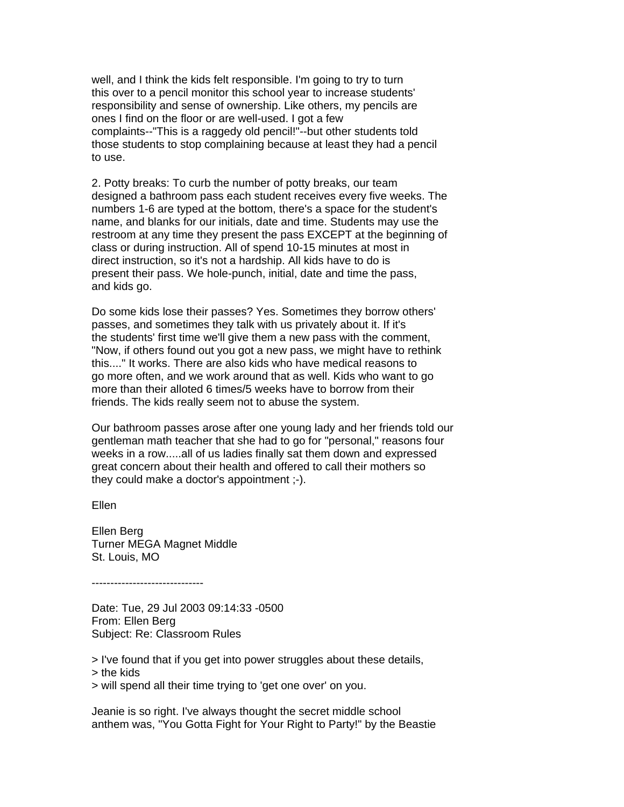well, and I think the kids felt responsible. I'm going to try to turn this over to a pencil monitor this school year to increase students' responsibility and sense of ownership. Like others, my pencils are ones I find on the floor or are well-used. I got a few complaints--"This is a raggedy old pencil!"--but other students told those students to stop complaining because at least they had a pencil to use.

2. Potty breaks: To curb the number of potty breaks, our team designed a bathroom pass each student receives every five weeks. The numbers 1-6 are typed at the bottom, there's a space for the student's name, and blanks for our initials, date and time. Students may use the restroom at any time they present the pass EXCEPT at the beginning of class or during instruction. All of spend 10-15 minutes at most in direct instruction, so it's not a hardship. All kids have to do is present their pass. We hole-punch, initial, date and time the pass, and kids go.

Do some kids lose their passes? Yes. Sometimes they borrow others' passes, and sometimes they talk with us privately about it. If it's the students' first time we'll give them a new pass with the comment, "Now, if others found out you got a new pass, we might have to rethink this...." It works. There are also kids who have medical reasons to go more often, and we work around that as well. Kids who want to go more than their alloted 6 times/5 weeks have to borrow from their friends. The kids really seem not to abuse the system.

Our bathroom passes arose after one young lady and her friends told our gentleman math teacher that she had to go for "personal," reasons four weeks in a row.....all of us ladies finally sat them down and expressed great concern about their health and offered to call their mothers so they could make a doctor's appointment ;-).

Ellen

Ellen Berg Turner MEGA Magnet Middle St. Louis, MO

------------------------------

Date: Tue, 29 Jul 2003 09:14:33 -0500 From: Ellen Berg Subject: Re: Classroom Rules

> I've found that if you get into power struggles about these details, > the kids > will spend all their time trying to 'get one over' on you.

Jeanie is so right. I've always thought the secret middle school anthem was, "You Gotta Fight for Your Right to Party!" by the Beastie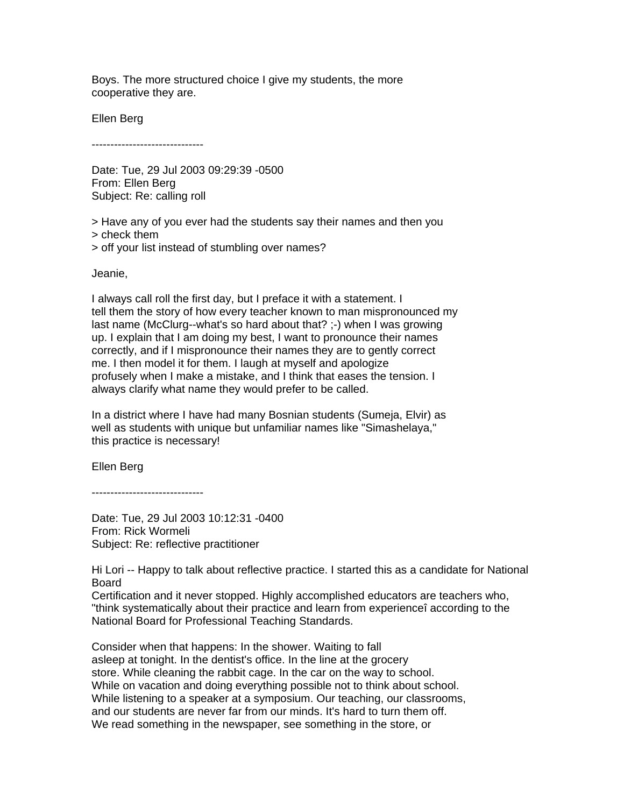Boys. The more structured choice I give my students, the more cooperative they are.

Ellen Berg

------------------------------

Date: Tue, 29 Jul 2003 09:29:39 -0500 From: Ellen Berg Subject: Re: calling roll

> Have any of you ever had the students say their names and then you > check them > off your list instead of stumbling over names?

Jeanie,

I always call roll the first day, but I preface it with a statement. I tell them the story of how every teacher known to man mispronounced my last name (McClurg--what's so hard about that? ;-) when I was growing up. I explain that I am doing my best, I want to pronounce their names correctly, and if I mispronounce their names they are to gently correct me. I then model it for them. I laugh at myself and apologize profusely when I make a mistake, and I think that eases the tension. I always clarify what name they would prefer to be called.

In a district where I have had many Bosnian students (Sumeja, Elvir) as well as students with unique but unfamiliar names like "Simashelaya," this practice is necessary!

Ellen Berg

------------------------------

Date: Tue, 29 Jul 2003 10:12:31 -0400 From: Rick Wormeli Subject: Re: reflective practitioner

Hi Lori -- Happy to talk about reflective practice. I started this as a candidate for National Board

Certification and it never stopped. Highly accomplished educators are teachers who, "think systematically about their practice and learn from experienceî according to the National Board for Professional Teaching Standards.

Consider when that happens: In the shower. Waiting to fall asleep at tonight. In the dentist's office. In the line at the grocery store. While cleaning the rabbit cage. In the car on the way to school. While on vacation and doing everything possible not to think about school. While listening to a speaker at a symposium. Our teaching, our classrooms, and our students are never far from our minds. It's hard to turn them off. We read something in the newspaper, see something in the store, or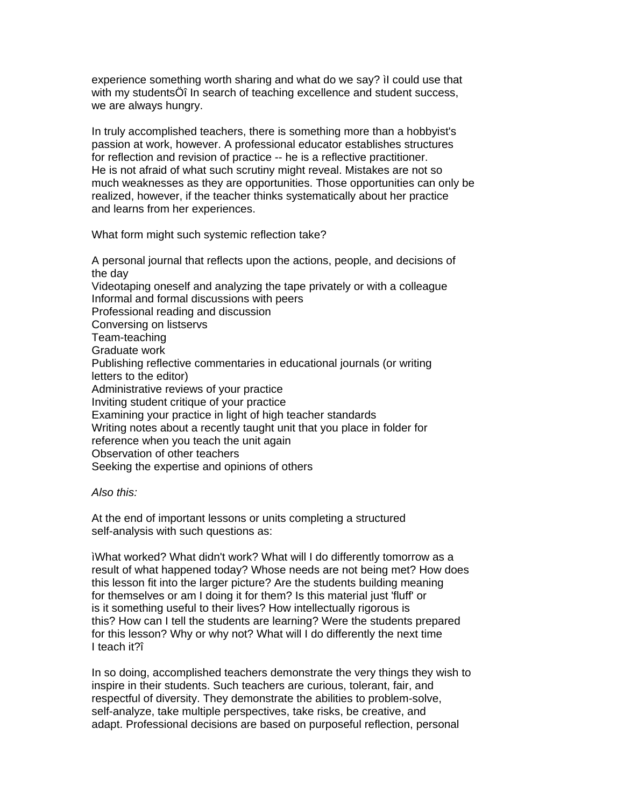experience something worth sharing and what do we say? ìI could use that with my studentsÖî In search of teaching excellence and student success, we are always hungry.

In truly accomplished teachers, there is something more than a hobbyist's passion at work, however. A professional educator establishes structures for reflection and revision of practice -- he is a reflective practitioner. He is not afraid of what such scrutiny might reveal. Mistakes are not so much weaknesses as they are opportunities. Those opportunities can only be realized, however, if the teacher thinks systematically about her practice and learns from her experiences.

What form might such systemic reflection take?

A personal journal that reflects upon the actions, people, and decisions of the day Videotaping oneself and analyzing the tape privately or with a colleague Informal and formal discussions with peers Professional reading and discussion Conversing on listservs Team-teaching Graduate work Publishing reflective commentaries in educational journals (or writing letters to the editor) Administrative reviews of your practice Inviting student critique of your practice Examining your practice in light of high teacher standards Writing notes about a recently taught unit that you place in folder for reference when you teach the unit again Observation of other teachers Seeking the expertise and opinions of others

# *Also this:*

At the end of important lessons or units completing a structured self-analysis with such questions as:

ìWhat worked? What didn't work? What will I do differently tomorrow as a result of what happened today? Whose needs are not being met? How does this lesson fit into the larger picture? Are the students building meaning for themselves or am I doing it for them? Is this material just 'fluff' or is it something useful to their lives? How intellectually rigorous is this? How can I tell the students are learning? Were the students prepared for this lesson? Why or why not? What will I do differently the next time I teach it?î

In so doing, accomplished teachers demonstrate the very things they wish to inspire in their students. Such teachers are curious, tolerant, fair, and respectful of diversity. They demonstrate the abilities to problem-solve, self-analyze, take multiple perspectives, take risks, be creative, and adapt. Professional decisions are based on purposeful reflection, personal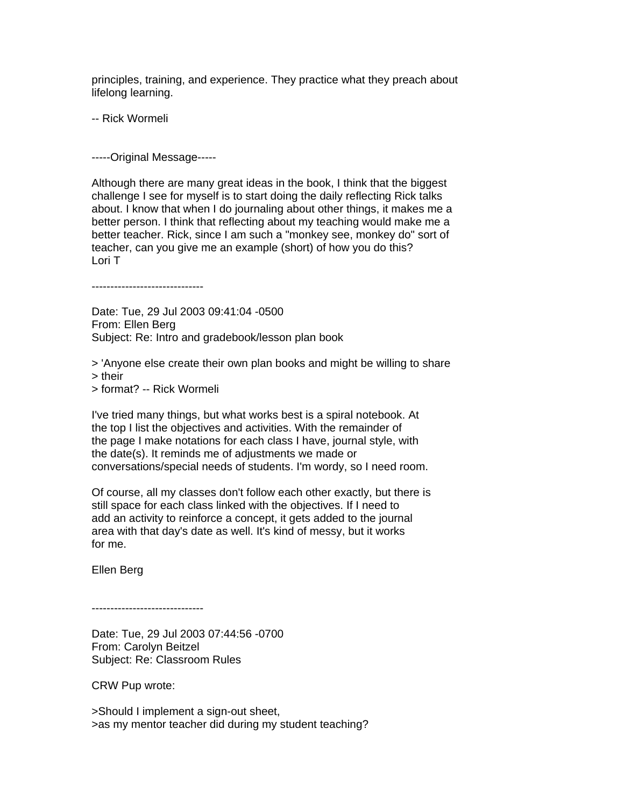principles, training, and experience. They practice what they preach about lifelong learning.

-- Rick Wormeli

-----Original Message-----

Although there are many great ideas in the book, I think that the biggest challenge I see for myself is to start doing the daily reflecting Rick talks about. I know that when I do journaling about other things, it makes me a better person. I think that reflecting about my teaching would make me a better teacher. Rick, since I am such a "monkey see, monkey do" sort of teacher, can you give me an example (short) of how you do this? Lori T

------------------------------

Date: Tue, 29 Jul 2003 09:41:04 -0500 From: Ellen Berg Subject: Re: Intro and gradebook/lesson plan book

> 'Anyone else create their own plan books and might be willing to share > their > format? -- Rick Wormeli

I've tried many things, but what works best is a spiral notebook. At the top I list the objectives and activities. With the remainder of the page I make notations for each class I have, journal style, with the date(s). It reminds me of adjustments we made or conversations/special needs of students. I'm wordy, so I need room.

Of course, all my classes don't follow each other exactly, but there is still space for each class linked with the objectives. If I need to add an activity to reinforce a concept, it gets added to the journal area with that day's date as well. It's kind of messy, but it works for me.

Ellen Berg

------------------------------

Date: Tue, 29 Jul 2003 07:44:56 -0700 From: Carolyn Beitzel Subject: Re: Classroom Rules

CRW Pup wrote:

>Should I implement a sign-out sheet, >as my mentor teacher did during my student teaching?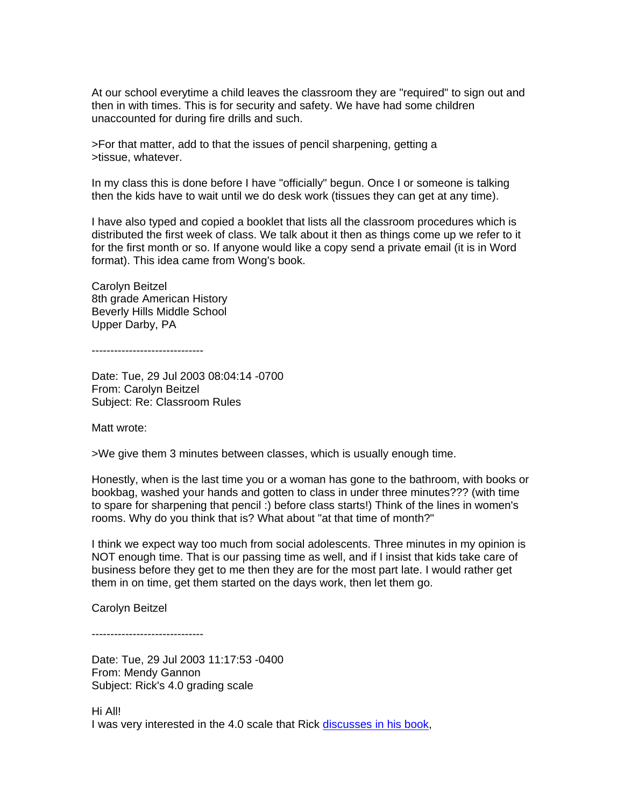At our school everytime a child leaves the classroom they are "required" to sign out and then in with times. This is for security and safety. We have had some children unaccounted for during fire drills and such.

>For that matter, add to that the issues of pencil sharpening, getting a >tissue, whatever.

In my class this is done before I have "officially" begun. Once I or someone is talking then the kids have to wait until we do desk work (tissues they can get at any time).

I have also typed and copied a booklet that lists all the classroom procedures which is distributed the first week of class. We talk about it then as things come up we refer to it for the first month or so. If anyone would like a copy send a private email (it is in Word format). This idea came from Wong's book.

Carolyn Beitzel 8th grade American History Beverly Hills Middle School Upper Darby, PA

------------------------------

Date: Tue, 29 Jul 2003 08:04:14 -0700 From: Carolyn Beitzel Subject: Re: Classroom Rules

Matt wrote:

>We give them 3 minutes between classes, which is usually enough time.

Honestly, when is the last time you or a woman has gone to the bathroom, with books or bookbag, washed your hands and gotten to class in under three minutes??? (with time to spare for sharpening that pencil :) before class starts!) Think of the lines in women's rooms. Why do you think that is? What about "at that time of month?"

I think we expect way too much from social adolescents. Three minutes in my opinion is NOT enough time. That is our passing time as well, and if I insist that kids take care of business before they get to me then they are for the most part late. I would rather get them in on time, get them started on the days work, then let them go.

Carolyn Beitzel

------------------------------

Date: Tue, 29 Jul 2003 11:17:53 -0400 From: Mendy Gannon Subject: Rick's 4.0 grading scale

Hi All! I was very interested in the 4.0 scale that Rick [discusses in his book,](http://books.google.com/books?id=RxNGBq3uuccC&pg=PT39&lpg=PT39&dq=wormeli+grading+scale+day+one&source=bl&ots=vEThV-C0tN&sig=QnsYDk4ZvrYpz7KgwEkkxnnBTkc&hl=en&sa=X&ei=q_EnUKW2Dqa36QH6j4CIDw&ved=0CDsQ6AEwAQ#v=onepage&q=wormeli%20grading%20scale%20day%20one&f=false)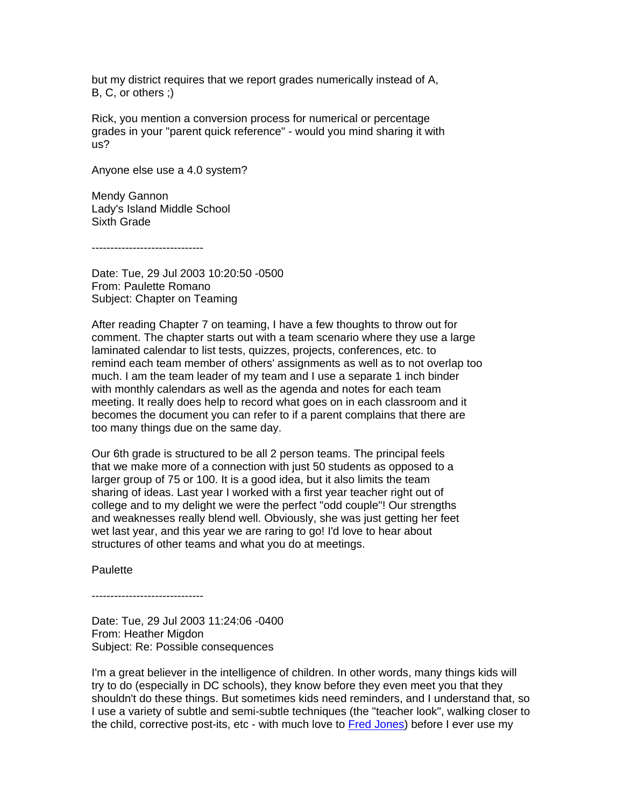but my district requires that we report grades numerically instead of A, B, C, or others ;)

Rick, you mention a conversion process for numerical or percentage grades in your "parent quick reference" - would you mind sharing it with us?

Anyone else use a 4.0 system?

Mendy Gannon Lady's Island Middle School Sixth Grade

------------------------------

Date: Tue, 29 Jul 2003 10:20:50 -0500 From: Paulette Romano Subject: Chapter on Teaming

After reading Chapter 7 on teaming, I have a few thoughts to throw out for comment. The chapter starts out with a team scenario where they use a large laminated calendar to list tests, quizzes, projects, conferences, etc. to remind each team member of others' assignments as well as to not overlap too much. I am the team leader of my team and I use a separate 1 inch binder with monthly calendars as well as the agenda and notes for each team meeting. It really does help to record what goes on in each classroom and it becomes the document you can refer to if a parent complains that there are too many things due on the same day.

Our 6th grade is structured to be all 2 person teams. The principal feels that we make more of a connection with just 50 students as opposed to a larger group of 75 or 100. It is a good idea, but it also limits the team sharing of ideas. Last year I worked with a first year teacher right out of college and to my delight we were the perfect "odd couple"! Our strengths and weaknesses really blend well. Obviously, she was just getting her feet wet last year, and this year we are raring to go! I'd love to hear about structures of other teams and what you do at meetings.

**Paulette** 

------------------------------

Date: Tue, 29 Jul 2003 11:24:06 -0400 From: Heather Migdon Subject: Re: Possible consequences

I'm a great believer in the intelligence of children. In other words, many things kids will try to do (especially in DC schools), they know before they even meet you that they shouldn't do these things. But sometimes kids need reminders, and I understand that, so I use a variety of subtle and semi-subtle techniques (the "teacher look", walking closer to the child, corrective post-its, etc - with much love to [Fred Jones\)](http://www.fredjones.com/) before I ever use my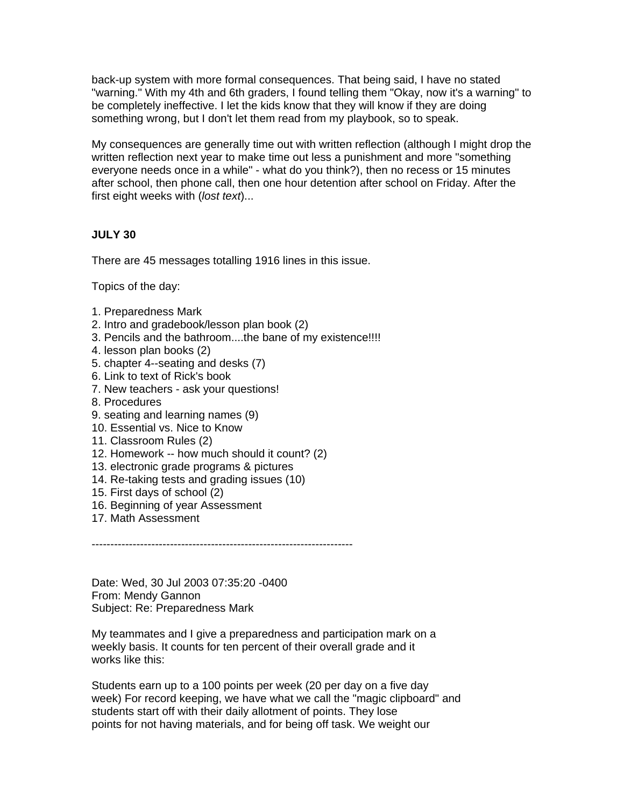back-up system with more formal consequences. That being said, I have no stated "warning." With my 4th and 6th graders, I found telling them "Okay, now it's a warning" to be completely ineffective. I let the kids know that they will know if they are doing something wrong, but I don't let them read from my playbook, so to speak.

My consequences are generally time out with written reflection (although I might drop the written reflection next year to make time out less a punishment and more "something everyone needs once in a while" - what do you think?), then no recess or 15 minutes after school, then phone call, then one hour detention after school on Friday. After the first eight weeks with (*lost text*)...

# **JULY 30**

There are 45 messages totalling 1916 lines in this issue.

Topics of the day:

- 1. Preparedness Mark
- 2. Intro and gradebook/lesson plan book (2)
- 3. Pencils and the bathroom....the bane of my existence!!!!
- 4. lesson plan books (2)
- 5. chapter 4--seating and desks (7)
- 6. Link to text of Rick's book
- 7. New teachers ask your questions!
- 8. Procedures
- 9. seating and learning names (9)
- 10. Essential vs. Nice to Know
- 11. Classroom Rules (2)
- 12. Homework -- how much should it count? (2)
- 13. electronic grade programs & pictures
- 14. Re-taking tests and grading issues (10)
- 15. First days of school (2)
- 16. Beginning of year Assessment
- 17. Math Assessment

----------------------------------------------------------------------

Date: Wed, 30 Jul 2003 07:35:20 -0400 From: Mendy Gannon Subject: Re: Preparedness Mark

My teammates and I give a preparedness and participation mark on a weekly basis. It counts for ten percent of their overall grade and it works like this:

Students earn up to a 100 points per week (20 per day on a five day week) For record keeping, we have what we call the "magic clipboard" and students start off with their daily allotment of points. They lose points for not having materials, and for being off task. We weight our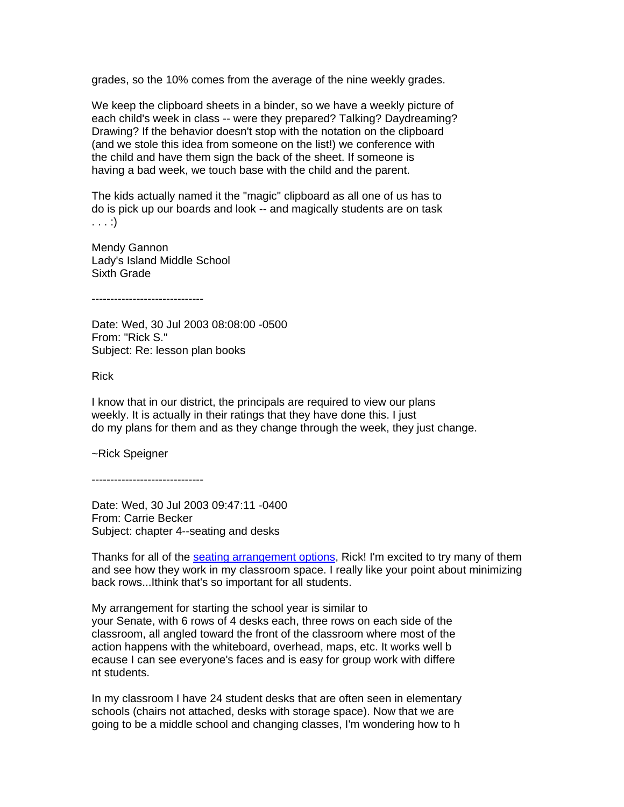grades, so the 10% comes from the average of the nine weekly grades.

We keep the clipboard sheets in a binder, so we have a weekly picture of each child's week in class -- were they prepared? Talking? Daydreaming? Drawing? If the behavior doesn't stop with the notation on the clipboard (and we stole this idea from someone on the list!) we conference with the child and have them sign the back of the sheet. If someone is having a bad week, we touch base with the child and the parent.

The kids actually named it the "magic" clipboard as all one of us has to do is pick up our boards and look -- and magically students are on task . . . :)

Mendy Gannon Lady's Island Middle School Sixth Grade

------------------------------

Date: Wed, 30 Jul 2003 08:08:00 -0500 From: "Rick S." Subject: Re: lesson plan books

Rick

I know that in our district, the principals are required to view our plans weekly. It is actually in their ratings that they have done this. I just do my plans for them and as they change through the week, they just change.

~Rick Speigner

------------------------------

Date: Wed, 30 Jul 2003 09:47:11 -0400 From: Carrie Becker Subject: chapter 4--seating and desks

Thanks for all of the [seating arrangement options,](http://books.google.com/books?id=RxNGBq3uuccC&pg=PT64&lpg=PT64&dq=wormeli+seating+arrangements+day+one&source=bl&ots=vEThV-C4pQ&sig=neOZg6kHf9GHtanFvpq__mCjS8Q&hl=en&sa=X&ei=FfMnUMj-OoKf6AHM6YGQCw&ved=0CDMQ6AEwAA#v=onepage&q=wormeli%20seating%20arrangements%20day%20one&f=false) Rick! I'm excited to try many of them and see how they work in my classroom space. I really like your point about minimizing back rows...Ithink that's so important for all students.

My arrangement for starting the school year is similar to your Senate, with 6 rows of 4 desks each, three rows on each side of the classroom, all angled toward the front of the classroom where most of the action happens with the whiteboard, overhead, maps, etc. It works well b ecause I can see everyone's faces and is easy for group work with differe nt students.

In my classroom I have 24 student desks that are often seen in elementary schools (chairs not attached, desks with storage space). Now that we are going to be a middle school and changing classes, I'm wondering how to h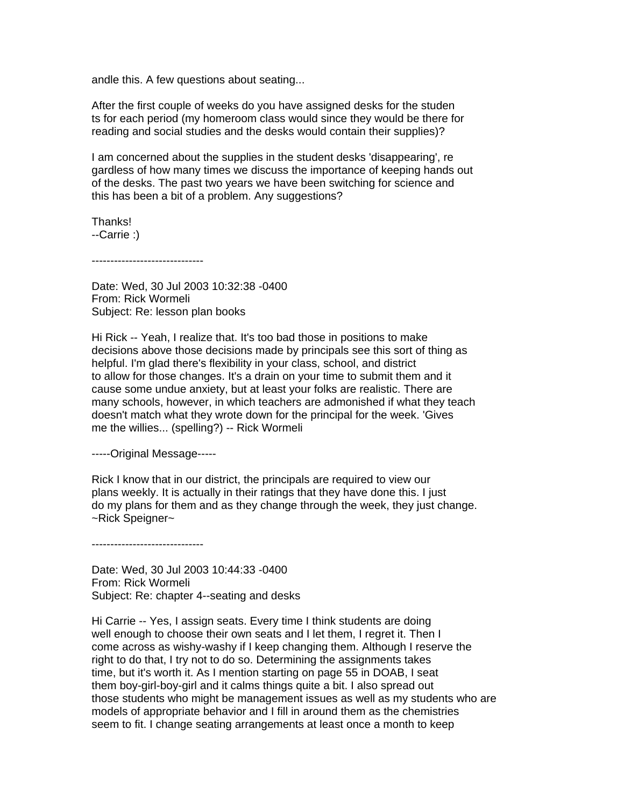andle this. A few questions about seating...

After the first couple of weeks do you have assigned desks for the studen ts for each period (my homeroom class would since they would be there for reading and social studies and the desks would contain their supplies)?

I am concerned about the supplies in the student desks 'disappearing', re gardless of how many times we discuss the importance of keeping hands out of the desks. The past two years we have been switching for science and this has been a bit of a problem. Any suggestions?

Thanks! --Carrie :)

------------------------------

Date: Wed, 30 Jul 2003 10:32:38 -0400 From: Rick Wormeli Subject: Re: lesson plan books

Hi Rick -- Yeah, I realize that. It's too bad those in positions to make decisions above those decisions made by principals see this sort of thing as helpful. I'm glad there's flexibility in your class, school, and district to allow for those changes. It's a drain on your time to submit them and it cause some undue anxiety, but at least your folks are realistic. There are many schools, however, in which teachers are admonished if what they teach doesn't match what they wrote down for the principal for the week. 'Gives me the willies... (spelling?) -- Rick Wormeli

-----Original Message-----

Rick I know that in our district, the principals are required to view our plans weekly. It is actually in their ratings that they have done this. I just do my plans for them and as they change through the week, they just change. ~Rick Speigner~

------------------------------

Date: Wed, 30 Jul 2003 10:44:33 -0400 From: Rick Wormeli Subject: Re: chapter 4--seating and desks

Hi Carrie -- Yes, I assign seats. Every time I think students are doing well enough to choose their own seats and I let them, I regret it. Then I come across as wishy-washy if I keep changing them. Although I reserve the right to do that, I try not to do so. Determining the assignments takes time, but it's worth it. As I mention starting on page 55 in DOAB, I seat them boy-girl-boy-girl and it calms things quite a bit. I also spread out those students who might be management issues as well as my students who are models of appropriate behavior and I fill in around them as the chemistries seem to fit. I change seating arrangements at least once a month to keep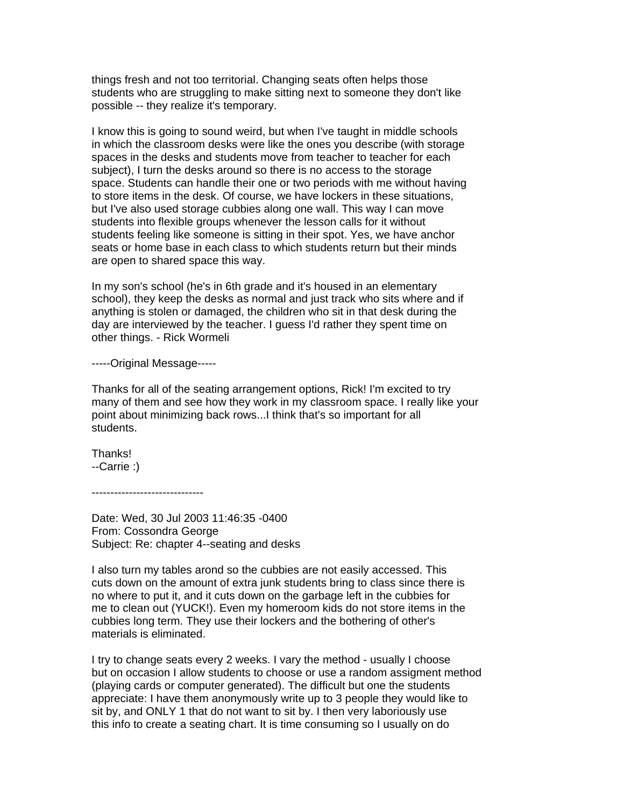things fresh and not too territorial. Changing seats often helps those students who are struggling to make sitting next to someone they don't like possible -- they realize it's temporary.

I know this is going to sound weird, but when I've taught in middle schools in which the classroom desks were like the ones you describe (with storage spaces in the desks and students move from teacher to teacher for each subject), I turn the desks around so there is no access to the storage space. Students can handle their one or two periods with me without having to store items in the desk. Of course, we have lockers in these situations, but I've also used storage cubbies along one wall. This way I can move students into flexible groups whenever the lesson calls for it without students feeling like someone is sitting in their spot. Yes, we have anchor seats or home base in each class to which students return but their minds are open to shared space this way.

In my son's school (he's in 6th grade and it's housed in an elementary school), they keep the desks as normal and just track who sits where and if anything is stolen or damaged, the children who sit in that desk during the day are interviewed by the teacher. I guess I'd rather they spent time on other things. - Rick Wormeli

-----Original Message-----

Thanks for all of the seating arrangement options, Rick! I'm excited to try many of them and see how they work in my classroom space. I really like your point about minimizing back rows...I think that's so important for all students.

Thanks! --Carrie :)

------------------------------

Date: Wed, 30 Jul 2003 11:46:35 -0400 From: Cossondra George Subject: Re: chapter 4--seating and desks

I also turn my tables arond so the cubbies are not easily accessed. This cuts down on the amount of extra junk students bring to class since there is no where to put it, and it cuts down on the garbage left in the cubbies for me to clean out (YUCK!). Even my homeroom kids do not store items in the cubbies long term. They use their lockers and the bothering of other's materials is eliminated.

I try to change seats every 2 weeks. I vary the method - usually I choose but on occasion I allow students to choose or use a random assigment method (playing cards or computer generated). The difficult but one the students appreciate: I have them anonymously write up to 3 people they would like to sit by, and ONLY 1 that do not want to sit by. I then very laboriously use this info to create a seating chart. It is time consuming so I usually on do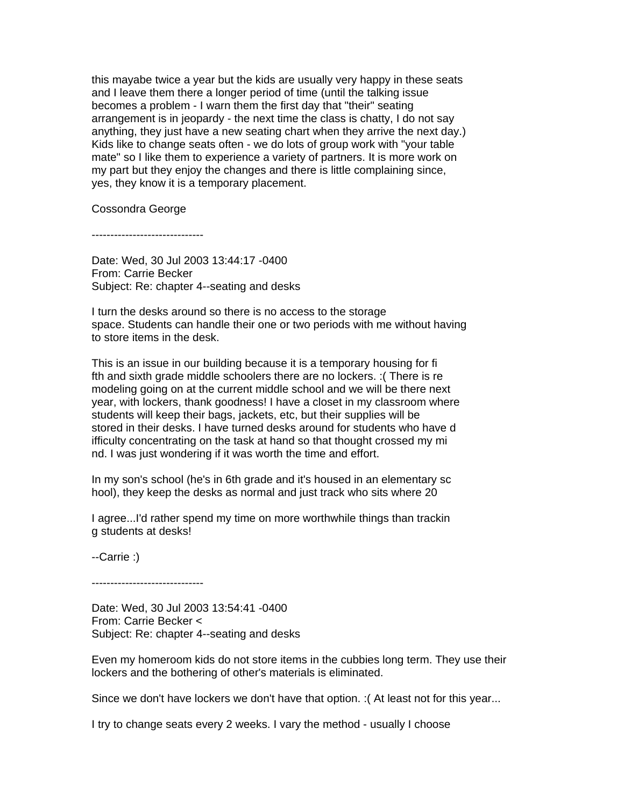this mayabe twice a year but the kids are usually very happy in these seats and I leave them there a longer period of time (until the talking issue becomes a problem - I warn them the first day that "their" seating arrangement is in jeopardy - the next time the class is chatty, I do not say anything, they just have a new seating chart when they arrive the next day.) Kids like to change seats often - we do lots of group work with "your table mate" so I like them to experience a variety of partners. It is more work on my part but they enjoy the changes and there is little complaining since, yes, they know it is a temporary placement.

Cossondra George

------------------------------

Date: Wed, 30 Jul 2003 13:44:17 -0400 From: Carrie Becker Subject: Re: chapter 4--seating and desks

I turn the desks around so there is no access to the storage space. Students can handle their one or two periods with me without having to store items in the desk.

This is an issue in our building because it is a temporary housing for fi fth and sixth grade middle schoolers there are no lockers. :( There is re modeling going on at the current middle school and we will be there next year, with lockers, thank goodness! I have a closet in my classroom where students will keep their bags, jackets, etc, but their supplies will be stored in their desks. I have turned desks around for students who have d ifficulty concentrating on the task at hand so that thought crossed my mi nd. I was just wondering if it was worth the time and effort.

In my son's school (he's in 6th grade and it's housed in an elementary sc hool), they keep the desks as normal and just track who sits where 20

I agree...I'd rather spend my time on more worthwhile things than trackin g students at desks!

--Carrie :)

------------------------------

Date: Wed, 30 Jul 2003 13:54:41 -0400 From: Carrie Becker < Subject: Re: chapter 4--seating and desks

Even my homeroom kids do not store items in the cubbies long term. They use their lockers and the bothering of other's materials is eliminated.

Since we don't have lockers we don't have that option. :( At least not for this year...

I try to change seats every 2 weeks. I vary the method - usually I choose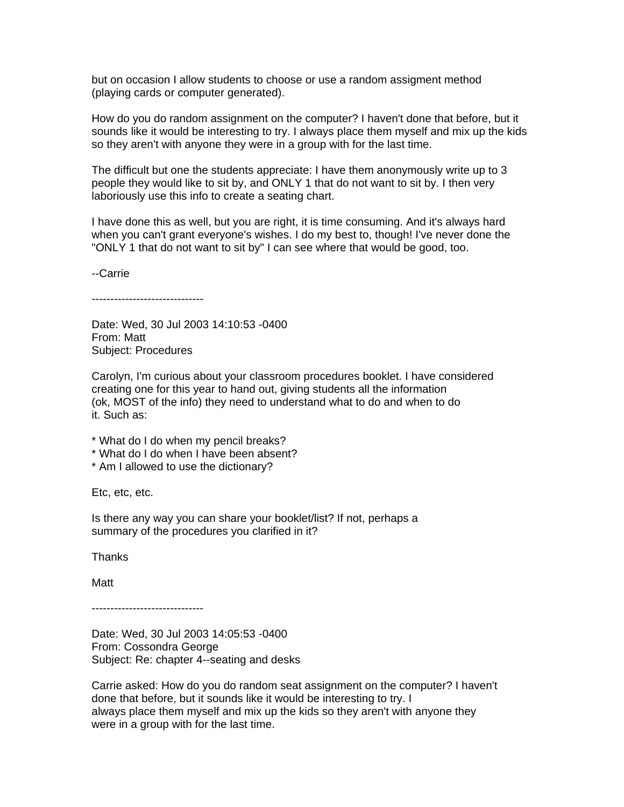but on occasion I allow students to choose or use a random assigment method (playing cards or computer generated).

How do you do random assignment on the computer? I haven't done that before, but it sounds like it would be interesting to try. I always place them myself and mix up the kids so they aren't with anyone they were in a group with for the last time.

The difficult but one the students appreciate: I have them anonymously write up to 3 people they would like to sit by, and ONLY 1 that do not want to sit by. I then very laboriously use this info to create a seating chart.

I have done this as well, but you are right, it is time consuming. And it's always hard when you can't grant everyone's wishes. I do my best to, though! I've never done the "ONLY 1 that do not want to sit by" I can see where that would be good, too.

--Carrie

------------------------------

Date: Wed, 30 Jul 2003 14:10:53 -0400 From: Matt Subject: Procedures

Carolyn, I'm curious about your classroom procedures booklet. I have considered creating one for this year to hand out, giving students all the information (ok, MOST of the info) they need to understand what to do and when to do it. Such as:

- \* What do I do when my pencil breaks?
- \* What do I do when I have been absent?
- \* Am I allowed to use the dictionary?

Etc, etc, etc.

Is there any way you can share your booklet/list? If not, perhaps a summary of the procedures you clarified in it?

Thanks

Matt

------------------------------

Date: Wed, 30 Jul 2003 14:05:53 -0400 From: Cossondra George Subject: Re: chapter 4--seating and desks

Carrie asked: How do you do random seat assignment on the computer? I haven't done that before, but it sounds like it would be interesting to try. I always place them myself and mix up the kids so they aren't with anyone they were in a group with for the last time.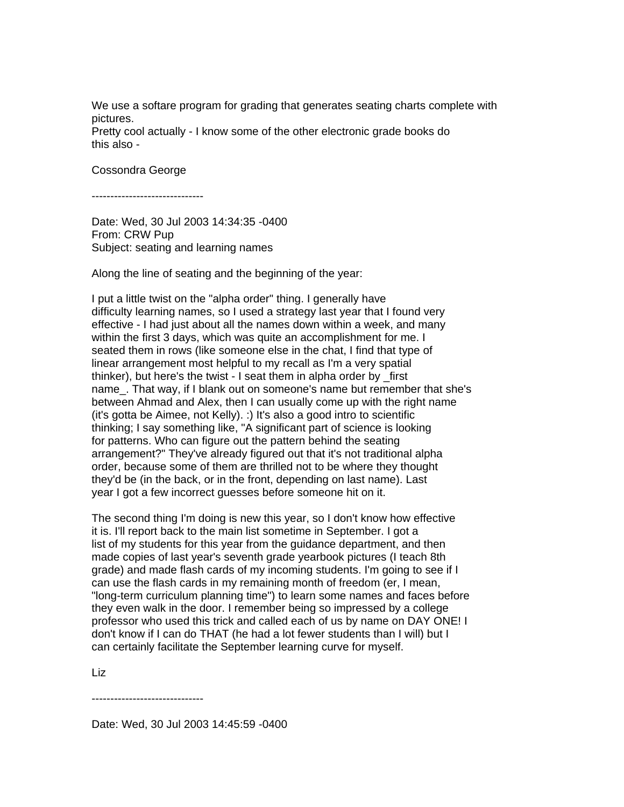We use a softare program for grading that generates seating charts complete with pictures.

Pretty cool actually - I know some of the other electronic grade books do this also -

Cossondra George

------------------------------

Date: Wed, 30 Jul 2003 14:34:35 -0400 From: CRW Pup Subject: seating and learning names

Along the line of seating and the beginning of the year:

I put a little twist on the "alpha order" thing. I generally have difficulty learning names, so I used a strategy last year that I found very effective - I had just about all the names down within a week, and many within the first 3 days, which was quite an accomplishment for me. I seated them in rows (like someone else in the chat, I find that type of linear arrangement most helpful to my recall as I'm a very spatial thinker), but here's the twist - I seat them in alpha order by \_first name. That way, if I blank out on someone's name but remember that she's between Ahmad and Alex, then I can usually come up with the right name (it's gotta be Aimee, not Kelly). :) It's also a good intro to scientific thinking; I say something like, "A significant part of science is looking for patterns. Who can figure out the pattern behind the seating arrangement?" They've already figured out that it's not traditional alpha order, because some of them are thrilled not to be where they thought they'd be (in the back, or in the front, depending on last name). Last year I got a few incorrect guesses before someone hit on it.

The second thing I'm doing is new this year, so I don't know how effective it is. I'll report back to the main list sometime in September. I got a list of my students for this year from the guidance department, and then made copies of last year's seventh grade yearbook pictures (I teach 8th grade) and made flash cards of my incoming students. I'm going to see if I can use the flash cards in my remaining month of freedom (er, I mean, "long-term curriculum planning time") to learn some names and faces before they even walk in the door. I remember being so impressed by a college professor who used this trick and called each of us by name on DAY ONE! I don't know if I can do THAT (he had a lot fewer students than I will) but I can certainly facilitate the September learning curve for myself.

Liz

------------------------------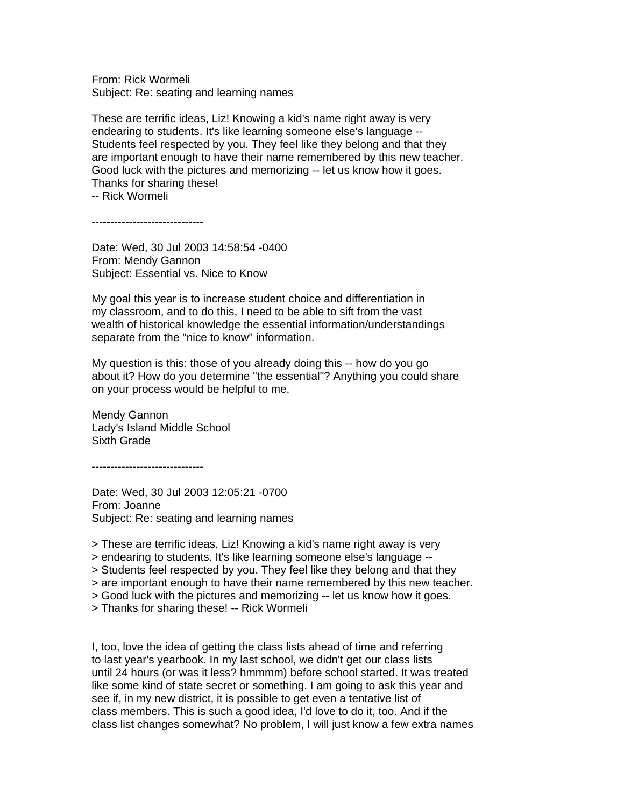From: Rick Wormeli Subject: Re: seating and learning names

These are terrific ideas, Liz! Knowing a kid's name right away is very endearing to students. It's like learning someone else's language -- Students feel respected by you. They feel like they belong and that they are important enough to have their name remembered by this new teacher. Good luck with the pictures and memorizing -- let us know how it goes. Thanks for sharing these!

-- Rick Wormeli

------------------------------

Date: Wed, 30 Jul 2003 14:58:54 -0400 From: Mendy Gannon Subject: Essential vs. Nice to Know

My goal this year is to increase student choice and differentiation in my classroom, and to do this, I need to be able to sift from the vast wealth of historical knowledge the essential information/understandings separate from the "nice to know" information.

My question is this: those of you already doing this -- how do you go about it? How do you determine "the essential"? Anything you could share on your process would be helpful to me.

Mendy Gannon Lady's Island Middle School Sixth Grade

------------------------------

Date: Wed, 30 Jul 2003 12:05:21 -0700 From: Joanne Subject: Re: seating and learning names

> These are terrific ideas, Liz! Knowing a kid's name right away is very

> endearing to students. It's like learning someone else's language --

- > Students feel respected by you. They feel like they belong and that they
- > are important enough to have their name remembered by this new teacher.

> Good luck with the pictures and memorizing -- let us know how it goes.

> Thanks for sharing these! -- Rick Wormeli

I, too, love the idea of getting the class lists ahead of time and referring to last year's yearbook. In my last school, we didn't get our class lists until 24 hours (or was it less? hmmmm) before school started. It was treated like some kind of state secret or something. I am going to ask this year and see if, in my new district, it is possible to get even a tentative list of class members. This is such a good idea, I'd love to do it, too. And if the class list changes somewhat? No problem, I will just know a few extra names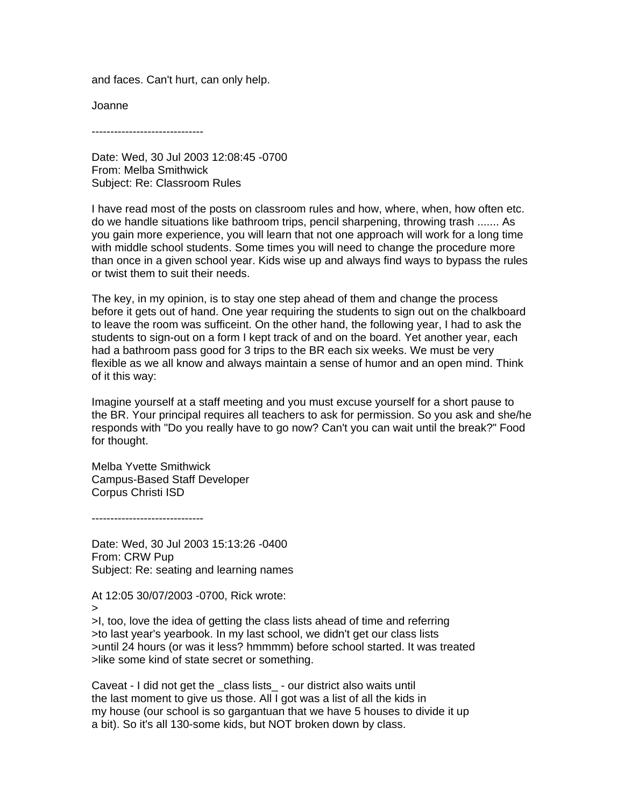and faces. Can't hurt, can only help.

Joanne

------------------------------

Date: Wed, 30 Jul 2003 12:08:45 -0700 From: Melba Smithwick Subject: Re: Classroom Rules

I have read most of the posts on classroom rules and how, where, when, how often etc. do we handle situations like bathroom trips, pencil sharpening, throwing trash ....... As you gain more experience, you will learn that not one approach will work for a long time with middle school students. Some times you will need to change the procedure more than once in a given school year. Kids wise up and always find ways to bypass the rules or twist them to suit their needs.

The key, in my opinion, is to stay one step ahead of them and change the process before it gets out of hand. One year requiring the students to sign out on the chalkboard to leave the room was sufficeint. On the other hand, the following year, I had to ask the students to sign-out on a form I kept track of and on the board. Yet another year, each had a bathroom pass good for 3 trips to the BR each six weeks. We must be very flexible as we all know and always maintain a sense of humor and an open mind. Think of it this way:

Imagine yourself at a staff meeting and you must excuse yourself for a short pause to the BR. Your principal requires all teachers to ask for permission. So you ask and she/he responds with "Do you really have to go now? Can't you can wait until the break?" Food for thought.

Melba Yvette Smithwick Campus-Based Staff Developer Corpus Christi ISD

------------------------------

Date: Wed, 30 Jul 2003 15:13:26 -0400 From: CRW Pup Subject: Re: seating and learning names

At 12:05 30/07/2003 -0700, Rick wrote:

>

>I, too, love the idea of getting the class lists ahead of time and referring >to last year's yearbook. In my last school, we didn't get our class lists >until 24 hours (or was it less? hmmmm) before school started. It was treated >like some kind of state secret or something.

Caveat - I did not get the \_class lists\_ - our district also waits until the last moment to give us those. All I got was a list of all the kids in my house (our school is so gargantuan that we have 5 houses to divide it up a bit). So it's all 130-some kids, but NOT broken down by class.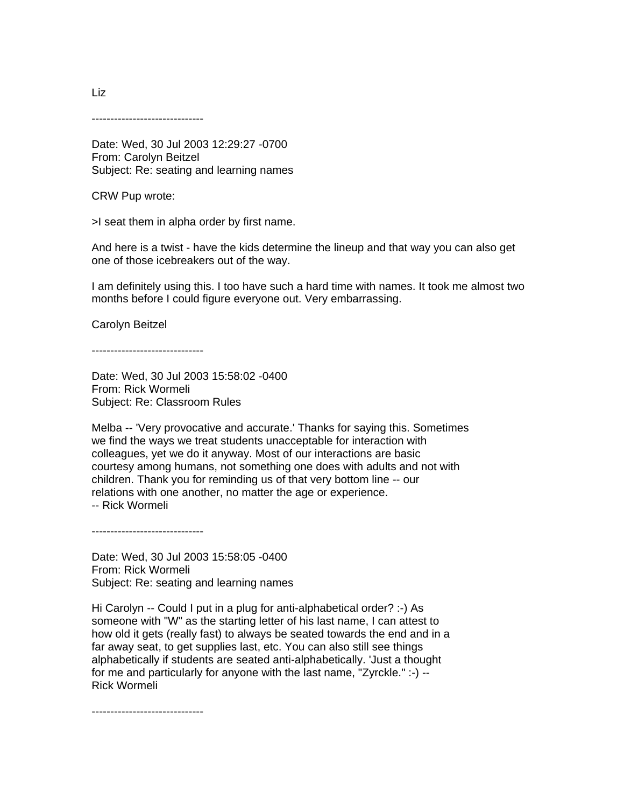------------------------------

Date: Wed, 30 Jul 2003 12:29:27 -0700 From: Carolyn Beitzel Subject: Re: seating and learning names

CRW Pup wrote:

>I seat them in alpha order by first name.

And here is a twist - have the kids determine the lineup and that way you can also get one of those icebreakers out of the way.

I am definitely using this. I too have such a hard time with names. It took me almost two months before I could figure everyone out. Very embarrassing.

Carolyn Beitzel

------------------------------

Date: Wed, 30 Jul 2003 15:58:02 -0400 From: Rick Wormeli Subject: Re: Classroom Rules

Melba -- 'Very provocative and accurate.' Thanks for saying this. Sometimes we find the ways we treat students unacceptable for interaction with colleagues, yet we do it anyway. Most of our interactions are basic courtesy among humans, not something one does with adults and not with children. Thank you for reminding us of that very bottom line -- our relations with one another, no matter the age or experience. -- Rick Wormeli

------------------------------

Date: Wed, 30 Jul 2003 15:58:05 -0400 From: Rick Wormeli Subject: Re: seating and learning names

Hi Carolyn -- Could I put in a plug for anti-alphabetical order? :-) As someone with "W" as the starting letter of his last name, I can attest to how old it gets (really fast) to always be seated towards the end and in a far away seat, to get supplies last, etc. You can also still see things alphabetically if students are seated anti-alphabetically. 'Just a thought for me and particularly for anyone with the last name, "Zyrckle." :-) -- Rick Wormeli

------------------------------

Liz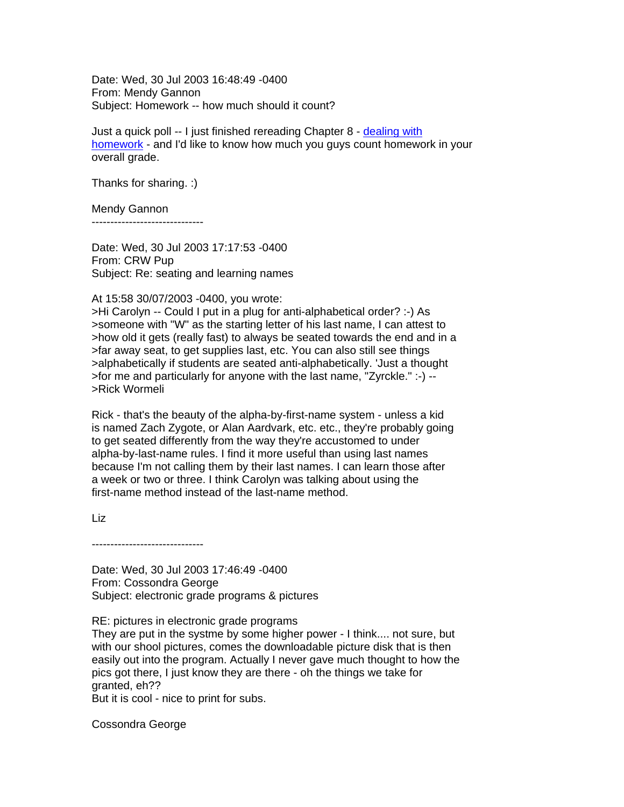Date: Wed, 30 Jul 2003 16:48:49 -0400 From: Mendy Gannon Subject: Homework -- how much should it count?

Just a quick poll -- I just finished rereading Chapter 8 - [dealing with](http://dcwesttechnologytools.wikispaces.com/file/view/Homework+Article.pdf) [homework](http://dcwesttechnologytools.wikispaces.com/file/view/Homework+Article.pdf) - and I'd like to know how much you guys count homework in your overall grade.

Thanks for sharing. :)

Mendy Gannon

------------------------------

Date: Wed, 30 Jul 2003 17:17:53 -0400 From: CRW Pup Subject: Re: seating and learning names

At 15:58 30/07/2003 -0400, you wrote:

>Hi Carolyn -- Could I put in a plug for anti-alphabetical order? :-) As >someone with "W" as the starting letter of his last name, I can attest to >how old it gets (really fast) to always be seated towards the end and in a >far away seat, to get supplies last, etc. You can also still see things >alphabetically if students are seated anti-alphabetically. 'Just a thought >for me and particularly for anyone with the last name, "Zyrckle." :-) -- >Rick Wormeli

Rick - that's the beauty of the alpha-by-first-name system - unless a kid is named Zach Zygote, or Alan Aardvark, etc. etc., they're probably going to get seated differently from the way they're accustomed to under alpha-by-last-name rules. I find it more useful than using last names because I'm not calling them by their last names. I can learn those after a week or two or three. I think Carolyn was talking about using the first-name method instead of the last-name method.

Liz

------------------------------

Date: Wed, 30 Jul 2003 17:46:49 -0400 From: Cossondra George Subject: electronic grade programs & pictures

RE: pictures in electronic grade programs

They are put in the systme by some higher power - I think.... not sure, but with our shool pictures, comes the downloadable picture disk that is then easily out into the program. Actually I never gave much thought to how the pics got there, I just know they are there - oh the things we take for granted, eh??

But it is cool - nice to print for subs.

Cossondra George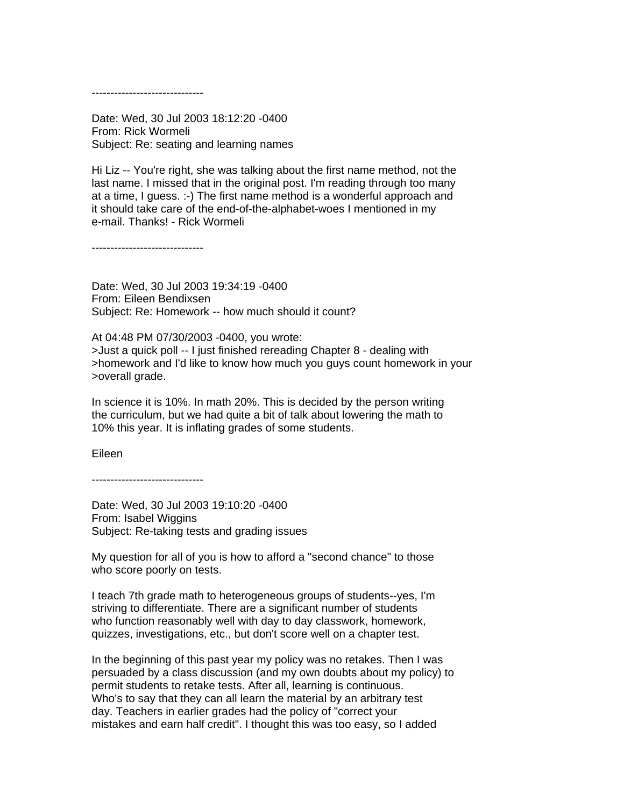------------------------------

Date: Wed, 30 Jul 2003 18:12:20 -0400 From: Rick Wormeli Subject: Re: seating and learning names

Hi Liz -- You're right, she was talking about the first name method, not the last name. I missed that in the original post. I'm reading through too many at a time, I guess. :-) The first name method is a wonderful approach and it should take care of the end-of-the-alphabet-woes I mentioned in my e-mail. Thanks! - Rick Wormeli

------------------------------

Date: Wed, 30 Jul 2003 19:34:19 -0400 From: Eileen Bendixsen Subject: Re: Homework -- how much should it count?

At 04:48 PM 07/30/2003 -0400, you wrote: >Just a quick poll -- I just finished rereading Chapter 8 - dealing with >homework and I'd like to know how much you guys count homework in your >overall grade.

In science it is 10%. In math 20%. This is decided by the person writing the curriculum, but we had quite a bit of talk about lowering the math to 10% this year. It is inflating grades of some students.

Eileen

------------------------------

Date: Wed, 30 Jul 2003 19:10:20 -0400 From: Isabel Wiggins Subject: Re-taking tests and grading issues

My question for all of you is how to afford a "second chance" to those who score poorly on tests.

I teach 7th grade math to heterogeneous groups of students--yes, I'm striving to differentiate. There are a significant number of students who function reasonably well with day to day classwork, homework, quizzes, investigations, etc., but don't score well on a chapter test.

In the beginning of this past year my policy was no retakes. Then I was persuaded by a class discussion (and my own doubts about my policy) to permit students to retake tests. After all, learning is continuous. Who's to say that they can all learn the material by an arbitrary test day. Teachers in earlier grades had the policy of "correct your mistakes and earn half credit". I thought this was too easy, so I added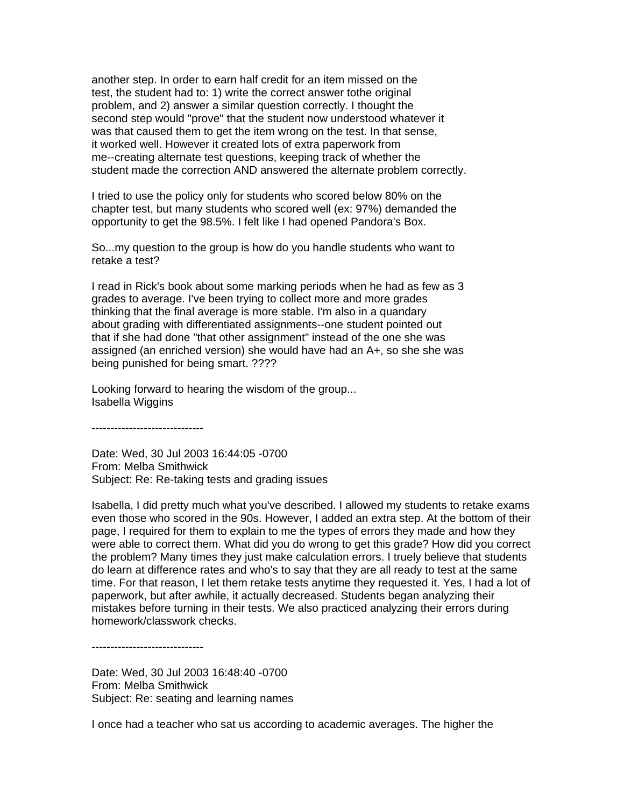another step. In order to earn half credit for an item missed on the test, the student had to: 1) write the correct answer tothe original problem, and 2) answer a similar question correctly. I thought the second step would "prove" that the student now understood whatever it was that caused them to get the item wrong on the test. In that sense, it worked well. However it created lots of extra paperwork from me--creating alternate test questions, keeping track of whether the student made the correction AND answered the alternate problem correctly.

I tried to use the policy only for students who scored below 80% on the chapter test, but many students who scored well (ex: 97%) demanded the opportunity to get the 98.5%. I felt like I had opened Pandora's Box.

So...my question to the group is how do you handle students who want to retake a test?

I read in Rick's book about some marking periods when he had as few as 3 grades to average. I've been trying to collect more and more grades thinking that the final average is more stable. I'm also in a quandary about grading with differentiated assignments--one student pointed out that if she had done "that other assignment" instead of the one she was assigned (an enriched version) she would have had an A+, so she she was being punished for being smart. ????

Looking forward to hearing the wisdom of the group... Isabella Wiggins

------------------------------

Date: Wed, 30 Jul 2003 16:44:05 -0700 From: Melba Smithwick Subject: Re: Re-taking tests and grading issues

Isabella, I did pretty much what you've described. I allowed my students to retake exams even those who scored in the 90s. However, I added an extra step. At the bottom of their page, I required for them to explain to me the types of errors they made and how they were able to correct them. What did you do wrong to get this grade? How did you correct the problem? Many times they just make calculation errors. I truely believe that students do learn at difference rates and who's to say that they are all ready to test at the same time. For that reason, I let them retake tests anytime they requested it. Yes, I had a lot of paperwork, but after awhile, it actually decreased. Students began analyzing their mistakes before turning in their tests. We also practiced analyzing their errors during homework/classwork checks.

------------------------------

Date: Wed, 30 Jul 2003 16:48:40 -0700 From: Melba Smithwick Subject: Re: seating and learning names

I once had a teacher who sat us according to academic averages. The higher the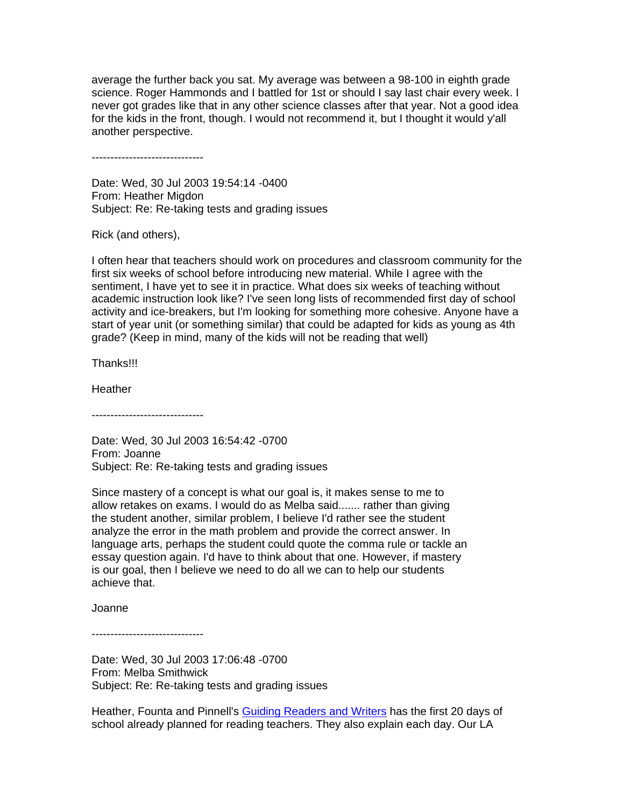average the further back you sat. My average was between a 98-100 in eighth grade science. Roger Hammonds and I battled for 1st or should I say last chair every week. I never got grades like that in any other science classes after that year. Not a good idea for the kids in the front, though. I would not recommend it, but I thought it would y'all another perspective.

------------------------------

Date: Wed, 30 Jul 2003 19:54:14 -0400 From: Heather Migdon Subject: Re: Re-taking tests and grading issues

Rick (and others),

I often hear that teachers should work on procedures and classroom community for the first six weeks of school before introducing new material. While I agree with the sentiment, I have yet to see it in practice. What does six weeks of teaching without academic instruction look like? I've seen long lists of recommended first day of school activity and ice-breakers, but I'm looking for something more cohesive. Anyone have a start of year unit (or something similar) that could be adapted for kids as young as 4th grade? (Keep in mind, many of the kids will not be reading that well)

Thanks!!!

**Heather** 

------------------------------

Date: Wed, 30 Jul 2003 16:54:42 -0700 From: Joanne Subject: Re: Re-taking tests and grading issues

Since mastery of a concept is what our goal is, it makes sense to me to allow retakes on exams. I would do as Melba said....... rather than giving the student another, similar problem, I believe I'd rather see the student analyze the error in the math problem and provide the correct answer. In language arts, perhaps the student could quote the comma rule or tackle an essay question again. I'd have to think about that one. However, if mastery is our goal, then I believe we need to do all we can to help our students achieve that.

Joanne

------------------------------

Date: Wed, 30 Jul 2003 17:06:48 -0700 From: Melba Smithwick Subject: Re: Re-taking tests and grading issues

Heather, Founta and Pinnell's **Guiding Readers and Writers** has the first 20 days of school already planned for reading teachers. They also explain each day. Our LA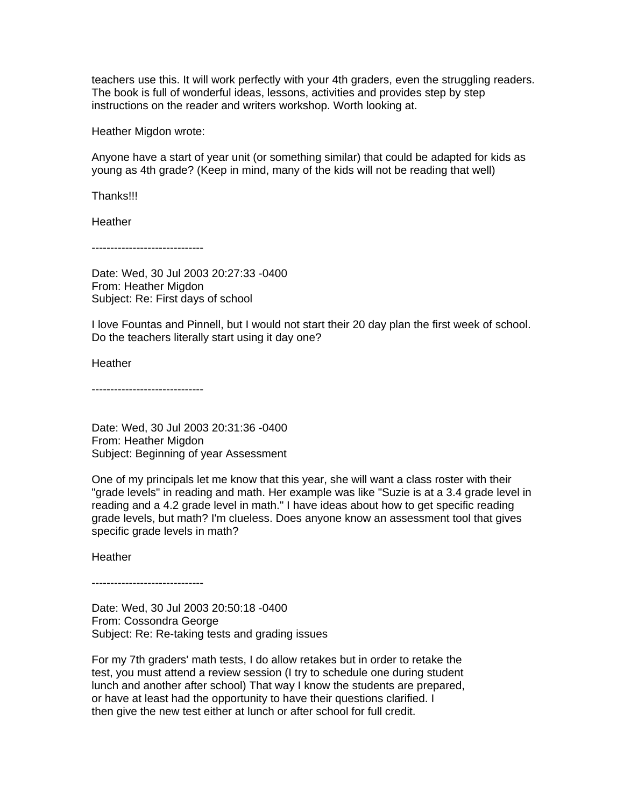teachers use this. It will work perfectly with your 4th graders, even the struggling readers. The book is full of wonderful ideas, lessons, activities and provides step by step instructions on the reader and writers workshop. Worth looking at.

Heather Migdon wrote:

Anyone have a start of year unit (or something similar) that could be adapted for kids as young as 4th grade? (Keep in mind, many of the kids will not be reading that well)

Thanks!!!

**Heather** 

------------------------------

Date: Wed, 30 Jul 2003 20:27:33 -0400 From: Heather Migdon Subject: Re: First days of school

I love Fountas and Pinnell, but I would not start their 20 day plan the first week of school. Do the teachers literally start using it day one?

**Heather** 

------------------------------

Date: Wed, 30 Jul 2003 20:31:36 -0400 From: Heather Migdon Subject: Beginning of year Assessment

One of my principals let me know that this year, she will want a class roster with their "grade levels" in reading and math. Her example was like "Suzie is at a 3.4 grade level in reading and a 4.2 grade level in math." I have ideas about how to get specific reading grade levels, but math? I'm clueless. Does anyone know an assessment tool that gives specific grade levels in math?

**Heather** 

------------------------------

Date: Wed, 30 Jul 2003 20:50:18 -0400 From: Cossondra George Subject: Re: Re-taking tests and grading issues

For my 7th graders' math tests, I do allow retakes but in order to retake the test, you must attend a review session (I try to schedule one during student lunch and another after school) That way I know the students are prepared, or have at least had the opportunity to have their questions clarified. I then give the new test either at lunch or after school for full credit.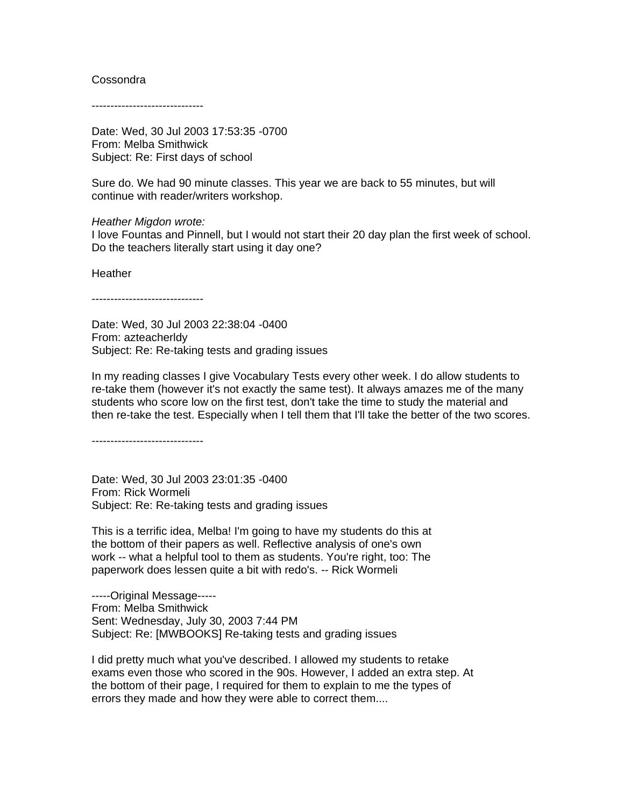#### Cossondra

------------------------------

Date: Wed, 30 Jul 2003 17:53:35 -0700 From: Melba Smithwick Subject: Re: First days of school

Sure do. We had 90 minute classes. This year we are back to 55 minutes, but will continue with reader/writers workshop.

*Heather Migdon wrote:*

I love Fountas and Pinnell, but I would not start their 20 day plan the first week of school. Do the teachers literally start using it day one?

Heather

------------------------------

Date: Wed, 30 Jul 2003 22:38:04 -0400 From: azteacherldy Subject: Re: Re-taking tests and grading issues

In my reading classes I give Vocabulary Tests every other week. I do allow students to re-take them (however it's not exactly the same test). It always amazes me of the many students who score low on the first test, don't take the time to study the material and then re-take the test. Especially when I tell them that I'll take the better of the two scores.

------------------------------

Date: Wed, 30 Jul 2003 23:01:35 -0400 From: Rick Wormeli Subject: Re: Re-taking tests and grading issues

This is a terrific idea, Melba! I'm going to have my students do this at the bottom of their papers as well. Reflective analysis of one's own work -- what a helpful tool to them as students. You're right, too: The paperwork does lessen quite a bit with redo's. -- Rick Wormeli

-----Original Message----- From: Melba Smithwick Sent: Wednesday, July 30, 2003 7:44 PM Subject: Re: [MWBOOKS] Re-taking tests and grading issues

I did pretty much what you've described. I allowed my students to retake exams even those who scored in the 90s. However, I added an extra step. At the bottom of their page, I required for them to explain to me the types of errors they made and how they were able to correct them....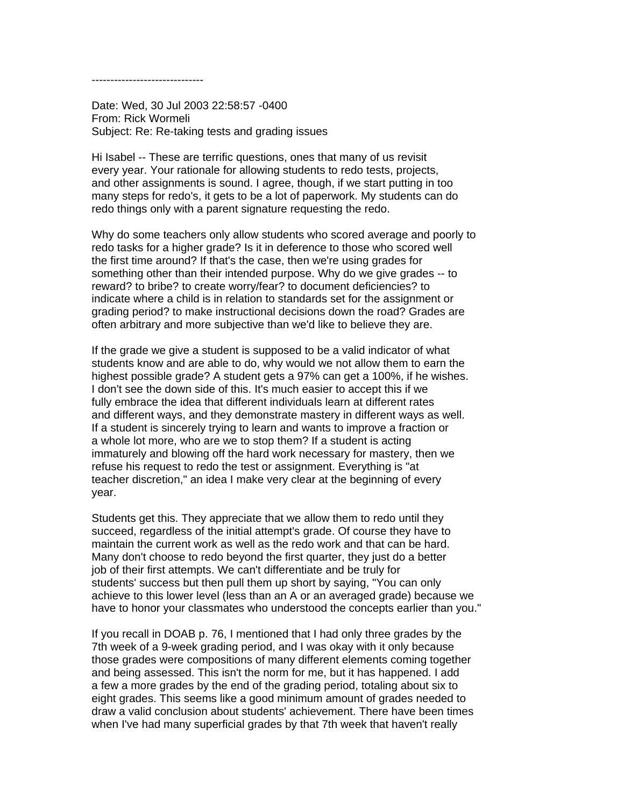------------------------------

Date: Wed, 30 Jul 2003 22:58:57 -0400 From: Rick Wormeli Subject: Re: Re-taking tests and grading issues

Hi Isabel -- These are terrific questions, ones that many of us revisit every year. Your rationale for allowing students to redo tests, projects, and other assignments is sound. I agree, though, if we start putting in too many steps for redo's, it gets to be a lot of paperwork. My students can do redo things only with a parent signature requesting the redo.

Why do some teachers only allow students who scored average and poorly to redo tasks for a higher grade? Is it in deference to those who scored well the first time around? If that's the case, then we're using grades for something other than their intended purpose. Why do we give grades -- to reward? to bribe? to create worry/fear? to document deficiencies? to indicate where a child is in relation to standards set for the assignment or grading period? to make instructional decisions down the road? Grades are often arbitrary and more subjective than we'd like to believe they are.

If the grade we give a student is supposed to be a valid indicator of what students know and are able to do, why would we not allow them to earn the highest possible grade? A student gets a 97% can get a 100%, if he wishes. I don't see the down side of this. It's much easier to accept this if we fully embrace the idea that different individuals learn at different rates and different ways, and they demonstrate mastery in different ways as well. If a student is sincerely trying to learn and wants to improve a fraction or a whole lot more, who are we to stop them? If a student is acting immaturely and blowing off the hard work necessary for mastery, then we refuse his request to redo the test or assignment. Everything is "at teacher discretion," an idea I make very clear at the beginning of every year.

Students get this. They appreciate that we allow them to redo until they succeed, regardless of the initial attempt's grade. Of course they have to maintain the current work as well as the redo work and that can be hard. Many don't choose to redo beyond the first quarter, they just do a better job of their first attempts. We can't differentiate and be truly for students' success but then pull them up short by saying, "You can only achieve to this lower level (less than an A or an averaged grade) because we have to honor your classmates who understood the concepts earlier than you."

If you recall in DOAB p. 76, I mentioned that I had only three grades by the 7th week of a 9-week grading period, and I was okay with it only because those grades were compositions of many different elements coming together and being assessed. This isn't the norm for me, but it has happened. I add a few a more grades by the end of the grading period, totaling about six to eight grades. This seems like a good minimum amount of grades needed to draw a valid conclusion about students' achievement. There have been times when I've had many superficial grades by that 7th week that haven't really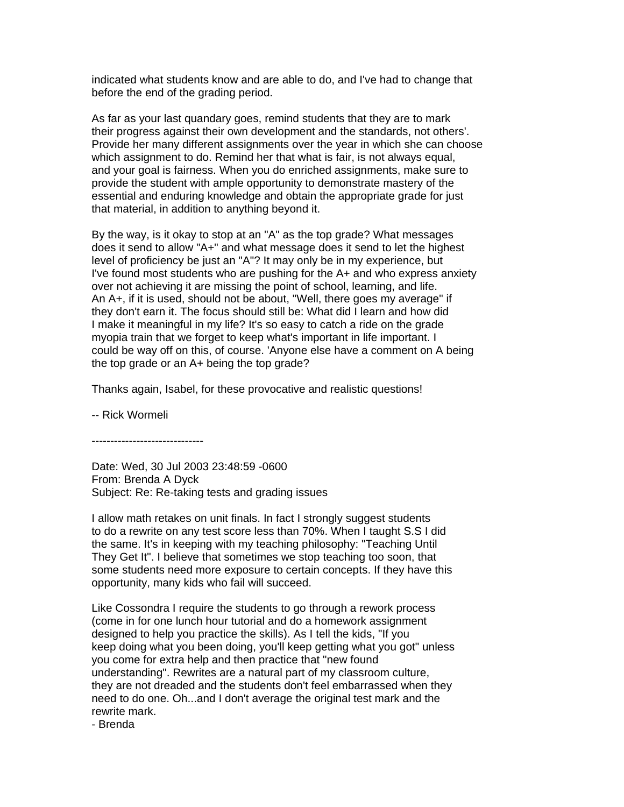indicated what students know and are able to do, and I've had to change that before the end of the grading period.

As far as your last quandary goes, remind students that they are to mark their progress against their own development and the standards, not others'. Provide her many different assignments over the year in which she can choose which assignment to do. Remind her that what is fair, is not always equal, and your goal is fairness. When you do enriched assignments, make sure to provide the student with ample opportunity to demonstrate mastery of the essential and enduring knowledge and obtain the appropriate grade for just that material, in addition to anything beyond it.

By the way, is it okay to stop at an "A" as the top grade? What messages does it send to allow "A+" and what message does it send to let the highest level of proficiency be just an "A"? It may only be in my experience, but I've found most students who are pushing for the A+ and who express anxiety over not achieving it are missing the point of school, learning, and life. An A+, if it is used, should not be about, "Well, there goes my average" if they don't earn it. The focus should still be: What did I learn and how did I make it meaningful in my life? It's so easy to catch a ride on the grade myopia train that we forget to keep what's important in life important. I could be way off on this, of course. 'Anyone else have a comment on A being the top grade or an A+ being the top grade?

Thanks again, Isabel, for these provocative and realistic questions!

-- Rick Wormeli

------------------------------

Date: Wed, 30 Jul 2003 23:48:59 -0600 From: Brenda A Dyck Subject: Re: Re-taking tests and grading issues

I allow math retakes on unit finals. In fact I strongly suggest students to do a rewrite on any test score less than 70%. When I taught S.S I did the same. It's in keeping with my teaching philosophy: "Teaching Until They Get It". I believe that sometimes we stop teaching too soon, that some students need more exposure to certain concepts. If they have this opportunity, many kids who fail will succeed.

Like Cossondra I require the students to go through a rework process (come in for one lunch hour tutorial and do a homework assignment designed to help you practice the skills). As I tell the kids, "If you keep doing what you been doing, you'll keep getting what you got" unless you come for extra help and then practice that "new found understanding". Rewrites are a natural part of my classroom culture, they are not dreaded and the students don't feel embarrassed when they need to do one. Oh...and I don't average the original test mark and the rewrite mark.

- Brenda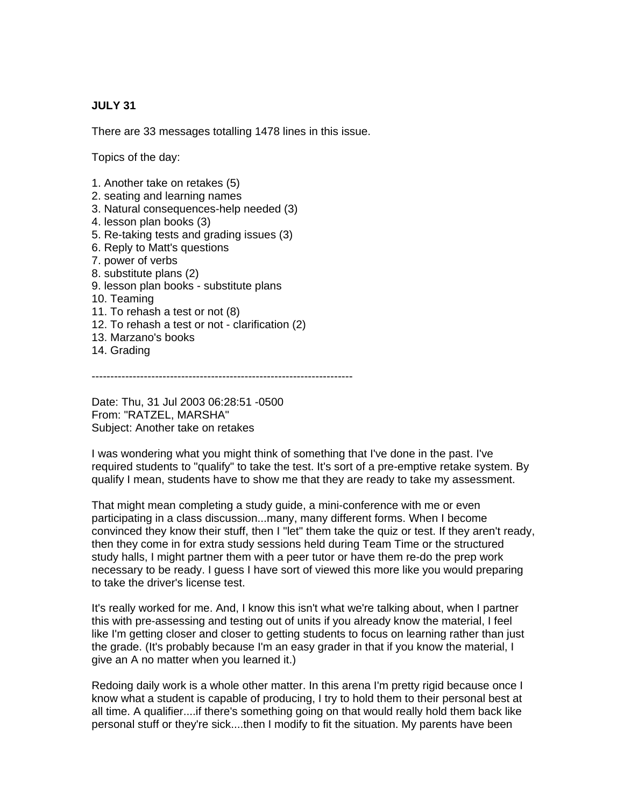## **JULY 31**

There are 33 messages totalling 1478 lines in this issue.

Topics of the day:

- 1. Another take on retakes (5)
- 2. seating and learning names
- 3. Natural consequences-help needed (3)
- 4. lesson plan books (3)
- 5. Re-taking tests and grading issues (3)
- 6. Reply to Matt's questions
- 7. power of verbs
- 8. substitute plans (2)
- 9. lesson plan books substitute plans
- 10. Teaming
- 11. To rehash a test or not (8)
- 12. To rehash a test or not clarification (2)
- 13. Marzano's books
- 14. Grading

----------------------------------------------------------------------

Date: Thu, 31 Jul 2003 06:28:51 -0500 From: "RATZEL, MARSHA" Subject: Another take on retakes

I was wondering what you might think of something that I've done in the past. I've required students to "qualify" to take the test. It's sort of a pre-emptive retake system. By qualify I mean, students have to show me that they are ready to take my assessment.

That might mean completing a study guide, a mini-conference with me or even participating in a class discussion...many, many different forms. When I become convinced they know their stuff, then I "let" them take the quiz or test. If they aren't ready, then they come in for extra study sessions held during Team Time or the structured study halls, I might partner them with a peer tutor or have them re-do the prep work necessary to be ready. I guess I have sort of viewed this more like you would preparing to take the driver's license test.

It's really worked for me. And, I know this isn't what we're talking about, when I partner this with pre-assessing and testing out of units if you already know the material, I feel like I'm getting closer and closer to getting students to focus on learning rather than just the grade. (It's probably because I'm an easy grader in that if you know the material, I give an A no matter when you learned it.)

Redoing daily work is a whole other matter. In this arena I'm pretty rigid because once I know what a student is capable of producing, I try to hold them to their personal best at all time. A qualifier....if there's something going on that would really hold them back like personal stuff or they're sick....then I modify to fit the situation. My parents have been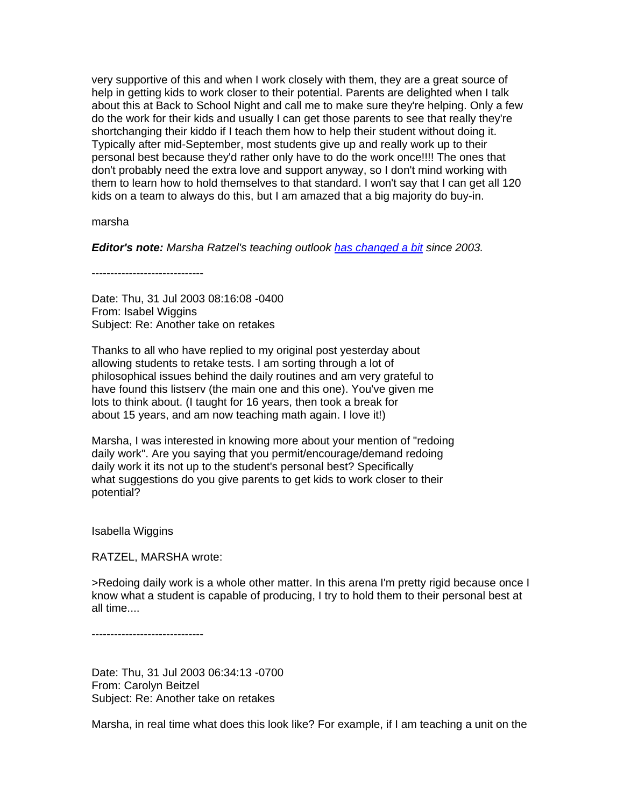very supportive of this and when I work closely with them, they are a great source of help in getting kids to work closer to their potential. Parents are delighted when I talk about this at Back to School Night and call me to make sure they're helping. Only a few do the work for their kids and usually I can get those parents to see that really they're shortchanging their kiddo if I teach them how to help their student without doing it. Typically after mid-September, most students give up and really work up to their personal best because they'd rather only have to do the work once!!!! The ones that don't probably need the extra love and support anyway, so I don't mind working with them to learn how to hold themselves to that standard. I won't say that I can get all 120 kids on a team to always do this, but I am amazed that a big majority do buy-in.

marsha

*Editor's note: Marsha Ratzel's teaching outlook [has changed a bit](http://www.middleweb.com/1113/a-better-brand-of-teaching) since 2003.*

------------------------------

Date: Thu, 31 Jul 2003 08:16:08 -0400 From: Isabel Wiggins Subject: Re: Another take on retakes

Thanks to all who have replied to my original post yesterday about allowing students to retake tests. I am sorting through a lot of philosophical issues behind the daily routines and am very grateful to have found this listserv (the main one and this one). You've given me lots to think about. (I taught for 16 years, then took a break for about 15 years, and am now teaching math again. I love it!)

Marsha, I was interested in knowing more about your mention of "redoing daily work". Are you saying that you permit/encourage/demand redoing daily work it its not up to the student's personal best? Specifically what suggestions do you give parents to get kids to work closer to their potential?

Isabella Wiggins

RATZEL, MARSHA wrote:

>Redoing daily work is a whole other matter. In this arena I'm pretty rigid because once I know what a student is capable of producing, I try to hold them to their personal best at all time....

------------------------------

Date: Thu, 31 Jul 2003 06:34:13 -0700 From: Carolyn Beitzel Subject: Re: Another take on retakes

Marsha, in real time what does this look like? For example, if I am teaching a unit on the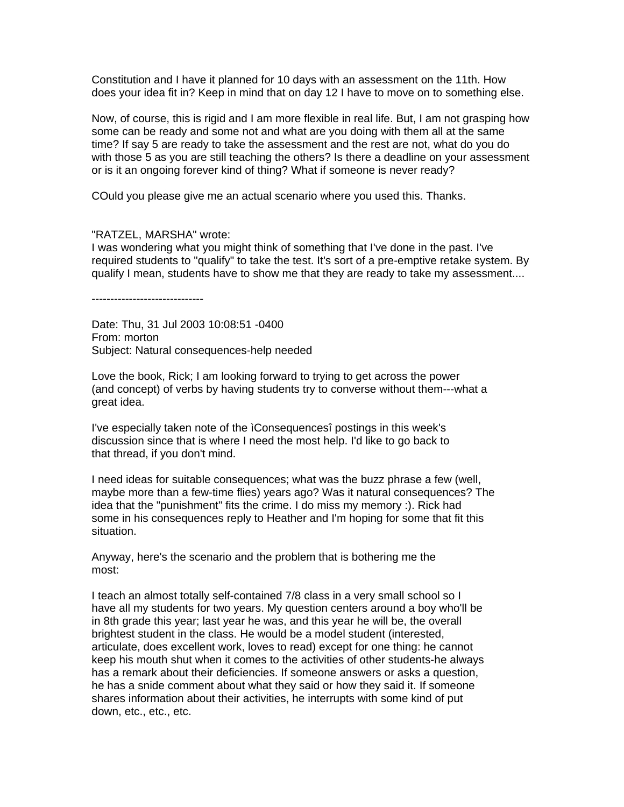Constitution and I have it planned for 10 days with an assessment on the 11th. How does your idea fit in? Keep in mind that on day 12 I have to move on to something else.

Now, of course, this is rigid and I am more flexible in real life. But, I am not grasping how some can be ready and some not and what are you doing with them all at the same time? If say 5 are ready to take the assessment and the rest are not, what do you do with those 5 as you are still teaching the others? Is there a deadline on your assessment or is it an ongoing forever kind of thing? What if someone is never ready?

COuld you please give me an actual scenario where you used this. Thanks.

#### "RATZEL, MARSHA" wrote:

I was wondering what you might think of something that I've done in the past. I've required students to "qualify" to take the test. It's sort of a pre-emptive retake system. By qualify I mean, students have to show me that they are ready to take my assessment....

------------------------------

Date: Thu, 31 Jul 2003 10:08:51 -0400 From: morton Subject: Natural consequences-help needed

Love the book, Rick; I am looking forward to trying to get across the power (and concept) of verbs by having students try to converse without them---what a great idea.

I've especially taken note of the ìConsequencesî postings in this week's discussion since that is where I need the most help. I'd like to go back to that thread, if you don't mind.

I need ideas for suitable consequences; what was the buzz phrase a few (well, maybe more than a few-time flies) years ago? Was it natural consequences? The idea that the "punishment" fits the crime. I do miss my memory :). Rick had some in his consequences reply to Heather and I'm hoping for some that fit this situation.

Anyway, here's the scenario and the problem that is bothering me the most:

I teach an almost totally self-contained 7/8 class in a very small school so I have all my students for two years. My question centers around a boy who'll be in 8th grade this year; last year he was, and this year he will be, the overall brightest student in the class. He would be a model student (interested, articulate, does excellent work, loves to read) except for one thing: he cannot keep his mouth shut when it comes to the activities of other students-he always has a remark about their deficiencies. If someone answers or asks a question, he has a snide comment about what they said or how they said it. If someone shares information about their activities, he interrupts with some kind of put down, etc., etc., etc.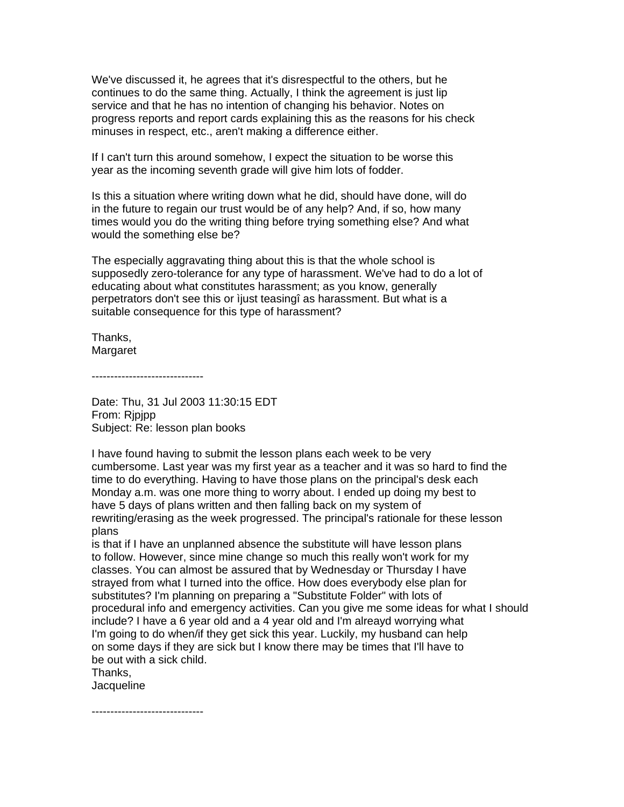We've discussed it, he agrees that it's disrespectful to the others, but he continues to do the same thing. Actually, I think the agreement is just lip service and that he has no intention of changing his behavior. Notes on progress reports and report cards explaining this as the reasons for his check minuses in respect, etc., aren't making a difference either.

If I can't turn this around somehow, I expect the situation to be worse this year as the incoming seventh grade will give him lots of fodder.

Is this a situation where writing down what he did, should have done, will do in the future to regain our trust would be of any help? And, if so, how many times would you do the writing thing before trying something else? And what would the something else be?

The especially aggravating thing about this is that the whole school is supposedly zero-tolerance for any type of harassment. We've had to do a lot of educating about what constitutes harassment; as you know, generally perpetrators don't see this or ìjust teasingî as harassment. But what is a suitable consequence for this type of harassment?

Thanks, Margaret

------------------------------

Date: Thu, 31 Jul 2003 11:30:15 EDT From: Rjpjpp Subject: Re: lesson plan books

I have found having to submit the lesson plans each week to be very cumbersome. Last year was my first year as a teacher and it was so hard to find the time to do everything. Having to have those plans on the principal's desk each Monday a.m. was one more thing to worry about. I ended up doing my best to have 5 days of plans written and then falling back on my system of rewriting/erasing as the week progressed. The principal's rationale for these lesson plans

is that if I have an unplanned absence the substitute will have lesson plans to follow. However, since mine change so much this really won't work for my classes. You can almost be assured that by Wednesday or Thursday I have strayed from what I turned into the office. How does everybody else plan for substitutes? I'm planning on preparing a "Substitute Folder" with lots of procedural info and emergency activities. Can you give me some ideas for what I should include? I have a 6 year old and a 4 year old and I'm alreayd worrying what I'm going to do when/if they get sick this year. Luckily, my husband can help on some days if they are sick but I know there may be times that I'll have to be out with a sick child.

Thanks,

**Jacqueline** 

------------------------------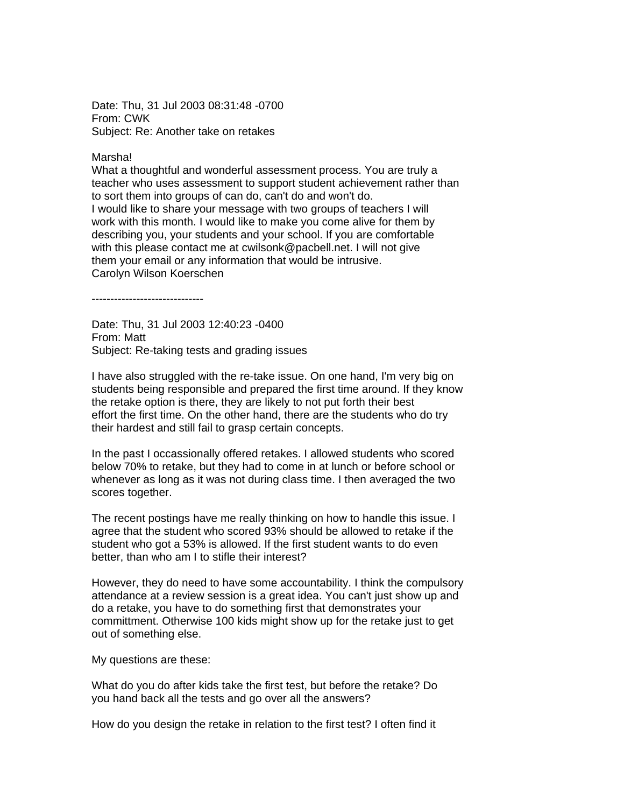Date: Thu, 31 Jul 2003 08:31:48 -0700 From: CWK Subject: Re: Another take on retakes

Marsha!

What a thoughtful and wonderful assessment process. You are truly a teacher who uses assessment to support student achievement rather than to sort them into groups of can do, can't do and won't do. I would like to share your message with two groups of teachers I will work with this month. I would like to make you come alive for them by describing you, your students and your school. If you are comfortable with this please contact me at cwilsonk@pacbell.net. I will not give them your email or any information that would be intrusive. Carolyn Wilson Koerschen

------------------------------

Date: Thu, 31 Jul 2003 12:40:23 -0400 From: Matt Subject: Re-taking tests and grading issues

I have also struggled with the re-take issue. On one hand, I'm very big on students being responsible and prepared the first time around. If they know the retake option is there, they are likely to not put forth their best effort the first time. On the other hand, there are the students who do try their hardest and still fail to grasp certain concepts.

In the past I occassionally offered retakes. I allowed students who scored below 70% to retake, but they had to come in at lunch or before school or whenever as long as it was not during class time. I then averaged the two scores together.

The recent postings have me really thinking on how to handle this issue. I agree that the student who scored 93% should be allowed to retake if the student who got a 53% is allowed. If the first student wants to do even better, than who am I to stifle their interest?

However, they do need to have some accountability. I think the compulsory attendance at a review session is a great idea. You can't just show up and do a retake, you have to do something first that demonstrates your committment. Otherwise 100 kids might show up for the retake just to get out of something else.

My questions are these:

What do you do after kids take the first test, but before the retake? Do you hand back all the tests and go over all the answers?

How do you design the retake in relation to the first test? I often find it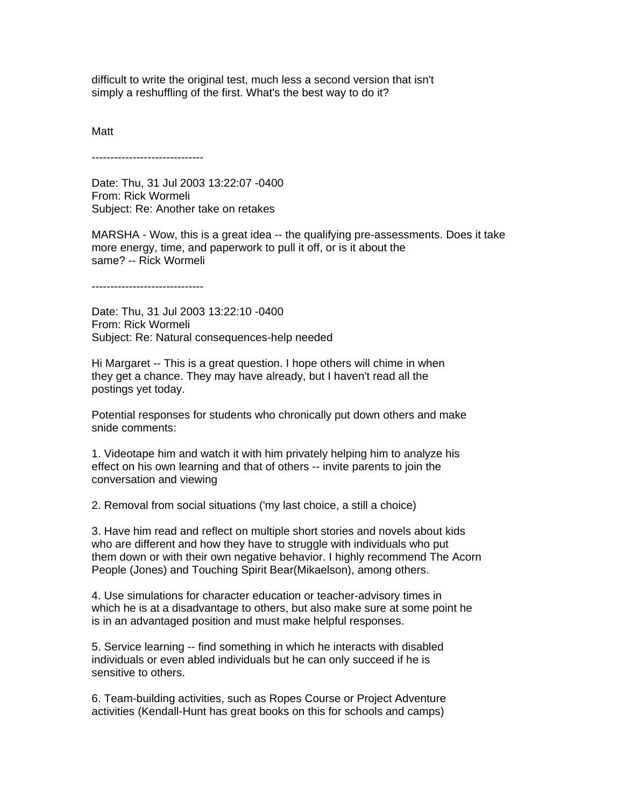difficult to write the original test, much less a second version that isn't simply a reshuffling of the first. What's the best way to do it?

Matt

------------------------------

Date: Thu, 31 Jul 2003 13:22:07 -0400 From: Rick Wormeli Subject: Re: Another take on retakes

MARSHA - Wow, this is a great idea -- the qualifying pre-assessments. Does it take more energy, time, and paperwork to pull it off, or is it about the same? -- Rick Wormeli

------------------------------

Date: Thu, 31 Jul 2003 13:22:10 -0400 From: Rick Wormeli Subject: Re: Natural consequences-help needed

Hi Margaret -- This is a great question. I hope others will chime in when they get a chance. They may have already, but I haven't read all the postings yet today.

Potential responses for students who chronically put down others and make snide comments:

1. Videotape him and watch it with him privately helping him to analyze his effect on his own learning and that of others -- invite parents to join the conversation and viewing

2. Removal from social situations ('my last choice, a still a choice)

3. Have him read and reflect on multiple short stories and novels about kids who are different and how they have to struggle with individuals who put them down or with their own negative behavior. I highly recommend The Acorn People (Jones) and Touching Spirit Bear(Mikaelson), among others.

4. Use simulations for character education or teacher-advisory times in which he is at a disadvantage to others, but also make sure at some point he is in an advantaged position and must make helpful responses.

5. Service learning -- find something in which he interacts with disabled individuals or even abled individuals but he can only succeed if he is sensitive to others.

6. Team-building activities, such as Ropes Course or Project Adventure activities (Kendall-Hunt has great books on this for schools and camps)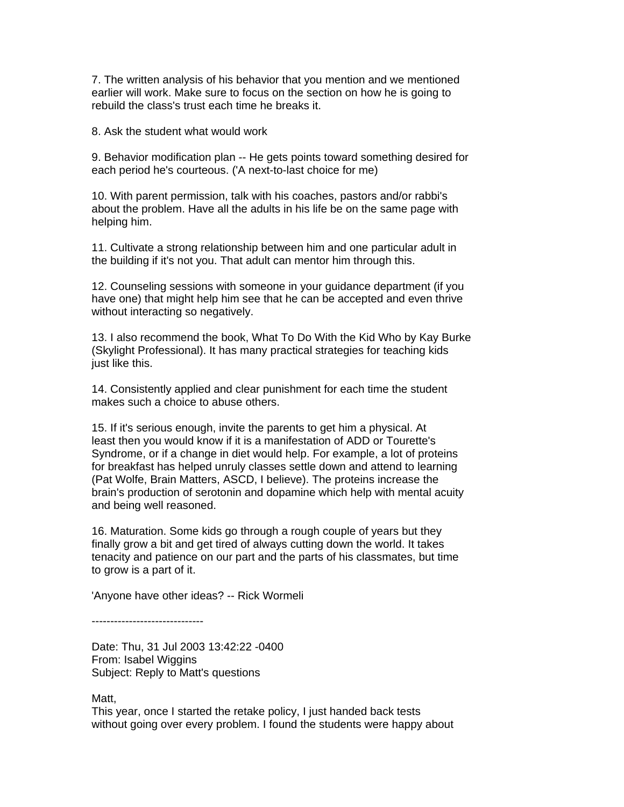7. The written analysis of his behavior that you mention and we mentioned earlier will work. Make sure to focus on the section on how he is going to rebuild the class's trust each time he breaks it.

8. Ask the student what would work

9. Behavior modification plan -- He gets points toward something desired for each period he's courteous. ('A next-to-last choice for me)

10. With parent permission, talk with his coaches, pastors and/or rabbi's about the problem. Have all the adults in his life be on the same page with helping him.

11. Cultivate a strong relationship between him and one particular adult in the building if it's not you. That adult can mentor him through this.

12. Counseling sessions with someone in your guidance department (if you have one) that might help him see that he can be accepted and even thrive without interacting so negatively.

13. I also recommend the book, What To Do With the Kid Who by Kay Burke (Skylight Professional). It has many practical strategies for teaching kids just like this.

14. Consistently applied and clear punishment for each time the student makes such a choice to abuse others.

15. If it's serious enough, invite the parents to get him a physical. At least then you would know if it is a manifestation of ADD or Tourette's Syndrome, or if a change in diet would help. For example, a lot of proteins for breakfast has helped unruly classes settle down and attend to learning (Pat Wolfe, Brain Matters, ASCD, I believe). The proteins increase the brain's production of serotonin and dopamine which help with mental acuity and being well reasoned.

16. Maturation. Some kids go through a rough couple of years but they finally grow a bit and get tired of always cutting down the world. It takes tenacity and patience on our part and the parts of his classmates, but time to grow is a part of it.

'Anyone have other ideas? -- Rick Wormeli

------------------------------

Date: Thu, 31 Jul 2003 13:42:22 -0400 From: Isabel Wiggins Subject: Reply to Matt's questions

Matt.

This year, once I started the retake policy, I just handed back tests without going over every problem. I found the students were happy about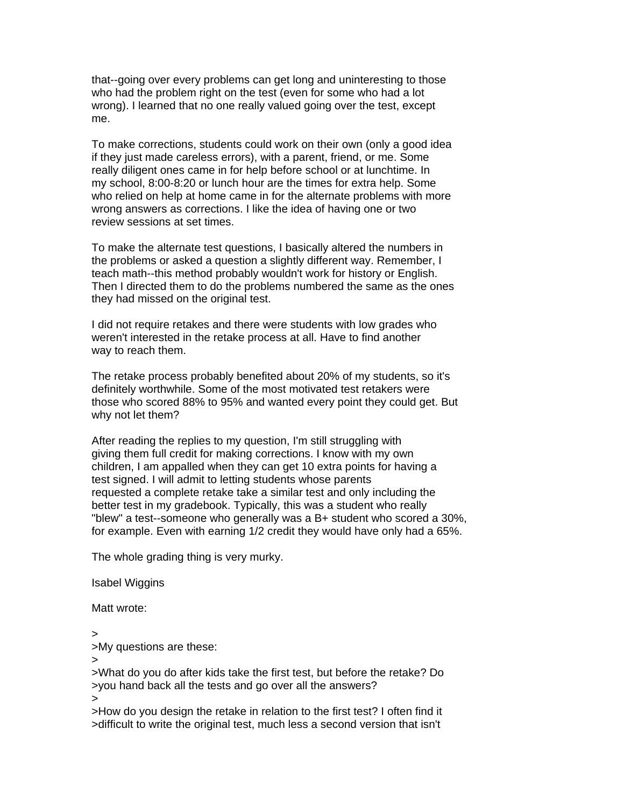that--going over every problems can get long and uninteresting to those who had the problem right on the test (even for some who had a lot wrong). I learned that no one really valued going over the test, except me.

To make corrections, students could work on their own (only a good idea if they just made careless errors), with a parent, friend, or me. Some really diligent ones came in for help before school or at lunchtime. In my school, 8:00-8:20 or lunch hour are the times for extra help. Some who relied on help at home came in for the alternate problems with more wrong answers as corrections. I like the idea of having one or two review sessions at set times.

To make the alternate test questions, I basically altered the numbers in the problems or asked a question a slightly different way. Remember, I teach math--this method probably wouldn't work for history or English. Then I directed them to do the problems numbered the same as the ones they had missed on the original test.

I did not require retakes and there were students with low grades who weren't interested in the retake process at all. Have to find another way to reach them.

The retake process probably benefited about 20% of my students, so it's definitely worthwhile. Some of the most motivated test retakers were those who scored 88% to 95% and wanted every point they could get. But why not let them?

After reading the replies to my question, I'm still struggling with giving them full credit for making corrections. I know with my own children, I am appalled when they can get 10 extra points for having a test signed. I will admit to letting students whose parents requested a complete retake take a similar test and only including the better test in my gradebook. Typically, this was a student who really "blew" a test--someone who generally was a B+ student who scored a 30%, for example. Even with earning 1/2 credit they would have only had a 65%.

The whole grading thing is very murky.

Isabel Wiggins

Matt wrote:

>

>My questions are these:

> >What do you do after kids take the first test, but before the retake? Do >you hand back all the tests and go over all the answers?

>

>How do you design the retake in relation to the first test? I often find it >difficult to write the original test, much less a second version that isn't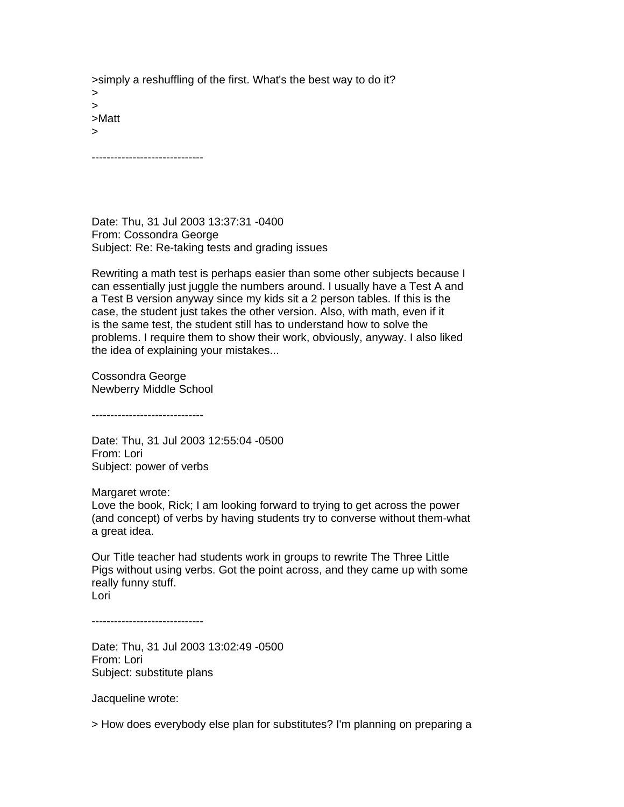>simply a reshuffling of the first. What's the best way to do it? > > >Matt >

------------------------------

Date: Thu, 31 Jul 2003 13:37:31 -0400 From: Cossondra George Subject: Re: Re-taking tests and grading issues

Rewriting a math test is perhaps easier than some other subjects because I can essentially just juggle the numbers around. I usually have a Test A and a Test B version anyway since my kids sit a 2 person tables. If this is the case, the student just takes the other version. Also, with math, even if it is the same test, the student still has to understand how to solve the problems. I require them to show their work, obviously, anyway. I also liked the idea of explaining your mistakes...

Cossondra George Newberry Middle School

------------------------------

Date: Thu, 31 Jul 2003 12:55:04 -0500 From: Lori Subject: power of verbs

Margaret wrote: Love the book, Rick; I am looking forward to trying to get across the power (and concept) of verbs by having students try to converse without them-what a great idea.

Our Title teacher had students work in groups to rewrite The Three Little Pigs without using verbs. Got the point across, and they came up with some really funny stuff. Lori

------------------------------

Date: Thu, 31 Jul 2003 13:02:49 -0500 From: Lori Subject: substitute plans

Jacqueline wrote:

> How does everybody else plan for substitutes? I'm planning on preparing a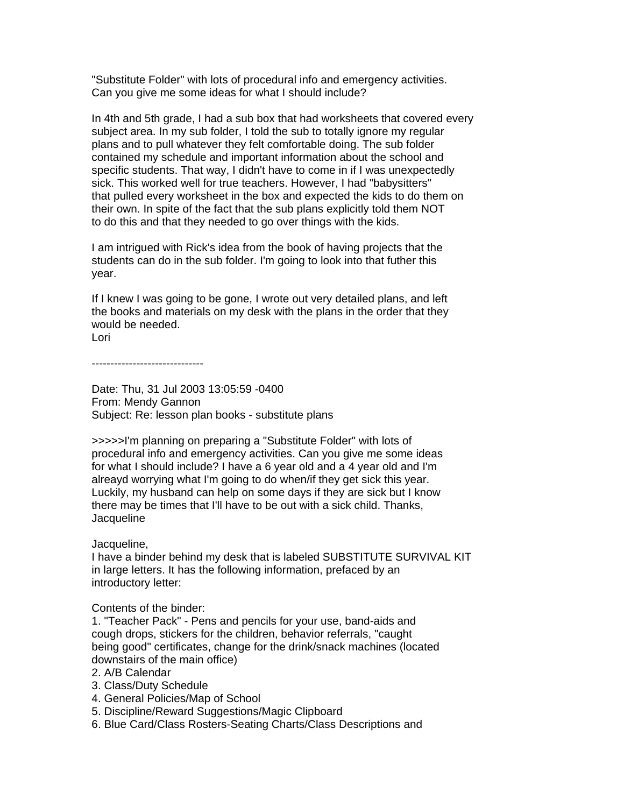"Substitute Folder" with lots of procedural info and emergency activities. Can you give me some ideas for what I should include?

In 4th and 5th grade, I had a sub box that had worksheets that covered every subject area. In my sub folder, I told the sub to totally ignore my regular plans and to pull whatever they felt comfortable doing. The sub folder contained my schedule and important information about the school and specific students. That way, I didn't have to come in if I was unexpectedly sick. This worked well for true teachers. However, I had "babysitters" that pulled every worksheet in the box and expected the kids to do them on their own. In spite of the fact that the sub plans explicitly told them NOT to do this and that they needed to go over things with the kids.

I am intrigued with Rick's idea from the book of having projects that the students can do in the sub folder. I'm going to look into that futher this year.

If I knew I was going to be gone, I wrote out very detailed plans, and left the books and materials on my desk with the plans in the order that they would be needed.

Lori

------------------------------

Date: Thu, 31 Jul 2003 13:05:59 -0400 From: Mendy Gannon Subject: Re: lesson plan books - substitute plans

>>>>>I'm planning on preparing a "Substitute Folder" with lots of procedural info and emergency activities. Can you give me some ideas for what I should include? I have a 6 year old and a 4 year old and I'm alreayd worrying what I'm going to do when/if they get sick this year. Luckily, my husband can help on some days if they are sick but I know there may be times that I'll have to be out with a sick child. Thanks, **Jacqueline** 

## Jacqueline,

I have a binder behind my desk that is labeled SUBSTITUTE SURVIVAL KIT in large letters. It has the following information, prefaced by an introductory letter:

## Contents of the binder:

1. "Teacher Pack" - Pens and pencils for your use, band-aids and cough drops, stickers for the children, behavior referrals, "caught being good" certificates, change for the drink/snack machines (located downstairs of the main office)

- 2. A/B Calendar
- 3. Class/Duty Schedule
- 4. General Policies/Map of School
- 5. Discipline/Reward Suggestions/Magic Clipboard
- 6. Blue Card/Class Rosters-Seating Charts/Class Descriptions and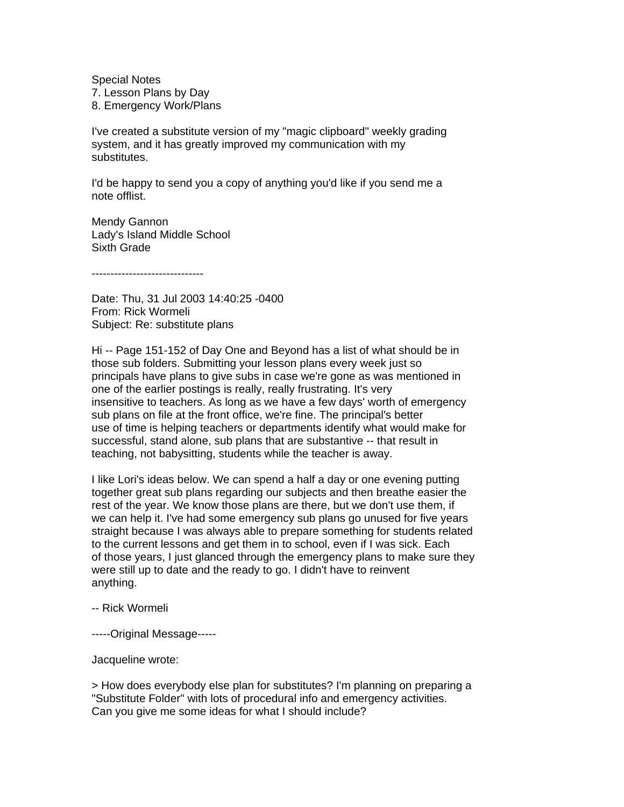Special Notes 7. Lesson Plans by Day 8. Emergency Work/Plans

I've created a substitute version of my "magic clipboard" weekly grading system, and it has greatly improved my communication with my substitutes.

I'd be happy to send you a copy of anything you'd like if you send me a note offlist.

Mendy Gannon Lady's Island Middle School Sixth Grade

------------------------------

Date: Thu, 31 Jul 2003 14:40:25 -0400 From: Rick Wormeli Subject: Re: substitute plans

Hi -- Page 151-152 of Day One and Beyond has a list of what should be in those sub folders. Submitting your lesson plans every week just so principals have plans to give subs in case we're gone as was mentioned in one of the earlier postings is really, really frustrating. It's very insensitive to teachers. As long as we have a few days' worth of emergency sub plans on file at the front office, we're fine. The principal's better use of time is helping teachers or departments identify what would make for successful, stand alone, sub plans that are substantive -- that result in teaching, not babysitting, students while the teacher is away.

I like Lori's ideas below. We can spend a half a day or one evening putting together great sub plans regarding our subjects and then breathe easier the rest of the year. We know those plans are there, but we don't use them, if we can help it. I've had some emergency sub plans go unused for five years straight because I was always able to prepare something for students related to the current lessons and get them in to school, even if I was sick. Each of those years, I just glanced through the emergency plans to make sure they were still up to date and the ready to go. I didn't have to reinvent anything.

-- Rick Wormeli

-----Original Message-----

Jacqueline wrote:

> How does everybody else plan for substitutes? I'm planning on preparing a "Substitute Folder" with lots of procedural info and emergency activities. Can you give me some ideas for what I should include?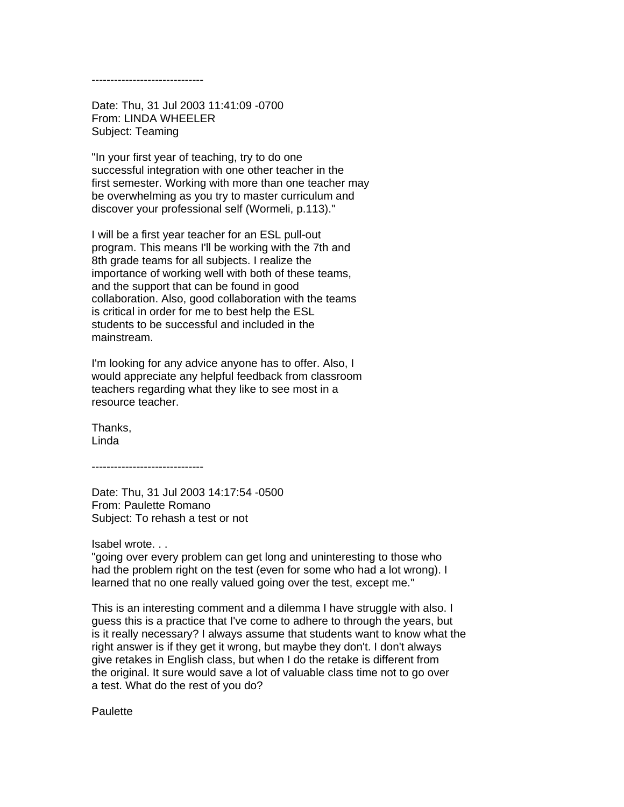------------------------------

Date: Thu, 31 Jul 2003 11:41:09 -0700 From: LINDA WHEELER Subject: Teaming

"In your first year of teaching, try to do one successful integration with one other teacher in the first semester. Working with more than one teacher may be overwhelming as you try to master curriculum and discover your professional self (Wormeli, p.113)."

I will be a first year teacher for an ESL pull-out program. This means I'll be working with the 7th and 8th grade teams for all subjects. I realize the importance of working well with both of these teams, and the support that can be found in good collaboration. Also, good collaboration with the teams is critical in order for me to best help the ESL students to be successful and included in the mainstream.

I'm looking for any advice anyone has to offer. Also, I would appreciate any helpful feedback from classroom teachers regarding what they like to see most in a resource teacher.

Thanks, Linda

------------------------------

Date: Thu, 31 Jul 2003 14:17:54 -0500 From: Paulette Romano Subject: To rehash a test or not

Isabel wrote. . .

"going over every problem can get long and uninteresting to those who had the problem right on the test (even for some who had a lot wrong). I learned that no one really valued going over the test, except me."

This is an interesting comment and a dilemma I have struggle with also. I guess this is a practice that I've come to adhere to through the years, but is it really necessary? I always assume that students want to know what the right answer is if they get it wrong, but maybe they don't. I don't always give retakes in English class, but when I do the retake is different from the original. It sure would save a lot of valuable class time not to go over a test. What do the rest of you do?

**Paulette**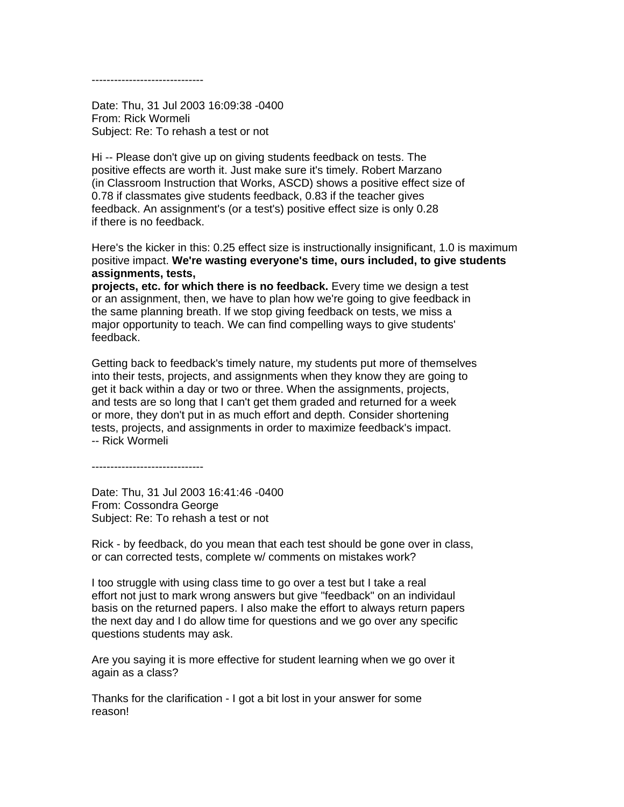------------------------------

Date: Thu, 31 Jul 2003 16:09:38 -0400 From: Rick Wormeli Subject: Re: To rehash a test or not

Hi -- Please don't give up on giving students feedback on tests. The positive effects are worth it. Just make sure it's timely. Robert Marzano (in Classroom Instruction that Works, ASCD) shows a positive effect size of 0.78 if classmates give students feedback, 0.83 if the teacher gives feedback. An assignment's (or a test's) positive effect size is only 0.28 if there is no feedback.

Here's the kicker in this: 0.25 effect size is instructionally insignificant, 1.0 is maximum positive impact. **We're wasting everyone's time, ours included, to give students assignments, tests,**

**projects, etc. for which there is no feedback.** Every time we design a test or an assignment, then, we have to plan how we're going to give feedback in the same planning breath. If we stop giving feedback on tests, we miss a major opportunity to teach. We can find compelling ways to give students' feedback.

Getting back to feedback's timely nature, my students put more of themselves into their tests, projects, and assignments when they know they are going to get it back within a day or two or three. When the assignments, projects, and tests are so long that I can't get them graded and returned for a week or more, they don't put in as much effort and depth. Consider shortening tests, projects, and assignments in order to maximize feedback's impact. -- Rick Wormeli

------------------------------

Date: Thu, 31 Jul 2003 16:41:46 -0400 From: Cossondra George Subject: Re: To rehash a test or not

Rick - by feedback, do you mean that each test should be gone over in class, or can corrected tests, complete w/ comments on mistakes work?

I too struggle with using class time to go over a test but I take a real effort not just to mark wrong answers but give "feedback" on an individaul basis on the returned papers. I also make the effort to always return papers the next day and I do allow time for questions and we go over any specific questions students may ask.

Are you saying it is more effective for student learning when we go over it again as a class?

Thanks for the clarification - I got a bit lost in your answer for some reason!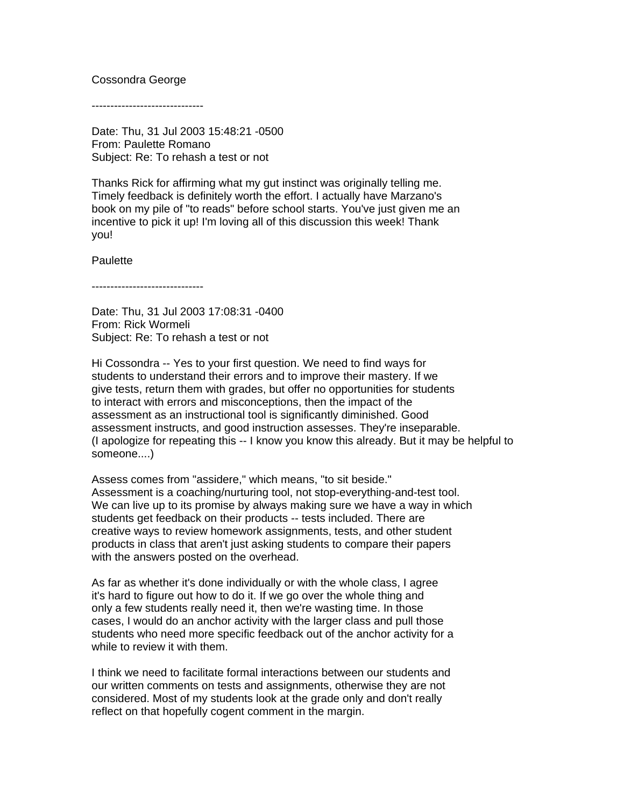#### Cossondra George

------------------------------

Date: Thu, 31 Jul 2003 15:48:21 -0500 From: Paulette Romano Subject: Re: To rehash a test or not

Thanks Rick for affirming what my gut instinct was originally telling me. Timely feedback is definitely worth the effort. I actually have Marzano's book on my pile of "to reads" before school starts. You've just given me an incentive to pick it up! I'm loving all of this discussion this week! Thank you!

**Paulette** 

------------------------------

Date: Thu, 31 Jul 2003 17:08:31 -0400 From: Rick Wormeli Subject: Re: To rehash a test or not

Hi Cossondra -- Yes to your first question. We need to find ways for students to understand their errors and to improve their mastery. If we give tests, return them with grades, but offer no opportunities for students to interact with errors and misconceptions, then the impact of the assessment as an instructional tool is significantly diminished. Good assessment instructs, and good instruction assesses. They're inseparable. (I apologize for repeating this -- I know you know this already. But it may be helpful to someone....)

Assess comes from "assidere," which means, "to sit beside." Assessment is a coaching/nurturing tool, not stop-everything-and-test tool. We can live up to its promise by always making sure we have a way in which students get feedback on their products -- tests included. There are creative ways to review homework assignments, tests, and other student products in class that aren't just asking students to compare their papers with the answers posted on the overhead.

As far as whether it's done individually or with the whole class, I agree it's hard to figure out how to do it. If we go over the whole thing and only a few students really need it, then we're wasting time. In those cases, I would do an anchor activity with the larger class and pull those students who need more specific feedback out of the anchor activity for a while to review it with them.

I think we need to facilitate formal interactions between our students and our written comments on tests and assignments, otherwise they are not considered. Most of my students look at the grade only and don't really reflect on that hopefully cogent comment in the margin.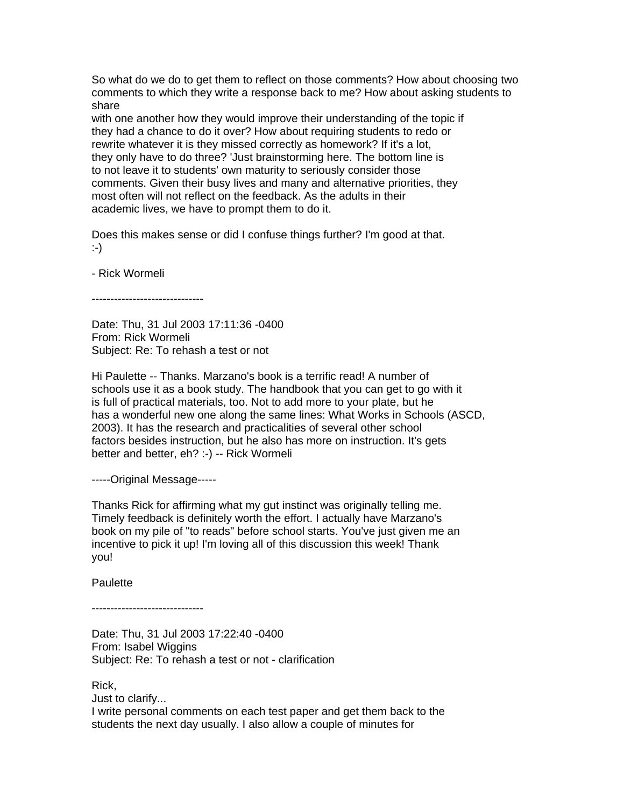So what do we do to get them to reflect on those comments? How about choosing two comments to which they write a response back to me? How about asking students to share

with one another how they would improve their understanding of the topic if they had a chance to do it over? How about requiring students to redo or rewrite whatever it is they missed correctly as homework? If it's a lot, they only have to do three? 'Just brainstorming here. The bottom line is to not leave it to students' own maturity to seriously consider those comments. Given their busy lives and many and alternative priorities, they most often will not reflect on the feedback. As the adults in their academic lives, we have to prompt them to do it.

Does this makes sense or did I confuse things further? I'm good at that. :-)

- Rick Wormeli

------------------------------

Date: Thu, 31 Jul 2003 17:11:36 -0400 From: Rick Wormeli Subject: Re: To rehash a test or not

Hi Paulette -- Thanks. Marzano's book is a terrific read! A number of schools use it as a book study. The handbook that you can get to go with it is full of practical materials, too. Not to add more to your plate, but he has a wonderful new one along the same lines: What Works in Schools (ASCD, 2003). It has the research and practicalities of several other school factors besides instruction, but he also has more on instruction. It's gets better and better, eh? :-) -- Rick Wormeli

-----Original Message-----

Thanks Rick for affirming what my gut instinct was originally telling me. Timely feedback is definitely worth the effort. I actually have Marzano's book on my pile of "to reads" before school starts. You've just given me an incentive to pick it up! I'm loving all of this discussion this week! Thank you!

**Paulette** 

------------------------------

Date: Thu, 31 Jul 2003 17:22:40 -0400 From: Isabel Wiggins Subject: Re: To rehash a test or not - clarification

Rick,

Just to clarify...

I write personal comments on each test paper and get them back to the students the next day usually. I also allow a couple of minutes for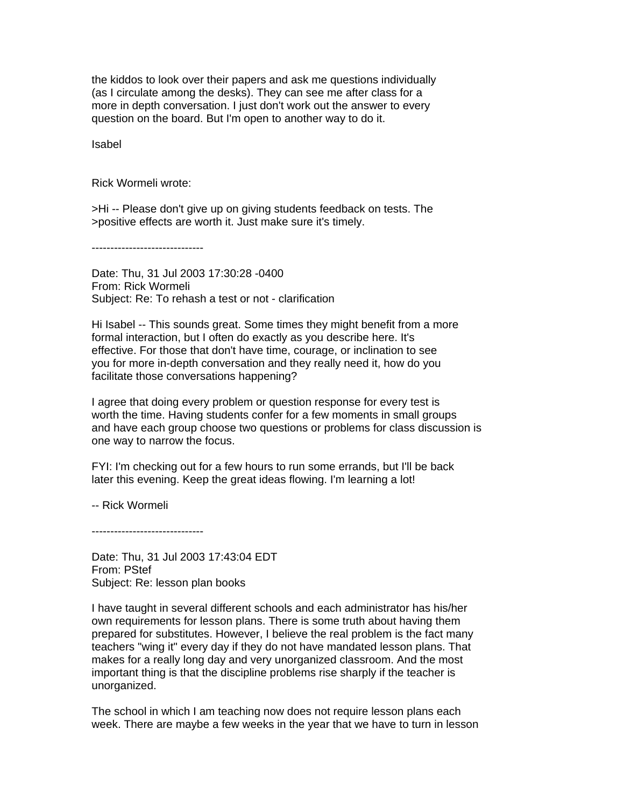the kiddos to look over their papers and ask me questions individually (as I circulate among the desks). They can see me after class for a more in depth conversation. I just don't work out the answer to every question on the board. But I'm open to another way to do it.

Isabel

Rick Wormeli wrote:

>Hi -- Please don't give up on giving students feedback on tests. The >positive effects are worth it. Just make sure it's timely.

------------------------------

Date: Thu, 31 Jul 2003 17:30:28 -0400 From: Rick Wormeli Subject: Re: To rehash a test or not - clarification

Hi Isabel -- This sounds great. Some times they might benefit from a more formal interaction, but I often do exactly as you describe here. It's effective. For those that don't have time, courage, or inclination to see you for more in-depth conversation and they really need it, how do you facilitate those conversations happening?

I agree that doing every problem or question response for every test is worth the time. Having students confer for a few moments in small groups and have each group choose two questions or problems for class discussion is one way to narrow the focus.

FYI: I'm checking out for a few hours to run some errands, but I'll be back later this evening. Keep the great ideas flowing. I'm learning a lot!

-- Rick Wormeli

------------------------------

Date: Thu, 31 Jul 2003 17:43:04 EDT From: PStef Subject: Re: lesson plan books

I have taught in several different schools and each administrator has his/her own requirements for lesson plans. There is some truth about having them prepared for substitutes. However, I believe the real problem is the fact many teachers "wing it" every day if they do not have mandated lesson plans. That makes for a really long day and very unorganized classroom. And the most important thing is that the discipline problems rise sharply if the teacher is unorganized.

The school in which I am teaching now does not require lesson plans each week. There are maybe a few weeks in the year that we have to turn in lesson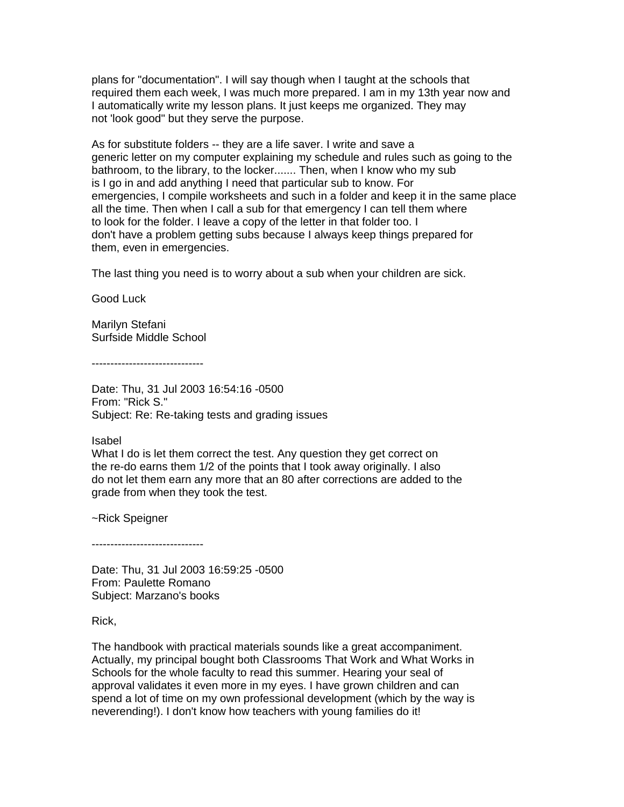plans for "documentation". I will say though when I taught at the schools that required them each week, I was much more prepared. I am in my 13th year now and I automatically write my lesson plans. It just keeps me organized. They may not 'look good" but they serve the purpose.

As for substitute folders -- they are a life saver. I write and save a generic letter on my computer explaining my schedule and rules such as going to the bathroom, to the library, to the locker....... Then, when I know who my sub is I go in and add anything I need that particular sub to know. For emergencies, I compile worksheets and such in a folder and keep it in the same place all the time. Then when I call a sub for that emergency I can tell them where to look for the folder. I leave a copy of the letter in that folder too. I don't have a problem getting subs because I always keep things prepared for them, even in emergencies.

The last thing you need is to worry about a sub when your children are sick.

Good Luck

Marilyn Stefani Surfside Middle School

------------------------------

Date: Thu, 31 Jul 2003 16:54:16 -0500 From: "Rick S." Subject: Re: Re-taking tests and grading issues

Isabel

What I do is let them correct the test. Any question they get correct on the re-do earns them 1/2 of the points that I took away originally. I also do not let them earn any more that an 80 after corrections are added to the grade from when they took the test.

~Rick Speigner

------------------------------

Date: Thu, 31 Jul 2003 16:59:25 -0500 From: Paulette Romano Subject: Marzano's books

Rick,

The handbook with practical materials sounds like a great accompaniment. Actually, my principal bought both Classrooms That Work and What Works in Schools for the whole faculty to read this summer. Hearing your seal of approval validates it even more in my eyes. I have grown children and can spend a lot of time on my own professional development (which by the way is neverending!). I don't know how teachers with young families do it!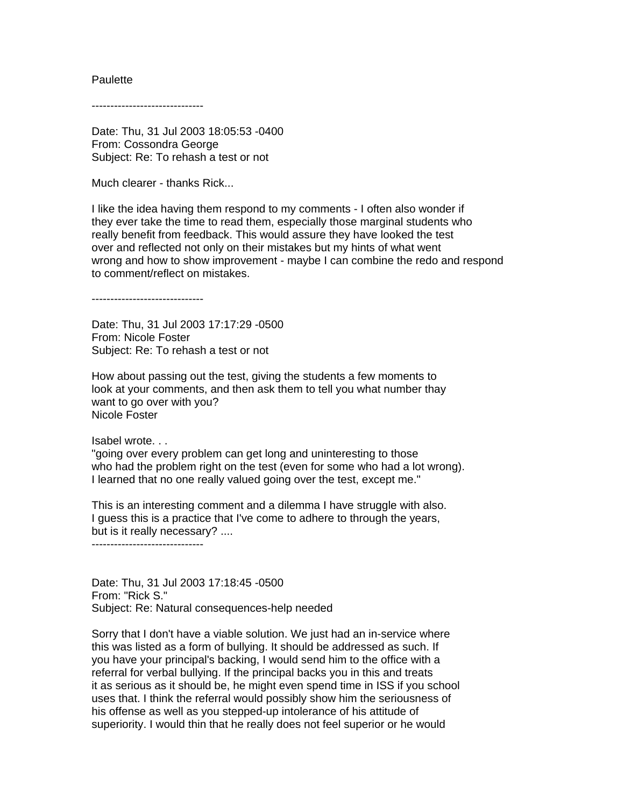#### **Paulette**

------------------------------

Date: Thu, 31 Jul 2003 18:05:53 -0400 From: Cossondra George Subject: Re: To rehash a test or not

Much clearer - thanks Rick...

I like the idea having them respond to my comments - I often also wonder if they ever take the time to read them, especially those marginal students who really benefit from feedback. This would assure they have looked the test over and reflected not only on their mistakes but my hints of what went wrong and how to show improvement - maybe I can combine the redo and respond to comment/reflect on mistakes.

------------------------------

Date: Thu, 31 Jul 2003 17:17:29 -0500 From: Nicole Foster Subject: Re: To rehash a test or not

How about passing out the test, giving the students a few moments to look at your comments, and then ask them to tell you what number thay want to go over with you? Nicole Foster

Isabel wrote. . .

"going over every problem can get long and uninteresting to those who had the problem right on the test (even for some who had a lot wrong). I learned that no one really valued going over the test, except me."

This is an interesting comment and a dilemma I have struggle with also. I guess this is a practice that I've come to adhere to through the years, but is it really necessary? ....

------------------------------

Date: Thu, 31 Jul 2003 17:18:45 -0500 From: "Rick S." Subject: Re: Natural consequences-help needed

Sorry that I don't have a viable solution. We just had an in-service where this was listed as a form of bullying. It should be addressed as such. If you have your principal's backing, I would send him to the office with a referral for verbal bullying. If the principal backs you in this and treats it as serious as it should be, he might even spend time in ISS if you school uses that. I think the referral would possibly show him the seriousness of his offense as well as you stepped-up intolerance of his attitude of superiority. I would thin that he really does not feel superior or he would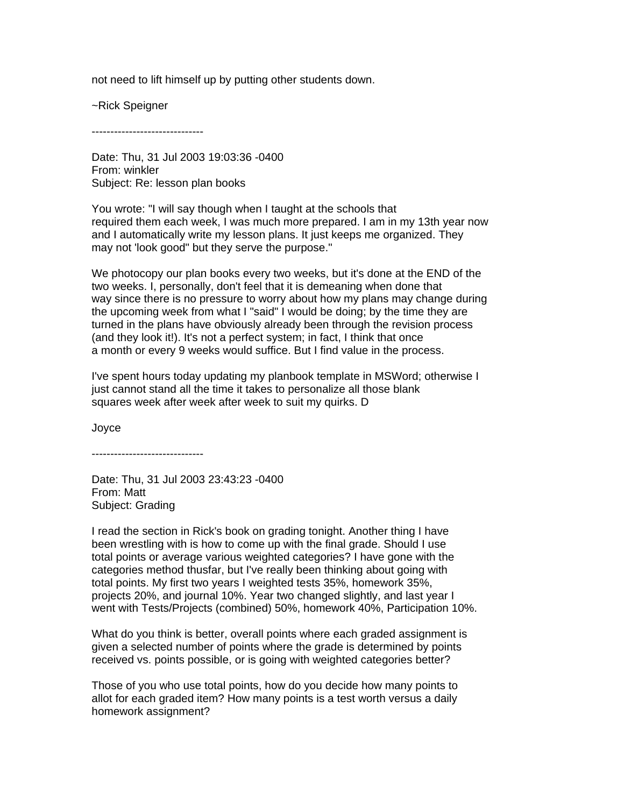not need to lift himself up by putting other students down.

~Rick Speigner

------------------------------

Date: Thu, 31 Jul 2003 19:03:36 -0400 From: winkler Subject: Re: lesson plan books

You wrote: "I will say though when I taught at the schools that required them each week, I was much more prepared. I am in my 13th year now and I automatically write my lesson plans. It just keeps me organized. They may not 'look good" but they serve the purpose."

We photocopy our plan books every two weeks, but it's done at the END of the two weeks. I, personally, don't feel that it is demeaning when done that way since there is no pressure to worry about how my plans may change during the upcoming week from what I "said" I would be doing; by the time they are turned in the plans have obviously already been through the revision process (and they look it!). It's not a perfect system; in fact, I think that once a month or every 9 weeks would suffice. But I find value in the process.

I've spent hours today updating my planbook template in MSWord; otherwise I just cannot stand all the time it takes to personalize all those blank squares week after week after week to suit my quirks. D

Joyce

------------------------------

Date: Thu, 31 Jul 2003 23:43:23 -0400 From: Matt Subject: Grading

I read the section in Rick's book on grading tonight. Another thing I have been wrestling with is how to come up with the final grade. Should I use total points or average various weighted categories? I have gone with the categories method thusfar, but I've really been thinking about going with total points. My first two years I weighted tests 35%, homework 35%, projects 20%, and journal 10%. Year two changed slightly, and last year I went with Tests/Projects (combined) 50%, homework 40%, Participation 10%.

What do you think is better, overall points where each graded assignment is given a selected number of points where the grade is determined by points received vs. points possible, or is going with weighted categories better?

Those of you who use total points, how do you decide how many points to allot for each graded item? How many points is a test worth versus a daily homework assignment?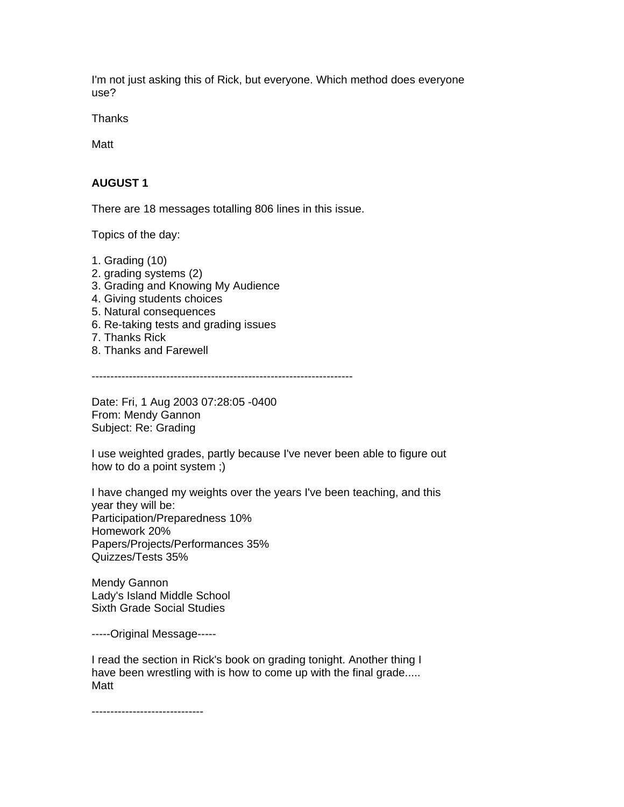I'm not just asking this of Rick, but everyone. Which method does everyone use?

**Thanks** 

Matt

# **AUGUST 1**

There are 18 messages totalling 806 lines in this issue.

Topics of the day:

- 1. Grading (10)
- 2. grading systems (2)
- 3. Grading and Knowing My Audience
- 4. Giving students choices
- 5. Natural consequences
- 6. Re-taking tests and grading issues
- 7. Thanks Rick
- 8. Thanks and Farewell

----------------------------------------------------------------------

Date: Fri, 1 Aug 2003 07:28:05 -0400 From: Mendy Gannon Subject: Re: Grading

I use weighted grades, partly because I've never been able to figure out how to do a point system ;)

I have changed my weights over the years I've been teaching, and this year they will be: Participation/Preparedness 10% Homework 20% Papers/Projects/Performances 35% Quizzes/Tests 35%

Mendy Gannon Lady's Island Middle School Sixth Grade Social Studies

-----Original Message-----

I read the section in Rick's book on grading tonight. Another thing I have been wrestling with is how to come up with the final grade..... Matt

------------------------------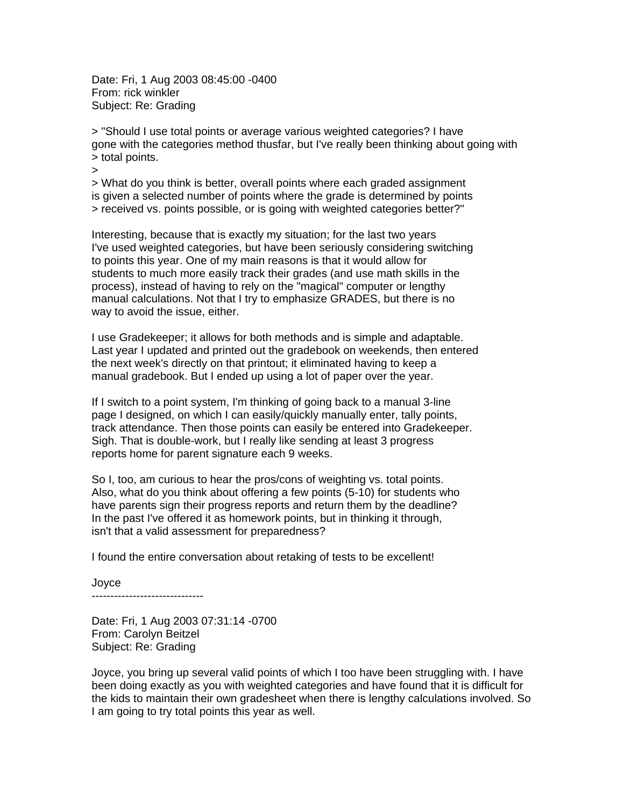Date: Fri, 1 Aug 2003 08:45:00 -0400 From: rick winkler Subject: Re: Grading

> "Should I use total points or average various weighted categories? I have gone with the categories method thusfar, but I've really been thinking about going with > total points.

>

> What do you think is better, overall points where each graded assignment is given a selected number of points where the grade is determined by points > received vs. points possible, or is going with weighted categories better?"

Interesting, because that is exactly my situation; for the last two years I've used weighted categories, but have been seriously considering switching to points this year. One of my main reasons is that it would allow for students to much more easily track their grades (and use math skills in the process), instead of having to rely on the "magical" computer or lengthy manual calculations. Not that I try to emphasize GRADES, but there is no way to avoid the issue, either.

I use Gradekeeper; it allows for both methods and is simple and adaptable. Last year I updated and printed out the gradebook on weekends, then entered the next week's directly on that printout; it eliminated having to keep a manual gradebook. But I ended up using a lot of paper over the year.

If I switch to a point system, I'm thinking of going back to a manual 3-line page I designed, on which I can easily/quickly manually enter, tally points, track attendance. Then those points can easily be entered into Gradekeeper. Sigh. That is double-work, but I really like sending at least 3 progress reports home for parent signature each 9 weeks.

So I, too, am curious to hear the pros/cons of weighting vs. total points. Also, what do you think about offering a few points (5-10) for students who have parents sign their progress reports and return them by the deadline? In the past I've offered it as homework points, but in thinking it through, isn't that a valid assessment for preparedness?

I found the entire conversation about retaking of tests to be excellent!

Joyce ------------------------------

Date: Fri, 1 Aug 2003 07:31:14 -0700 From: Carolyn Beitzel Subject: Re: Grading

Joyce, you bring up several valid points of which I too have been struggling with. I have been doing exactly as you with weighted categories and have found that it is difficult for the kids to maintain their own gradesheet when there is lengthy calculations involved. So I am going to try total points this year as well.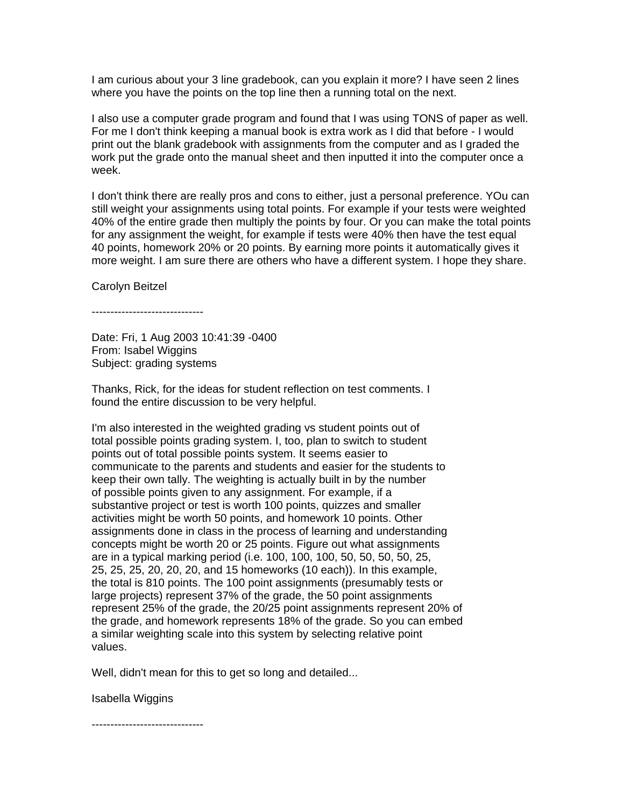I am curious about your 3 line gradebook, can you explain it more? I have seen 2 lines where you have the points on the top line then a running total on the next.

I also use a computer grade program and found that I was using TONS of paper as well. For me I don't think keeping a manual book is extra work as I did that before - I would print out the blank gradebook with assignments from the computer and as I graded the work put the grade onto the manual sheet and then inputted it into the computer once a week.

I don't think there are really pros and cons to either, just a personal preference. YOu can still weight your assignments using total points. For example if your tests were weighted 40% of the entire grade then multiply the points by four. Or you can make the total points for any assignment the weight, for example if tests were 40% then have the test equal 40 points, homework 20% or 20 points. By earning more points it automatically gives it more weight. I am sure there are others who have a different system. I hope they share.

Carolyn Beitzel

------------------------------

Date: Fri, 1 Aug 2003 10:41:39 -0400 From: Isabel Wiggins Subject: grading systems

Thanks, Rick, for the ideas for student reflection on test comments. I found the entire discussion to be very helpful.

I'm also interested in the weighted grading vs student points out of total possible points grading system. I, too, plan to switch to student points out of total possible points system. It seems easier to communicate to the parents and students and easier for the students to keep their own tally. The weighting is actually built in by the number of possible points given to any assignment. For example, if a substantive project or test is worth 100 points, quizzes and smaller activities might be worth 50 points, and homework 10 points. Other assignments done in class in the process of learning and understanding concepts might be worth 20 or 25 points. Figure out what assignments are in a typical marking period (i.e. 100, 100, 100, 50, 50, 50, 50, 25, 25, 25, 25, 20, 20, 20, and 15 homeworks (10 each)). In this example, the total is 810 points. The 100 point assignments (presumably tests or large projects) represent 37% of the grade, the 50 point assignments represent 25% of the grade, the 20/25 point assignments represent 20% of the grade, and homework represents 18% of the grade. So you can embed a similar weighting scale into this system by selecting relative point values.

Well, didn't mean for this to get so long and detailed...

Isabella Wiggins

------------------------------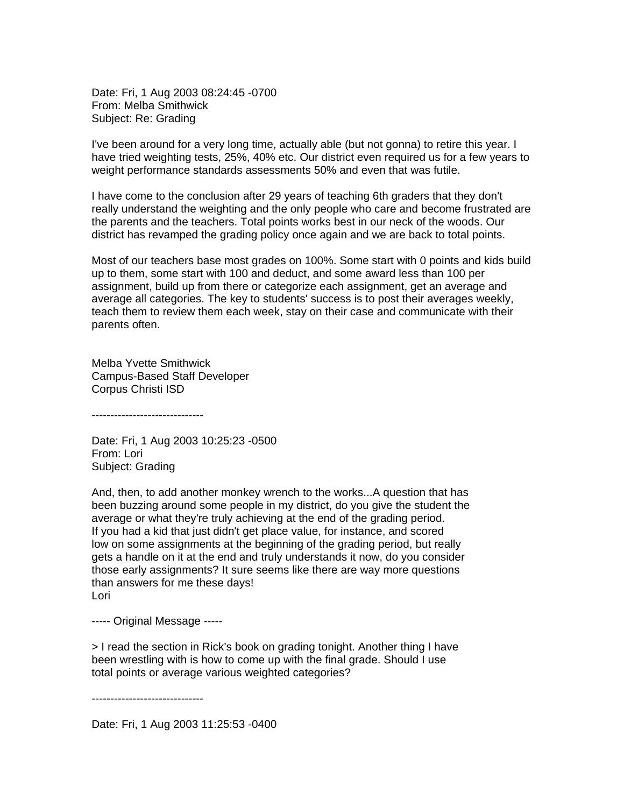Date: Fri, 1 Aug 2003 08:24:45 -0700 From: Melba Smithwick Subject: Re: Grading

I've been around for a very long time, actually able (but not gonna) to retire this year. I have tried weighting tests, 25%, 40% etc. Our district even required us for a few years to weight performance standards assessments 50% and even that was futile.

I have come to the conclusion after 29 years of teaching 6th graders that they don't really understand the weighting and the only people who care and become frustrated are the parents and the teachers. Total points works best in our neck of the woods. Our district has revamped the grading policy once again and we are back to total points.

Most of our teachers base most grades on 100%. Some start with 0 points and kids build up to them, some start with 100 and deduct, and some award less than 100 per assignment, build up from there or categorize each assignment, get an average and average all categories. The key to students' success is to post their averages weekly, teach them to review them each week, stay on their case and communicate with their parents often.

Melba Yvette Smithwick Campus-Based Staff Developer Corpus Christi ISD

------------------------------

Date: Fri, 1 Aug 2003 10:25:23 -0500 From: Lori Subject: Grading

And, then, to add another monkey wrench to the works...A question that has been buzzing around some people in my district, do you give the student the average or what they're truly achieving at the end of the grading period. If you had a kid that just didn't get place value, for instance, and scored low on some assignments at the beginning of the grading period, but really gets a handle on it at the end and truly understands it now, do you consider those early assignments? It sure seems like there are way more questions than answers for me these days! Lori

----- Original Message -----

> I read the section in Rick's book on grading tonight. Another thing I have been wrestling with is how to come up with the final grade. Should I use total points or average various weighted categories?

------------------------------

Date: Fri, 1 Aug 2003 11:25:53 -0400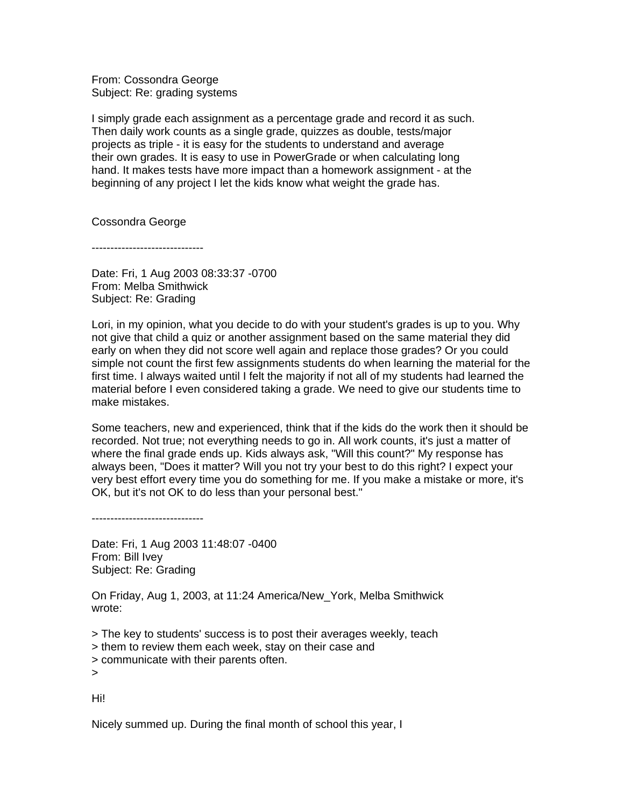From: Cossondra George Subject: Re: grading systems

I simply grade each assignment as a percentage grade and record it as such. Then daily work counts as a single grade, quizzes as double, tests/major projects as triple - it is easy for the students to understand and average their own grades. It is easy to use in PowerGrade or when calculating long hand. It makes tests have more impact than a homework assignment - at the beginning of any project I let the kids know what weight the grade has.

Cossondra George

------------------------------

Date: Fri, 1 Aug 2003 08:33:37 -0700 From: Melba Smithwick Subject: Re: Grading

Lori, in my opinion, what you decide to do with your student's grades is up to you. Why not give that child a quiz or another assignment based on the same material they did early on when they did not score well again and replace those grades? Or you could simple not count the first few assignments students do when learning the material for the first time. I always waited until I felt the majority if not all of my students had learned the material before I even considered taking a grade. We need to give our students time to make mistakes.

Some teachers, new and experienced, think that if the kids do the work then it should be recorded. Not true; not everything needs to go in. All work counts, it's just a matter of where the final grade ends up. Kids always ask, "Will this count?" My response has always been, "Does it matter? Will you not try your best to do this right? I expect your very best effort every time you do something for me. If you make a mistake or more, it's OK, but it's not OK to do less than your personal best."

------------------------------

Date: Fri, 1 Aug 2003 11:48:07 -0400 From: Bill Ivey Subject: Re: Grading

On Friday, Aug 1, 2003, at 11:24 America/New\_York, Melba Smithwick wrote:

> The key to students' success is to post their averages weekly, teach > them to review them each week, stay on their case and > communicate with their parents often. >

Hi!

Nicely summed up. During the final month of school this year, I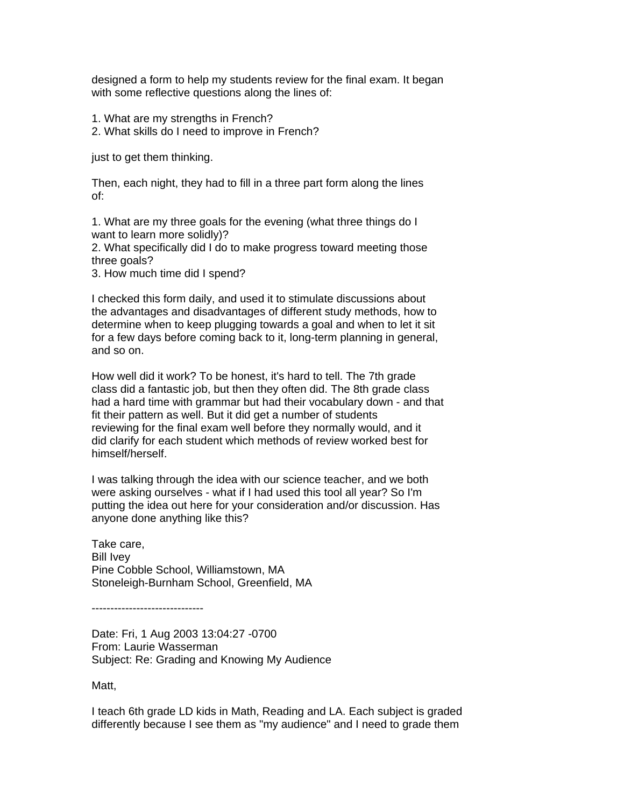designed a form to help my students review for the final exam. It began with some reflective questions along the lines of:

1. What are my strengths in French?

2. What skills do I need to improve in French?

just to get them thinking.

Then, each night, they had to fill in a three part form along the lines of:

1. What are my three goals for the evening (what three things do I want to learn more solidly)?

2. What specifically did I do to make progress toward meeting those three goals?

3. How much time did I spend?

I checked this form daily, and used it to stimulate discussions about the advantages and disadvantages of different study methods, how to determine when to keep plugging towards a goal and when to let it sit for a few days before coming back to it, long-term planning in general, and so on.

How well did it work? To be honest, it's hard to tell. The 7th grade class did a fantastic job, but then they often did. The 8th grade class had a hard time with grammar but had their vocabulary down - and that fit their pattern as well. But it did get a number of students reviewing for the final exam well before they normally would, and it did clarify for each student which methods of review worked best for himself/herself.

I was talking through the idea with our science teacher, and we both were asking ourselves - what if I had used this tool all year? So I'm putting the idea out here for your consideration and/or discussion. Has anyone done anything like this?

Take care, Bill Ivey Pine Cobble School, Williamstown, MA Stoneleigh-Burnham School, Greenfield, MA

------------------------------

Date: Fri, 1 Aug 2003 13:04:27 -0700 From: Laurie Wasserman Subject: Re: Grading and Knowing My Audience

Matt,

I teach 6th grade LD kids in Math, Reading and LA. Each subject is graded differently because I see them as "my audience" and I need to grade them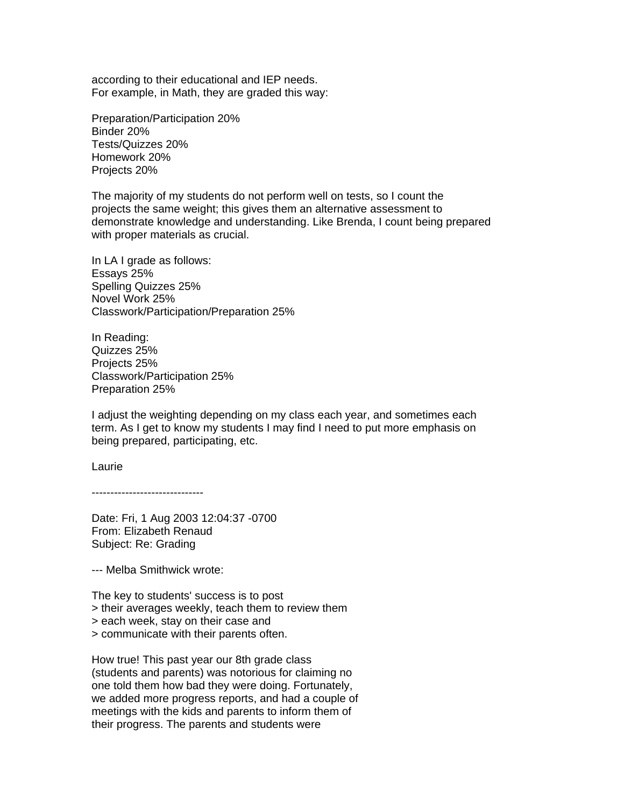according to their educational and IEP needs. For example, in Math, they are graded this way:

Preparation/Participation 20% Binder 20% Tests/Quizzes 20% Homework 20% Projects 20%

The majority of my students do not perform well on tests, so I count the projects the same weight; this gives them an alternative assessment to demonstrate knowledge and understanding. Like Brenda, I count being prepared with proper materials as crucial.

In LA I grade as follows: Essays 25% Spelling Quizzes 25% Novel Work 25% Classwork/Participation/Preparation 25%

In Reading: Quizzes 25% Projects 25% Classwork/Participation 25% Preparation 25%

I adjust the weighting depending on my class each year, and sometimes each term. As I get to know my students I may find I need to put more emphasis on being prepared, participating, etc.

Laurie

------------------------------

Date: Fri, 1 Aug 2003 12:04:37 -0700 From: Elizabeth Renaud Subject: Re: Grading

--- Melba Smithwick wrote:

The key to students' success is to post > their averages weekly, teach them to review them > each week, stay on their case and

> communicate with their parents often.

How true! This past year our 8th grade class (students and parents) was notorious for claiming no one told them how bad they were doing. Fortunately, we added more progress reports, and had a couple of meetings with the kids and parents to inform them of their progress. The parents and students were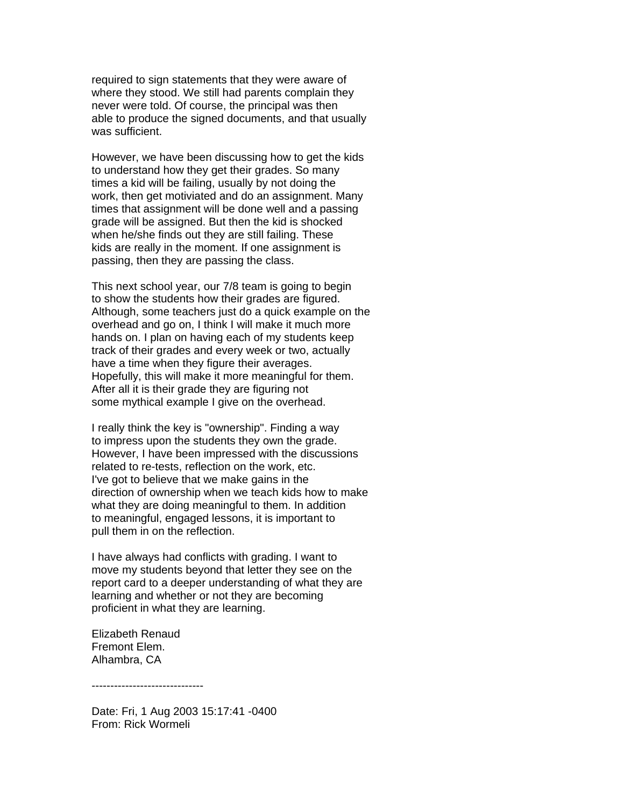required to sign statements that they were aware of where they stood. We still had parents complain they never were told. Of course, the principal was then able to produce the signed documents, and that usually was sufficient.

However, we have been discussing how to get the kids to understand how they get their grades. So many times a kid will be failing, usually by not doing the work, then get motiviated and do an assignment. Many times that assignment will be done well and a passing grade will be assigned. But then the kid is shocked when he/she finds out they are still failing. These kids are really in the moment. If one assignment is passing, then they are passing the class.

This next school year, our 7/8 team is going to begin to show the students how their grades are figured. Although, some teachers just do a quick example on the overhead and go on, I think I will make it much more hands on. I plan on having each of my students keep track of their grades and every week or two, actually have a time when they figure their averages. Hopefully, this will make it more meaningful for them. After all it is their grade they are figuring not some mythical example I give on the overhead.

I really think the key is "ownership". Finding a way to impress upon the students they own the grade. However, I have been impressed with the discussions related to re-tests, reflection on the work, etc. I've got to believe that we make gains in the direction of ownership when we teach kids how to make what they are doing meaningful to them. In addition to meaningful, engaged lessons, it is important to pull them in on the reflection.

I have always had conflicts with grading. I want to move my students beyond that letter they see on the report card to a deeper understanding of what they are learning and whether or not they are becoming proficient in what they are learning.

Elizabeth Renaud Fremont Elem. Alhambra, CA

------------------------------

Date: Fri, 1 Aug 2003 15:17:41 -0400 From: Rick Wormeli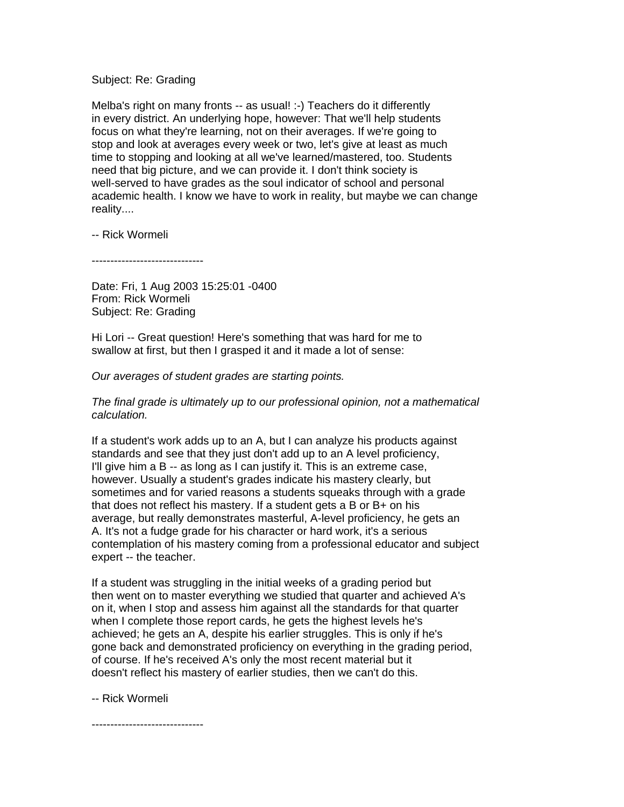## Subject: Re: Grading

Melba's right on many fronts -- as usual! :-) Teachers do it differently in every district. An underlying hope, however: That we'll help students focus on what they're learning, not on their averages. If we're going to stop and look at averages every week or two, let's give at least as much time to stopping and looking at all we've learned/mastered, too. Students need that big picture, and we can provide it. I don't think society is well-served to have grades as the soul indicator of school and personal academic health. I know we have to work in reality, but maybe we can change reality....

-- Rick Wormeli

------------------------------

Date: Fri, 1 Aug 2003 15:25:01 -0400 From: Rick Wormeli Subject: Re: Grading

Hi Lori -- Great question! Here's something that was hard for me to swallow at first, but then I grasped it and it made a lot of sense:

*Our averages of student grades are starting points.* 

*The final grade is ultimately up to our professional opinion, not a mathematical calculation.*

If a student's work adds up to an A, but I can analyze his products against standards and see that they just don't add up to an A level proficiency, I'll give him a B -- as long as I can justify it. This is an extreme case, however. Usually a student's grades indicate his mastery clearly, but sometimes and for varied reasons a students squeaks through with a grade that does not reflect his mastery. If a student gets a B or B+ on his average, but really demonstrates masterful, A-level proficiency, he gets an A. It's not a fudge grade for his character or hard work, it's a serious contemplation of his mastery coming from a professional educator and subject expert -- the teacher.

If a student was struggling in the initial weeks of a grading period but then went on to master everything we studied that quarter and achieved A's on it, when I stop and assess him against all the standards for that quarter when I complete those report cards, he gets the highest levels he's achieved; he gets an A, despite his earlier struggles. This is only if he's gone back and demonstrated proficiency on everything in the grading period, of course. If he's received A's only the most recent material but it doesn't reflect his mastery of earlier studies, then we can't do this.

-- Rick Wormeli

------------------------------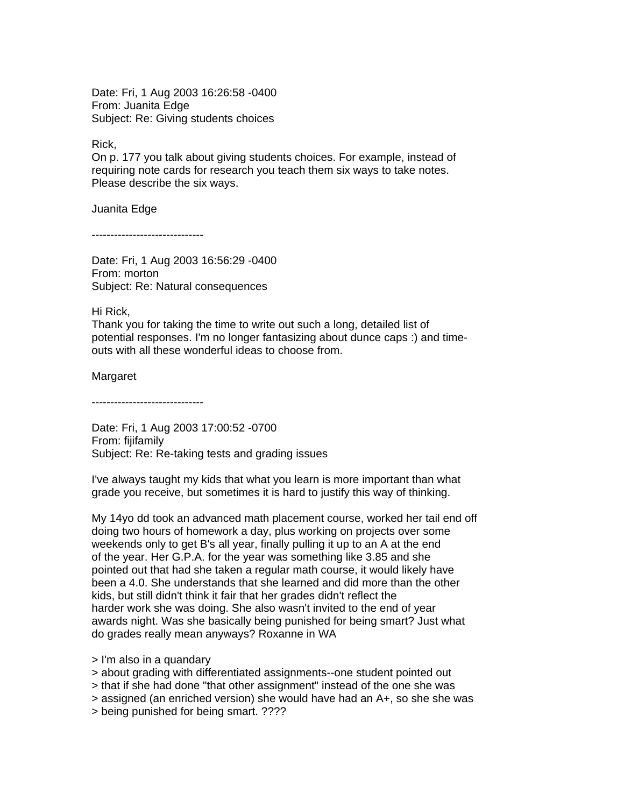Date: Fri, 1 Aug 2003 16:26:58 -0400 From: Juanita Edge Subject: Re: Giving students choices

Rick,

On p. 177 you talk about giving students choices. For example, instead of requiring note cards for research you teach them six ways to take notes. Please describe the six ways.

Juanita Edge

------------------------------

Date: Fri, 1 Aug 2003 16:56:29 -0400 From: morton Subject: Re: Natural consequences

Hi Rick,

Thank you for taking the time to write out such a long, detailed list of potential responses. I'm no longer fantasizing about dunce caps :) and timeouts with all these wonderful ideas to choose from.

Margaret

------------------------------

Date: Fri, 1 Aug 2003 17:00:52 -0700 From: fijifamily Subject: Re: Re-taking tests and grading issues

I've always taught my kids that what you learn is more important than what grade you receive, but sometimes it is hard to justify this way of thinking.

My 14yo dd took an advanced math placement course, worked her tail end off doing two hours of homework a day, plus working on projects over some weekends only to get B's all year, finally pulling it up to an A at the end of the year. Her G.P.A. for the year was something like 3.85 and she pointed out that had she taken a regular math course, it would likely have been a 4.0. She understands that she learned and did more than the other kids, but still didn't think it fair that her grades didn't reflect the harder work she was doing. She also wasn't invited to the end of year awards night. Was she basically being punished for being smart? Just what do grades really mean anyways? Roxanne in WA

- > I'm also in a quandary
- > about grading with differentiated assignments--one student pointed out
- > that if she had done "that other assignment" instead of the one she was
- > assigned (an enriched version) she would have had an A+, so she she was
- > being punished for being smart. ????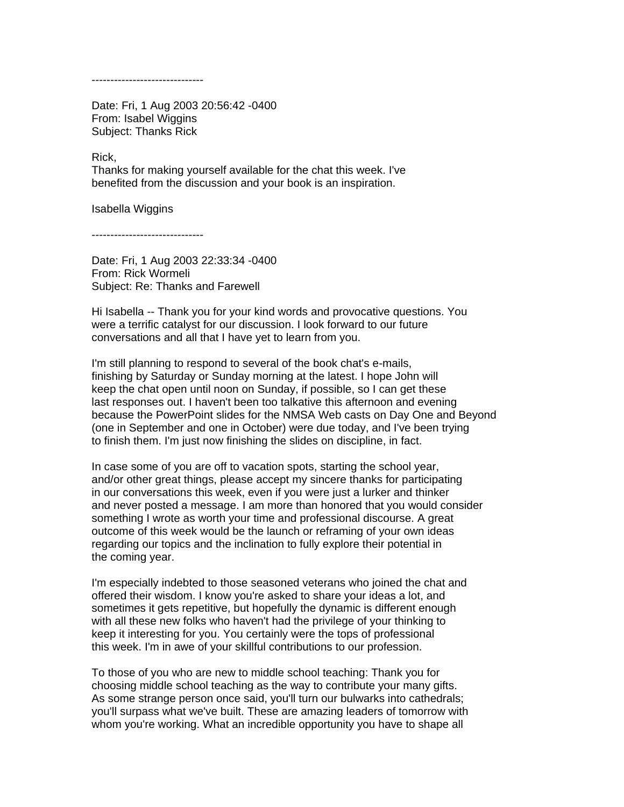------------------------------

Date: Fri, 1 Aug 2003 20:56:42 -0400 From: Isabel Wiggins Subject: Thanks Rick

Rick,

Thanks for making yourself available for the chat this week. I've benefited from the discussion and your book is an inspiration.

Isabella Wiggins

------------------------------

Date: Fri, 1 Aug 2003 22:33:34 -0400 From: Rick Wormeli Subject: Re: Thanks and Farewell

Hi Isabella -- Thank you for your kind words and provocative questions. You were a terrific catalyst for our discussion. I look forward to our future conversations and all that I have yet to learn from you.

I'm still planning to respond to several of the book chat's e-mails, finishing by Saturday or Sunday morning at the latest. I hope John will keep the chat open until noon on Sunday, if possible, so I can get these last responses out. I haven't been too talkative this afternoon and evening because the PowerPoint slides for the NMSA Web casts on Day One and Beyond (one in September and one in October) were due today, and I've been trying to finish them. I'm just now finishing the slides on discipline, in fact.

In case some of you are off to vacation spots, starting the school year, and/or other great things, please accept my sincere thanks for participating in our conversations this week, even if you were just a lurker and thinker and never posted a message. I am more than honored that you would consider something I wrote as worth your time and professional discourse. A great outcome of this week would be the launch or reframing of your own ideas regarding our topics and the inclination to fully explore their potential in the coming year.

I'm especially indebted to those seasoned veterans who joined the chat and offered their wisdom. I know you're asked to share your ideas a lot, and sometimes it gets repetitive, but hopefully the dynamic is different enough with all these new folks who haven't had the privilege of your thinking to keep it interesting for you. You certainly were the tops of professional this week. I'm in awe of your skillful contributions to our profession.

To those of you who are new to middle school teaching: Thank you for choosing middle school teaching as the way to contribute your many gifts. As some strange person once said, you'll turn our bulwarks into cathedrals; you'll surpass what we've built. These are amazing leaders of tomorrow with whom you're working. What an incredible opportunity you have to shape all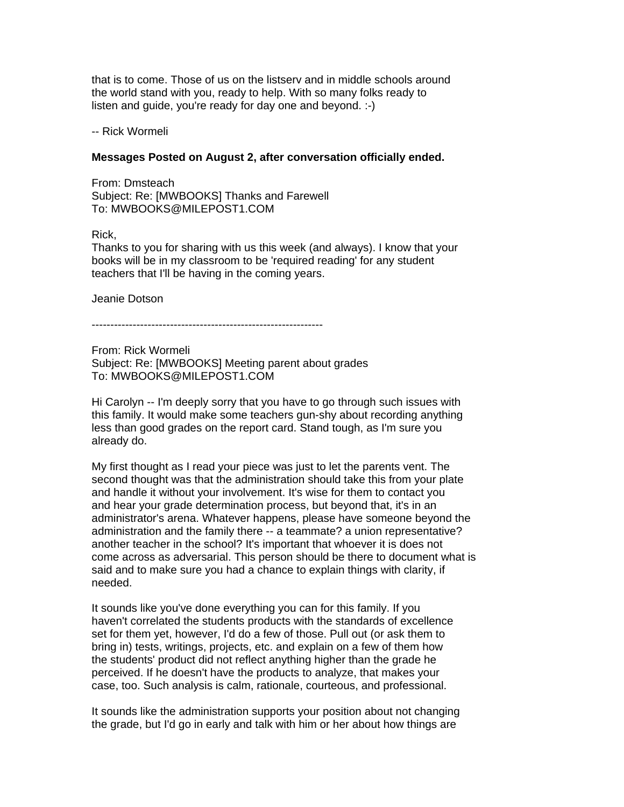that is to come. Those of us on the listserv and in middle schools around the world stand with you, ready to help. With so many folks ready to listen and guide, you're ready for day one and beyond. :-)

-- Rick Wormeli

## **Messages Posted on August 2, after conversation officially ended.**

From: Dmsteach Subject: Re: [MWBOOKS] Thanks and Farewell To: MWBOOKS@MILEPOST1.COM

#### Rick,

Thanks to you for sharing with us this week (and always). I know that your books will be in my classroom to be 'required reading' for any student teachers that I'll be having in the coming years.

Jeanie Dotson

--------------------------------------------------------------

From: Rick Wormeli Subject: Re: [MWBOOKS] Meeting parent about grades To: MWBOOKS@MILEPOST1.COM

Hi Carolyn -- I'm deeply sorry that you have to go through such issues with this family. It would make some teachers gun-shy about recording anything less than good grades on the report card. Stand tough, as I'm sure you already do.

My first thought as I read your piece was just to let the parents vent. The second thought was that the administration should take this from your plate and handle it without your involvement. It's wise for them to contact you and hear your grade determination process, but beyond that, it's in an administrator's arena. Whatever happens, please have someone beyond the administration and the family there -- a teammate? a union representative? another teacher in the school? It's important that whoever it is does not come across as adversarial. This person should be there to document what is said and to make sure you had a chance to explain things with clarity, if needed.

It sounds like you've done everything you can for this family. If you haven't correlated the students products with the standards of excellence set for them yet, however, I'd do a few of those. Pull out (or ask them to bring in) tests, writings, projects, etc. and explain on a few of them how the students' product did not reflect anything higher than the grade he perceived. If he doesn't have the products to analyze, that makes your case, too. Such analysis is calm, rationale, courteous, and professional.

It sounds like the administration supports your position about not changing the grade, but I'd go in early and talk with him or her about how things are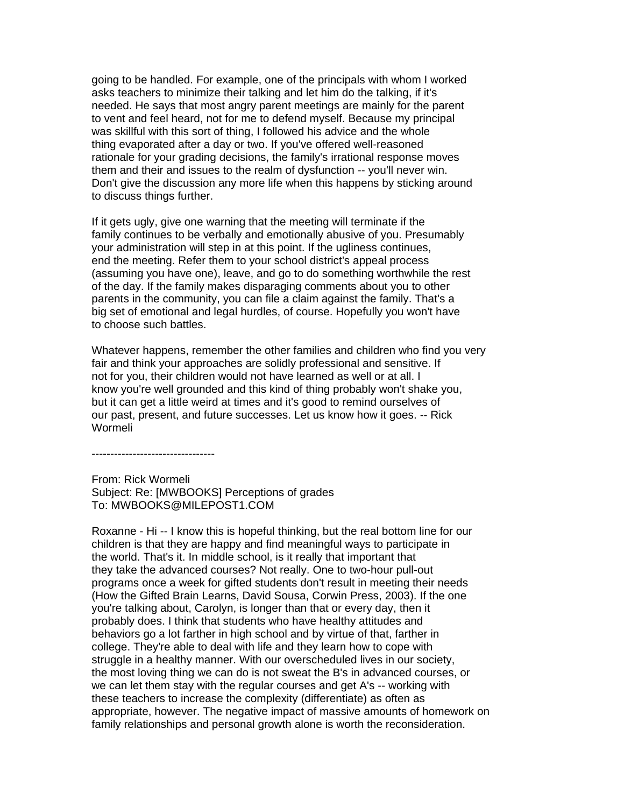going to be handled. For example, one of the principals with whom I worked asks teachers to minimize their talking and let him do the talking, if it's needed. He says that most angry parent meetings are mainly for the parent to vent and feel heard, not for me to defend myself. Because my principal was skillful with this sort of thing, I followed his advice and the whole thing evaporated after a day or two. If you've offered well-reasoned rationale for your grading decisions, the family's irrational response moves them and their and issues to the realm of dysfunction -- you'll never win. Don't give the discussion any more life when this happens by sticking around to discuss things further.

If it gets ugly, give one warning that the meeting will terminate if the family continues to be verbally and emotionally abusive of you. Presumably your administration will step in at this point. If the ugliness continues, end the meeting. Refer them to your school district's appeal process (assuming you have one), leave, and go to do something worthwhile the rest of the day. If the family makes disparaging comments about you to other parents in the community, you can file a claim against the family. That's a big set of emotional and legal hurdles, of course. Hopefully you won't have to choose such battles.

Whatever happens, remember the other families and children who find you very fair and think your approaches are solidly professional and sensitive. If not for you, their children would not have learned as well or at all. I know you're well grounded and this kind of thing probably won't shake you, but it can get a little weird at times and it's good to remind ourselves of our past, present, and future successes. Let us know how it goes. -- Rick Wormeli

---------------------------------

From: Rick Wormeli Subject: Re: [MWBOOKS] Perceptions of grades To: MWBOOKS@MILEPOST1.COM

Roxanne - Hi -- I know this is hopeful thinking, but the real bottom line for our children is that they are happy and find meaningful ways to participate in the world. That's it. In middle school, is it really that important that they take the advanced courses? Not really. One to two-hour pull-out programs once a week for gifted students don't result in meeting their needs (How the Gifted Brain Learns, David Sousa, Corwin Press, 2003). If the one you're talking about, Carolyn, is longer than that or every day, then it probably does. I think that students who have healthy attitudes and behaviors go a lot farther in high school and by virtue of that, farther in college. They're able to deal with life and they learn how to cope with struggle in a healthy manner. With our overscheduled lives in our society, the most loving thing we can do is not sweat the B's in advanced courses, or we can let them stay with the regular courses and get A's -- working with these teachers to increase the complexity (differentiate) as often as appropriate, however. The negative impact of massive amounts of homework on family relationships and personal growth alone is worth the reconsideration.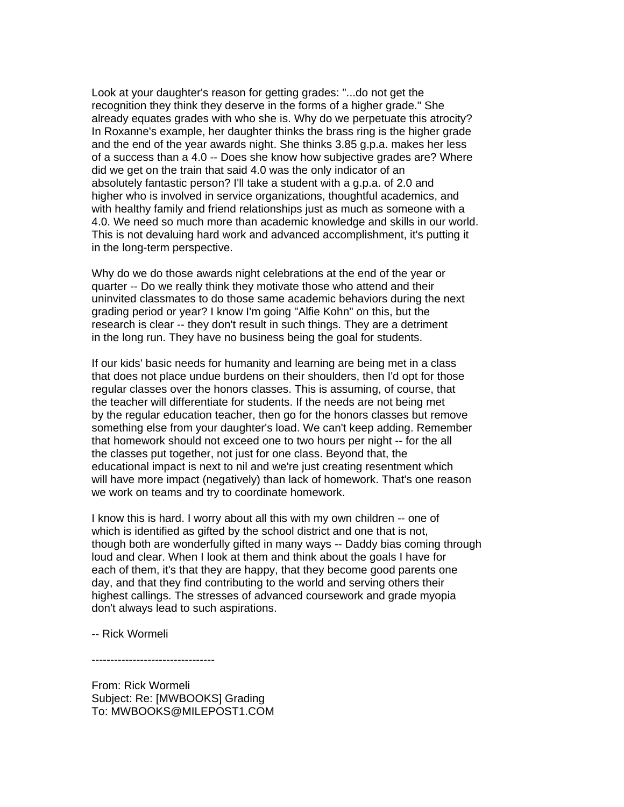Look at your daughter's reason for getting grades: "...do not get the recognition they think they deserve in the forms of a higher grade." She already equates grades with who she is. Why do we perpetuate this atrocity? In Roxanne's example, her daughter thinks the brass ring is the higher grade and the end of the year awards night. She thinks 3.85 g.p.a. makes her less of a success than a 4.0 -- Does she know how subjective grades are? Where did we get on the train that said 4.0 was the only indicator of an absolutely fantastic person? I'll take a student with a g.p.a. of 2.0 and higher who is involved in service organizations, thoughtful academics, and with healthy family and friend relationships just as much as someone with a 4.0. We need so much more than academic knowledge and skills in our world. This is not devaluing hard work and advanced accomplishment, it's putting it in the long-term perspective.

Why do we do those awards night celebrations at the end of the year or quarter -- Do we really think they motivate those who attend and their uninvited classmates to do those same academic behaviors during the next grading period or year? I know I'm going "Alfie Kohn" on this, but the research is clear -- they don't result in such things. They are a detriment in the long run. They have no business being the goal for students.

If our kids' basic needs for humanity and learning are being met in a class that does not place undue burdens on their shoulders, then I'd opt for those regular classes over the honors classes. This is assuming, of course, that the teacher will differentiate for students. If the needs are not being met by the regular education teacher, then go for the honors classes but remove something else from your daughter's load. We can't keep adding. Remember that homework should not exceed one to two hours per night -- for the all the classes put together, not just for one class. Beyond that, the educational impact is next to nil and we're just creating resentment which will have more impact (negatively) than lack of homework. That's one reason we work on teams and try to coordinate homework.

I know this is hard. I worry about all this with my own children -- one of which is identified as gifted by the school district and one that is not, though both are wonderfully gifted in many ways -- Daddy bias coming through loud and clear. When I look at them and think about the goals I have for each of them, it's that they are happy, that they become good parents one day, and that they find contributing to the world and serving others their highest callings. The stresses of advanced coursework and grade myopia don't always lead to such aspirations.

-- Rick Wormeli

---------------------------------

From: Rick Wormeli Subject: Re: [MWBOOKS] Grading To: MWBOOKS@MILEPOST1.COM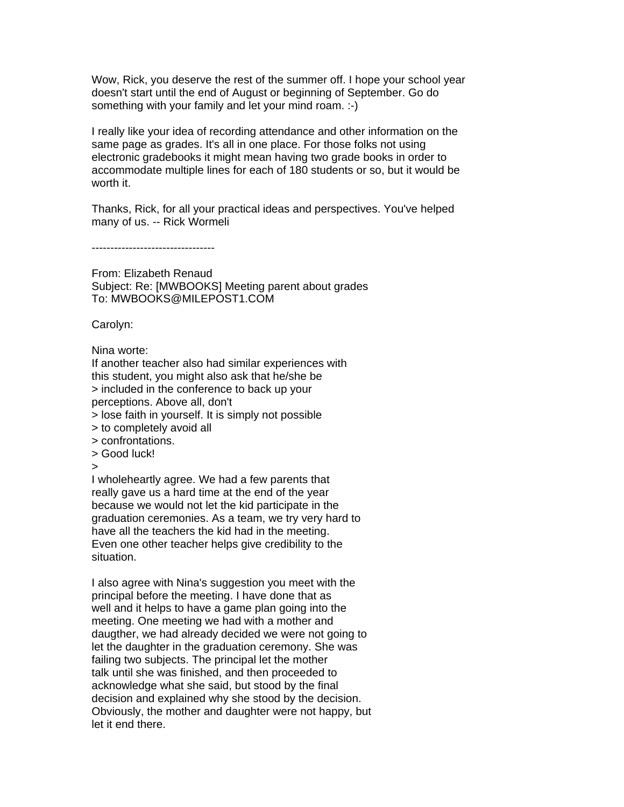Wow, Rick, you deserve the rest of the summer off. I hope your school year doesn't start until the end of August or beginning of September. Go do something with your family and let your mind roam. :-)

I really like your idea of recording attendance and other information on the same page as grades. It's all in one place. For those folks not using electronic gradebooks it might mean having two grade books in order to accommodate multiple lines for each of 180 students or so, but it would be worth it.

Thanks, Rick, for all your practical ideas and perspectives. You've helped many of us. -- Rick Wormeli

---------------------------------

From: Elizabeth Renaud Subject: Re: [MWBOOKS] Meeting parent about grades To: MWBOOKS@MILEPOST1.COM

Carolyn:

Nina worte:

If another teacher also had similar experiences with this student, you might also ask that he/she be > included in the conference to back up your perceptions. Above all, don't

> lose faith in yourself. It is simply not possible

- > to completely avoid all
- > confrontations.
- > Good luck!

>

I wholeheartly agree. We had a few parents that really gave us a hard time at the end of the year because we would not let the kid participate in the graduation ceremonies. As a team, we try very hard to have all the teachers the kid had in the meeting. Even one other teacher helps give credibility to the situation.

I also agree with Nina's suggestion you meet with the principal before the meeting. I have done that as well and it helps to have a game plan going into the meeting. One meeting we had with a mother and daugther, we had already decided we were not going to let the daughter in the graduation ceremony. She was failing two subjects. The principal let the mother talk until she was finished, and then proceeded to acknowledge what she said, but stood by the final decision and explained why she stood by the decision. Obviously, the mother and daughter were not happy, but let it end there.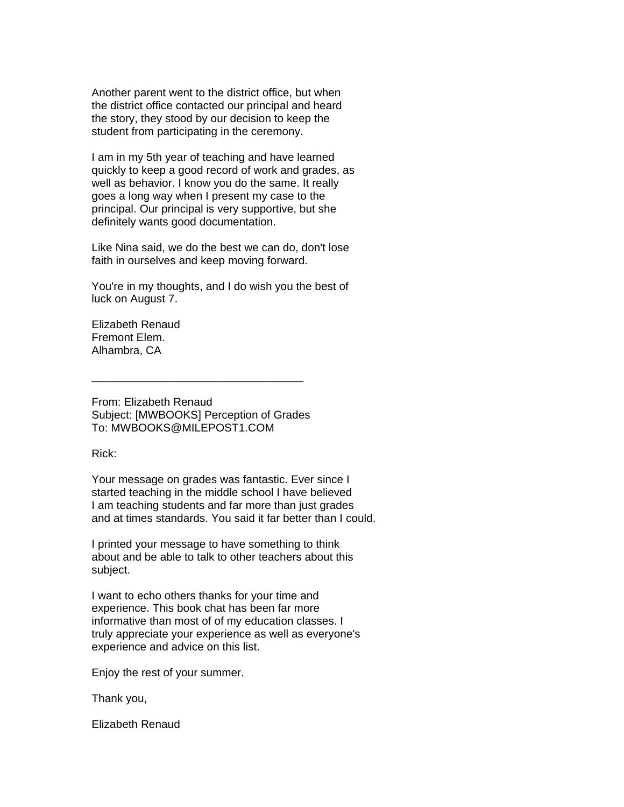Another parent went to the district office, but when the district office contacted our principal and heard the story, they stood by our decision to keep the student from participating in the ceremony.

I am in my 5th year of teaching and have learned quickly to keep a good record of work and grades, as well as behavior. I know you do the same. It really goes a long way when I present my case to the principal. Our principal is very supportive, but she definitely wants good documentation.

Like Nina said, we do the best we can do, don't lose faith in ourselves and keep moving forward.

You're in my thoughts, and I do wish you the best of luck on August 7.

Elizabeth Renaud Fremont Elem. Alhambra, CA

From: Elizabeth Renaud Subject: [MWBOOKS] Perception of Grades To: MWBOOKS@MILEPOST1.COM

\_\_\_\_\_\_\_\_\_\_\_\_\_\_\_\_\_\_\_\_\_\_\_\_\_\_\_\_\_\_\_\_\_\_

Rick:

Your message on grades was fantastic. Ever since I started teaching in the middle school I have believed I am teaching students and far more than just grades and at times standards. You said it far better than I could.

I printed your message to have something to think about and be able to talk to other teachers about this subject.

I want to echo others thanks for your time and experience. This book chat has been far more informative than most of of my education classes. I truly appreciate your experience as well as everyone's experience and advice on this list.

Enjoy the rest of your summer.

Thank you,

Elizabeth Renaud